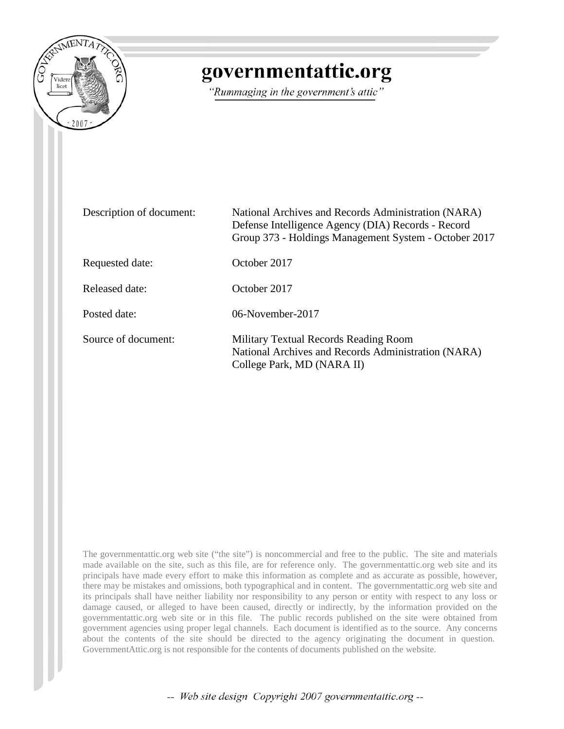

## governmentattic.org

"Rummaging in the government's attic"

| Description of document: | National Archives and Records Administration (NARA)<br>Defense Intelligence Agency (DIA) Records - Record<br>Group 373 - Holdings Management System - October 2017 |
|--------------------------|--------------------------------------------------------------------------------------------------------------------------------------------------------------------|
| Requested date:          | October 2017                                                                                                                                                       |
| Released date:           | October 2017                                                                                                                                                       |
| Posted date:             | $06$ -November-2017                                                                                                                                                |
| Source of document:      | Military Textual Records Reading Room<br>National Archives and Records Administration (NARA)<br>College Park, MD (NARA II)                                         |

The governmentattic.org web site ("the site") is noncommercial and free to the public. The site and materials made available on the site, such as this file, are for reference only. The governmentattic.org web site and its principals have made every effort to make this information as complete and as accurate as possible, however, there may be mistakes and omissions, both typographical and in content. The governmentattic.org web site and its principals shall have neither liability nor responsibility to any person or entity with respect to any loss or damage caused, or alleged to have been caused, directly or indirectly, by the information provided on the governmentattic.org web site or in this file. The public records published on the site were obtained from government agencies using proper legal channels. Each document is identified as to the source. Any concerns about the contents of the site should be directed to the agency originating the document in question. GovernmentAttic.org is not responsible for the contents of documents published on the website.

-- Web site design Copyright 2007 governmentattic.org --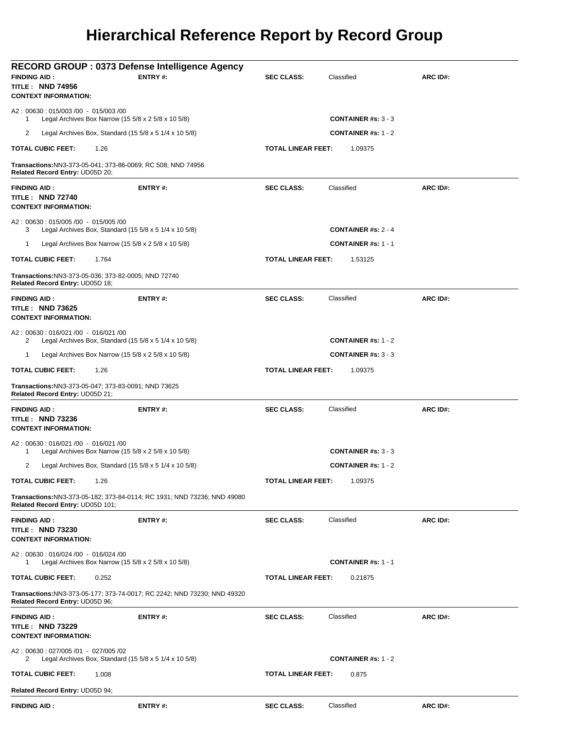## **Hierarchical Reference Report by Record Group**

|                                                                                                        | <b>RECORD GROUP : 0373 Defense Intelligence Agency</b>                   |                           |                            |          |
|--------------------------------------------------------------------------------------------------------|--------------------------------------------------------------------------|---------------------------|----------------------------|----------|
| <b>FINDING AID:</b>                                                                                    | ENTRY#:                                                                  | <b>SEC CLASS:</b>         | Classified                 | ARC ID#: |
| <b>TITLE: NND 74956</b><br><b>CONTEXT INFORMATION:</b>                                                 |                                                                          |                           |                            |          |
| A2: 00630: 015/003 /00 - 015/003 /00<br>Legal Archives Box Narrow (15 5/8 x 2 5/8 x 10 5/8)<br>1       |                                                                          |                           | <b>CONTAINER #s: 3 - 3</b> |          |
| 2                                                                                                      | Legal Archives Box, Standard (15 $5/8 \times 5$ 1/4 $\times$ 10 $5/8$ )  |                           | <b>CONTAINER #s: 1 - 2</b> |          |
| TOTAL CUBIC FEET:<br>1.26                                                                              |                                                                          | <b>TOTAL LINEAR FEET:</b> | 1.09375                    |          |
| <b>Transactions:</b> NN3-373-05-041; 373-86-0069; RC 508; NND 74956<br>Related Record Entry: UD05D 20; |                                                                          |                           |                            |          |
| <b>FINDING AID:</b>                                                                                    | <b>ENTRY#:</b>                                                           | <b>SEC CLASS:</b>         | Classified                 | ARC ID#: |
| <b>TITLE: NND 72740</b><br><b>CONTEXT INFORMATION:</b>                                                 |                                                                          |                           |                            |          |
| A2: 00630: 015/005 /00 - 015/005 /00<br>3                                                              | Legal Archives Box, Standard (15 $5/8 \times 5$ 1/4 $\times$ 10 $5/8$ )  |                           | <b>CONTAINER #s: 2 - 4</b> |          |
| Legal Archives Box Narrow (15 $5/8 \times 25/8 \times 105/8$ )<br>1                                    |                                                                          |                           | <b>CONTAINER #s: 1 - 1</b> |          |
| TOTAL CUBIC FEET:<br>1.764                                                                             |                                                                          | <b>TOTAL LINEAR FEET:</b> | 1.53125                    |          |
| Transactions:NN3-373-05-036; 373-82-0005; NND 72740<br>Related Record Entry: UD05D 18;                 |                                                                          |                           |                            |          |
| <b>FINDING AID:</b><br><b>TITLE: NND 73625</b><br><b>CONTEXT INFORMATION:</b>                          | ENTRY#:                                                                  | <b>SEC CLASS:</b>         | Classified                 | ARC ID#: |
| A2: 00630: 016/021 /00 - 016/021 /00<br>2                                                              | Legal Archives Box, Standard (15 $5/8 \times 5$ 1/4 $\times$ 10 $5/8$ )  |                           | <b>CONTAINER #s: 1 - 2</b> |          |
| Legal Archives Box Narrow (15 5/8 x 2 5/8 x 10 5/8)<br>1                                               |                                                                          |                           | <b>CONTAINER #s: 3 - 3</b> |          |
| TOTAL CUBIC FEET:<br>1.26                                                                              |                                                                          | <b>TOTAL LINEAR FEET:</b> | 1.09375                    |          |
| Transactions:NN3-373-05-047; 373-83-0091; NND 73625<br>Related Record Entry: UD05D 21;                 |                                                                          |                           |                            |          |
| <b>FINDING AID:</b>                                                                                    | ENTRY#:                                                                  | <b>SEC CLASS:</b>         | Classified                 | ARC ID#: |
| <b>TITLE: NND 73236</b><br><b>CONTEXT INFORMATION:</b>                                                 |                                                                          |                           |                            |          |
| A2: 00630: 016/021 /00 - 016/021 /00<br>Legal Archives Box Narrow (15 5/8 x 2 5/8 x 10 5/8)<br>1       |                                                                          |                           | <b>CONTAINER #s: 3 - 3</b> |          |
| 2                                                                                                      | Legal Archives Box, Standard (15 $5/8 \times 5$ 1/4 $\times$ 10 $5/8$ )  |                           | <b>CONTAINER #s: 1 - 2</b> |          |
| TOTAL CUBIC FEET:<br>1.26                                                                              |                                                                          | <b>TOTAL LINEAR FEET:</b> | 1.09375                    |          |
| Related Record Entry: UD05D 101;                                                                       | Transactions: NN3-373-05-182; 373-84-0114; RC 1931; NND 73236; NND 49080 |                           |                            |          |
| <b>FINDING AID:</b>                                                                                    | <b>ENTRY#:</b>                                                           | <b>SEC CLASS:</b>         | Classified                 | ARC ID#: |
| <b>TITLE: NND 73230</b><br><b>CONTEXT INFORMATION:</b>                                                 |                                                                          |                           |                            |          |
| A2: 00630: 016/024 /00 - 016/024 /00<br>Legal Archives Box Narrow (15 5/8 x 2 5/8 x 10 5/8)<br>1       |                                                                          |                           | <b>CONTAINER #s: 1 - 1</b> |          |
| TOTAL CUBIC FEET:<br>0.252                                                                             |                                                                          | <b>TOTAL LINEAR FEET:</b> | 0.21875                    |          |
| Related Record Entry: UD05D 96;                                                                        | Transactions:NN3-373-05-177; 373-74-0017; RC 2242; NND 73230; NND 49320  |                           |                            |          |
| <b>FINDING AID:</b>                                                                                    | <b>ENTRY#:</b>                                                           | <b>SEC CLASS:</b>         | Classified                 | ARC ID#: |
| <b>TITLE: NND 73229</b><br><b>CONTEXT INFORMATION:</b>                                                 |                                                                          |                           |                            |          |
| A2: 00630: 027/005/01 - 027/005/02<br>2                                                                | Legal Archives Box, Standard (15 $5/8 \times 5$ 1/4 $\times$ 10 $5/8$ )  |                           | <b>CONTAINER #s: 1 - 2</b> |          |
| TOTAL CUBIC FEET:<br>1.008                                                                             |                                                                          | <b>TOTAL LINEAR FEET:</b> | 0.875                      |          |
| Related Record Entry: UD05D 94;                                                                        |                                                                          |                           |                            |          |
| <b>FINDING AID:</b>                                                                                    | ENTRY#:                                                                  | <b>SEC CLASS:</b>         | Classified                 | ARC ID#: |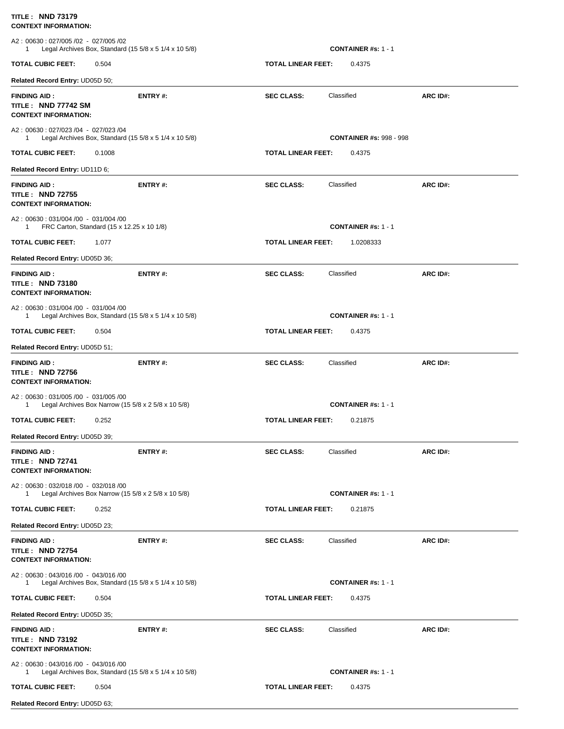| <b>CONTEXT INFORMATION:</b>                                                                                          |                |                           |                                |          |
|----------------------------------------------------------------------------------------------------------------------|----------------|---------------------------|--------------------------------|----------|
| A2: 00630: 027/005/02 - 027/005/02<br>Legal Archives Box, Standard (15 $5/8 \times 5$ 1/4 $\times$ 10 $5/8$ )<br>1   |                |                           | <b>CONTAINER #s: 1 - 1</b>     |          |
| <b>TOTAL CUBIC FEET:</b><br>0.504                                                                                    |                | <b>TOTAL LINEAR FEET:</b> | 0.4375                         |          |
| Related Record Entry: UD05D 50;                                                                                      |                |                           |                                |          |
| <b>FINDING AID:</b><br>TITLE : NND 77742 SM<br><b>CONTEXT INFORMATION:</b>                                           | ENTRY#:        | <b>SEC CLASS:</b>         | Classified                     | ARC ID#: |
| A2: 00630: 027/023/04 - 027/023/04<br>Legal Archives Box, Standard (15 5/8 x 5 1/4 x 10 5/8)<br>1                    |                |                           | <b>CONTAINER #s: 998 - 998</b> |          |
| <b>TOTAL CUBIC FEET:</b><br>0.1008                                                                                   |                | <b>TOTAL LINEAR FEET:</b> | 0.4375                         |          |
| Related Record Entry: UD11D 6;                                                                                       |                |                           |                                |          |
| <b>FINDING AID:</b><br><b>TITLE: NND 72755</b><br><b>CONTEXT INFORMATION:</b>                                        | ENTRY#:        | <b>SEC CLASS:</b>         | Classified                     | ARC ID#: |
| A2: 00630: 031/004 /00 - 031/004 /00<br>FRC Carton, Standard (15 x 12.25 x 10 1/8)<br>1                              |                |                           | <b>CONTAINER #s: 1 - 1</b>     |          |
| TOTAL CUBIC FEET:<br>1.077                                                                                           |                | <b>TOTAL LINEAR FEET:</b> | 1.0208333                      |          |
| Related Record Entry: UD05D 36;                                                                                      |                |                           |                                |          |
| <b>FINDING AID:</b><br><b>TITLE: NND 73180</b><br><b>CONTEXT INFORMATION:</b>                                        | <b>ENTRY#:</b> | <b>SEC CLASS:</b>         | Classified                     | ARC ID#: |
| A2: 00630: 031/004 /00 - 031/004 /00<br>Legal Archives Box, Standard (15 $5/8 \times 5$ 1/4 $\times$ 10 $5/8$ )<br>1 |                |                           | <b>CONTAINER #s: 1 - 1</b>     |          |
| TOTAL CUBIC FEET:<br>0.504                                                                                           |                | <b>TOTAL LINEAR FEET:</b> | 0.4375                         |          |
| Related Record Entry: UD05D 51;                                                                                      |                |                           |                                |          |
| <b>FINDING AID :</b><br><b>TITLE: NND 72756</b><br><b>CONTEXT INFORMATION:</b>                                       | ENTRY#:        | <b>SEC CLASS:</b>         | Classified                     | ARC ID#: |
| A2: 00630: 031/005/00 - 031/005/00<br>Legal Archives Box Narrow (15 $5/8 \times 2$ 5/8 $\times$ 10 5/8)<br>1         |                |                           | <b>CONTAINER #s: 1 - 1</b>     |          |
| TOTAL CUBIC FEET:<br>0.252                                                                                           |                | <b>TOTAL LINEAR FEET:</b> | 0.21875                        |          |
| Related Record Entry: UD05D 39;                                                                                      |                |                           |                                |          |
| <b>FINDING AID:</b><br><b>TITLE: NND 72741</b><br><b>CONTEXT INFORMATION:</b>                                        | ENTRY#:        | <b>SEC CLASS:</b>         | Classified                     | ARC ID#: |
| A2: 00630: 032/018 /00 - 032/018 /00<br>Legal Archives Box Narrow (15 5/8 x 2 5/8 x 10 5/8)<br>1                     |                |                           | <b>CONTAINER #s: 1 - 1</b>     |          |
| <b>TOTAL CUBIC FEET:</b><br>0.252                                                                                    |                | <b>TOTAL LINEAR FEET:</b> | 0.21875                        |          |
| Related Record Entry: UD05D 23;                                                                                      |                |                           |                                |          |
| <b>FINDING AID :</b><br><b>TITLE: NND 72754</b><br><b>CONTEXT INFORMATION:</b>                                       | ENTRY#:        | <b>SEC CLASS:</b>         | Classified                     | ARC ID#: |
| A2: 00630: 043/016 /00 - 043/016 /00<br>Legal Archives Box, Standard $(15\ 5/8 \times 5\ 1/4 \times 10\ 5/8)$<br>1   |                |                           | <b>CONTAINER #s: 1 - 1</b>     |          |
| TOTAL CUBIC FEET:<br>0.504                                                                                           |                | <b>TOTAL LINEAR FEET:</b> | 0.4375                         |          |
| Related Record Entry: UD05D 35;                                                                                      |                |                           |                                |          |
| <b>FINDING AID :</b><br><b>TITLE: NND 73192</b><br><b>CONTEXT INFORMATION:</b>                                       | <b>ENTRY#:</b> | <b>SEC CLASS:</b>         | Classified                     | ARC ID#: |
| A2: 00630: 043/016 /00 - 043/016 /00<br>Legal Archives Box, Standard (15 $5/8 \times 5$ 1/4 $\times$ 10 $5/8$ )<br>1 |                |                           | <b>CONTAINER #s: 1 - 1</b>     |          |
| TOTAL CUBIC FEET:<br>0.504                                                                                           |                | <b>TOTAL LINEAR FEET:</b> | 0.4375                         |          |
| Related Record Entry: UD05D 63;                                                                                      |                |                           |                                |          |

**TITLE : NND 73179**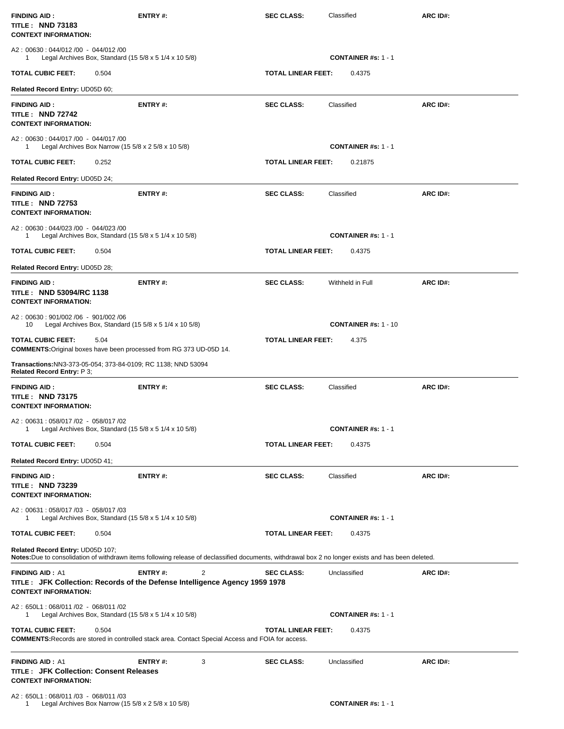| <b>FINDING AID:</b><br><b>TITLE: NND 73183</b><br><b>CONTEXT INFORMATION:</b>                                       | <b>ENTRY#:</b>                                                                                                                                      | <b>SEC CLASS:</b>         | Classified                  | ARC ID#: |
|---------------------------------------------------------------------------------------------------------------------|-----------------------------------------------------------------------------------------------------------------------------------------------------|---------------------------|-----------------------------|----------|
|                                                                                                                     |                                                                                                                                                     |                           |                             |          |
| A2: 00630: 044/012 /00 - 044/012 /00<br>Legal Archives Box, Standard $(15\,5/8 \times 5\,1/4 \times 10\,5/8)$<br>1  |                                                                                                                                                     |                           | <b>CONTAINER #s: 1 - 1</b>  |          |
| TOTAL CUBIC FEET:<br>0.504                                                                                          |                                                                                                                                                     | <b>TOTAL LINEAR FEET:</b> | 0.4375                      |          |
| Related Record Entry: UD05D 60;                                                                                     |                                                                                                                                                     |                           |                             |          |
| <b>FINDING AID:</b><br><b>TITLE: NND 72742</b><br><b>CONTEXT INFORMATION:</b>                                       | <b>ENTRY#:</b>                                                                                                                                      | <b>SEC CLASS:</b>         | Classified                  | ARC ID#: |
| A2: 00630: 044/017 /00 - 044/017 /00<br>Legal Archives Box Narrow (15 $5/8 \times 2$ 5/8 $\times$ 10 5/8)<br>1      |                                                                                                                                                     |                           | <b>CONTAINER #s: 1 - 1</b>  |          |
| <b>TOTAL CUBIC FEET:</b><br>0.252                                                                                   |                                                                                                                                                     | <b>TOTAL LINEAR FEET:</b> | 0.21875                     |          |
| Related Record Entry: UD05D 24;                                                                                     |                                                                                                                                                     |                           |                             |          |
| <b>FINDING AID:</b><br><b>TITLE: NND 72753</b><br><b>CONTEXT INFORMATION:</b>                                       | ENTRY#:                                                                                                                                             | <b>SEC CLASS:</b>         | Classified                  | ARC ID#: |
| A2: 00630: 044/023 /00 - 044/023 /00<br>Legal Archives Box, Standard $(15\ 5/8 \times 5\ 1/4 \times 10\ 5/8)$<br>1  |                                                                                                                                                     |                           | <b>CONTAINER #s: 1 - 1</b>  |          |
| <b>TOTAL CUBIC FEET:</b><br>0.504                                                                                   |                                                                                                                                                     | <b>TOTAL LINEAR FEET:</b> | 0.4375                      |          |
| Related Record Entry: UD05D 28;                                                                                     |                                                                                                                                                     |                           |                             |          |
| <b>FINDING AID:</b><br>TITLE : NND 53094/RC 1138<br><b>CONTEXT INFORMATION:</b>                                     | <b>ENTRY#:</b>                                                                                                                                      | <b>SEC CLASS:</b>         | Withheld in Full            | ARC ID#: |
| A2: 00630: 901/002/06 - 901/002/06<br>Legal Archives Box, Standard (15 $5/8 \times 5$ 1/4 $\times$ 10 $5/8$ )<br>10 |                                                                                                                                                     |                           | <b>CONTAINER #s: 1 - 10</b> |          |
| TOTAL CUBIC FEET:<br>5.04<br><b>COMMENTS:</b> Original boxes have been processed from RG 373 UD-05D 14.             |                                                                                                                                                     | <b>TOTAL LINEAR FEET:</b> | 4.375                       |          |
| Transactions:NN3-373-05-054; 373-84-0109; RC 1138; NND 53094<br>Related Record Entry: P 3;                          |                                                                                                                                                     |                           |                             |          |
| <b>FINDING AID:</b><br><b>TITLE: NND 73175</b><br><b>CONTEXT INFORMATION:</b>                                       | <b>ENTRY#:</b>                                                                                                                                      | <b>SEC CLASS:</b>         | Classified                  | ARC ID#: |
| A2: 00631: 058/017 /02 - 058/017 /02<br>Legal Archives Box, Standard $(155/8 \times 51/4 \times 105/8)$<br>1        |                                                                                                                                                     |                           | <b>CONTAINER #s: 1 - 1</b>  |          |
| TOTAL CUBIC FEET:<br>0.504                                                                                          |                                                                                                                                                     | TOTAL LINEAR FEET:        | 0.4375                      |          |
| Related Record Entry: UD05D 41;                                                                                     |                                                                                                                                                     |                           |                             |          |
| <b>FINDING AID:</b><br><b>TITLE: NND 73239</b><br><b>CONTEXT INFORMATION:</b>                                       | ENTRY#:                                                                                                                                             | <b>SEC CLASS:</b>         | Classified                  | ARC ID#: |
| A2: 00631: 058/017 /03 - 058/017 /03<br>Legal Archives Box, Standard (15 5/8 x 5 1/4 x 10 5/8)<br>1                 |                                                                                                                                                     |                           | <b>CONTAINER #s: 1 - 1</b>  |          |
| TOTAL CUBIC FEET:<br>0.504                                                                                          |                                                                                                                                                     | <b>TOTAL LINEAR FEET:</b> | 0.4375                      |          |
| Related Record Entry: UD05D 107;                                                                                    | Notes: Due to consolidation of withdrawn items following release of declassified documents, withdrawal box 2 no longer exists and has been deleted. |                           |                             |          |
| <b>FINDING AID: A1</b><br><b>CONTEXT INFORMATION:</b>                                                               | <b>ENTRY#:</b><br>2<br>TITLE: JFK Collection: Records of the Defense Intelligence Agency 1959 1978                                                  | <b>SEC CLASS:</b>         | Unclassified                | ARC ID#: |
| A2: 650L1: 068/011 /02 - 068/011 /02<br>Legal Archives Box, Standard $(15\ 5/8 \times 5\ 1/4 \times 10\ 5/8)$<br>1  |                                                                                                                                                     |                           | <b>CONTAINER #s: 1 - 1</b>  |          |
| TOTAL CUBIC FEET:<br>0.504                                                                                          | <b>COMMENTS: Records are stored in controlled stack area. Contact Special Access and FOIA for access.</b>                                           | <b>TOTAL LINEAR FEET:</b> | 0.4375                      |          |
| <b>FINDING AID: A1</b><br><b>TITLE: JFK Collection: Consent Releases</b><br><b>CONTEXT INFORMATION:</b>             | <b>ENTRY#:</b><br>3                                                                                                                                 | <b>SEC CLASS:</b>         | Unclassified                | ARC ID#: |
| A2: 650L1: 068/011 /03 - 068/011 /03<br>Legal Archives Box Narrow (15 $5/8 \times 2$ 5/8 $\times$ 10 5/8)<br>1      |                                                                                                                                                     |                           | <b>CONTAINER #s: 1 - 1</b>  |          |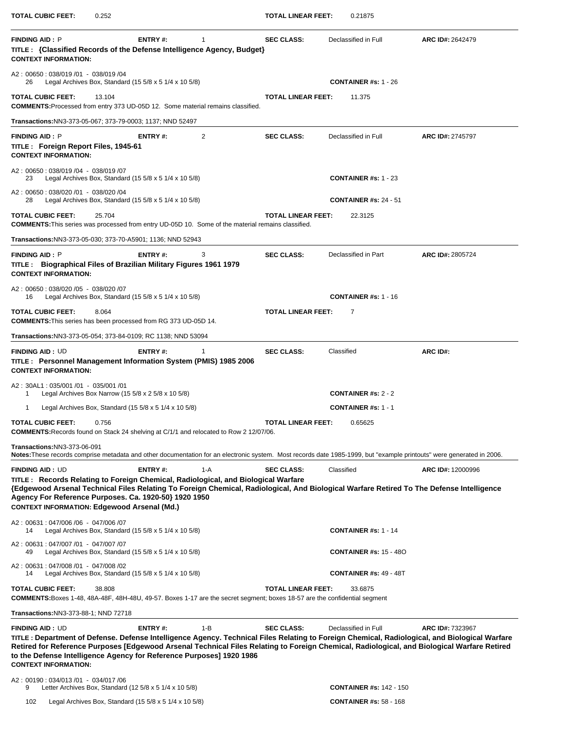| <b>TOTAL CUBIC FEET:</b>                                                                     | 0.252                                                                                                                                                                                                                                                                                                                                                                                      | TOTAL LINEAR FEET:        | 0.21875                        |                         |
|----------------------------------------------------------------------------------------------|--------------------------------------------------------------------------------------------------------------------------------------------------------------------------------------------------------------------------------------------------------------------------------------------------------------------------------------------------------------------------------------------|---------------------------|--------------------------------|-------------------------|
| <b>FINDING AID: P</b><br><b>CONTEXT INFORMATION:</b>                                         | ENTRY#:<br>1<br>TITLE : {Classified Records of the Defense Intelligence Agency, Budget}                                                                                                                                                                                                                                                                                                    | <b>SEC CLASS:</b>         | Declassified in Full           | ARC ID#: 2642479        |
| A2: 00650: 038/019 /01 - 038/019 /04<br>26                                                   | Legal Archives Box, Standard $(155/8 \times 51/4 \times 105/8)$                                                                                                                                                                                                                                                                                                                            |                           | <b>CONTAINER #s: 1 - 26</b>    |                         |
| <b>TOTAL CUBIC FEET:</b>                                                                     | 13.104<br>COMMENTS: Processed from entry 373 UD-05D 12. Some material remains classified.                                                                                                                                                                                                                                                                                                  | TOTAL LINEAR FEET:        | 11.375                         |                         |
|                                                                                              | Transactions:NN3-373-05-067; 373-79-0003; 1137; NND 52497                                                                                                                                                                                                                                                                                                                                  |                           |                                |                         |
| <b>FINDING AID: P</b><br>TITLE: Foreign Report Files, 1945-61<br><b>CONTEXT INFORMATION:</b> | $\overline{2}$<br>ENTRY#:                                                                                                                                                                                                                                                                                                                                                                  | <b>SEC CLASS:</b>         | Declassified in Full           | <b>ARC ID#: 2745797</b> |
| A2: 00650: 038/019 /04 - 038/019 /07<br>23                                                   | Legal Archives Box, Standard (15 $5/8 \times 5$ 1/4 $\times$ 10 $5/8$ )                                                                                                                                                                                                                                                                                                                    |                           | <b>CONTAINER #s: 1 - 23</b>    |                         |
| A2: 00650: 038/020 /01 - 038/020 /04<br>28                                                   | Legal Archives Box, Standard (15 $5/8 \times 5$ 1/4 $\times$ 10 $5/8$ )                                                                                                                                                                                                                                                                                                                    |                           | <b>CONTAINER #s: 24 - 51</b>   |                         |
| <b>TOTAL CUBIC FEET:</b>                                                                     | 25.704<br><b>COMMENTS:</b> This series was processed from entry UD-05D 10. Some of the material remains classified.                                                                                                                                                                                                                                                                        | TOTAL LINEAR FEET:        | 22.3125                        |                         |
|                                                                                              | Transactions: NN3-373-05-030; 373-70-A5901; 1136; NND 52943                                                                                                                                                                                                                                                                                                                                |                           |                                |                         |
| <b>FINDING AID: P</b><br><b>CONTEXT INFORMATION:</b>                                         | 3<br>ENTRY#:<br>TITLE: Biographical Files of Brazilian Military Figures 1961 1979                                                                                                                                                                                                                                                                                                          | <b>SEC CLASS:</b>         | Declassified in Part           | ARC ID#: 2805724        |
| A2: 00650: 038/020 /05 - 038/020 /07<br>16                                                   | Legal Archives Box, Standard (15 5/8 x 5 1/4 x 10 5/8)                                                                                                                                                                                                                                                                                                                                     |                           | <b>CONTAINER #s: 1 - 16</b>    |                         |
| <b>TOTAL CUBIC FEET:</b>                                                                     | 8.064<br><b>COMMENTS:</b> This series has been processed from RG 373 UD-05D 14.                                                                                                                                                                                                                                                                                                            | TOTAL LINEAR FEET:        | 7                              |                         |
|                                                                                              | <b>Transactions:</b> NN3-373-05-054; 373-84-0109; RC 1138; NND 53094                                                                                                                                                                                                                                                                                                                       |                           |                                |                         |
| <b>FINDING AID: UD</b><br><b>CONTEXT INFORMATION:</b>                                        | ENTRY#:<br>1<br>TITLE: Personnel Management Information System (PMIS) 1985 2006                                                                                                                                                                                                                                                                                                            | <b>SEC CLASS:</b>         | Classified                     | ARC ID#:                |
| A2: 30AL1: 035/001 /01 - 035/001 /01<br>1                                                    | Legal Archives Box Narrow (15 $5/8 \times 2$ 5/8 $\times$ 10 5/8)                                                                                                                                                                                                                                                                                                                          |                           | <b>CONTAINER #s: 2 - 2</b>     |                         |
| 1                                                                                            | Legal Archives Box, Standard (15 $5/8 \times 5$ 1/4 $\times$ 10 $5/8$ )                                                                                                                                                                                                                                                                                                                    |                           | <b>CONTAINER #s: 1 - 1</b>     |                         |
| TOTAL CUBIC FEET: 0.756                                                                      | <b>COMMENTS: Records found on Stack 24 shelving at C/1/1 and relocated to Row 2 12/07/06.</b>                                                                                                                                                                                                                                                                                              | <b>TOTAL LINEAR FEET:</b> | 0.65625                        |                         |
| Transactions:NN3-373-06-091                                                                  | Notes: These records comprise metadata and other documentation for an electronic system. Most records date 1985-1999, but "example printouts" were generated in 2006.                                                                                                                                                                                                                      |                           |                                |                         |
| <b>FINDING AID: UD</b>                                                                       | ENTRY#:<br>$1-A$<br>TITLE: Records Relating to Foreign Chemical, Radiological, and Biological Warfare<br>{Edgewood Arsenal Technical Files Relating To Foreign Chemical, Radiological, And Biological Warfare Retired To The Defense Intelligence<br>Agency For Reference Purposes. Ca. 1920-50} 1920 1950<br><b>CONTEXT INFORMATION: Edgewood Arsenal (Md.)</b>                           | <b>SEC CLASS:</b>         | Classified                     | ARC ID#: 12000996       |
| A2: 00631: 047/006/06 - 047/006/07<br>14                                                     | Legal Archives Box, Standard (15 5/8 x 5 1/4 x 10 5/8)                                                                                                                                                                                                                                                                                                                                     |                           | <b>CONTAINER #s: 1 - 14</b>    |                         |
| A2: 00631: 047/007 /01 - 047/007 /07<br>49                                                   | Legal Archives Box, Standard $(155/8 \times 51/4 \times 105/8)$                                                                                                                                                                                                                                                                                                                            |                           | <b>CONTAINER #s: 15 - 480</b>  |                         |
| A2: 00631: 047/008 /01 - 047/008 /02<br>14                                                   | Legal Archives Box, Standard $(155/8 \times 51/4 \times 105/8)$                                                                                                                                                                                                                                                                                                                            |                           | <b>CONTAINER #s: 49 - 48T</b>  |                         |
| TOTAL CUBIC FEET:                                                                            | 38.808<br><b>COMMENTS:</b> Boxes 1-48, 48A-48F, 48H-48U, 49-57. Boxes 1-17 are the secret segment; boxes 18-57 are the confidential segment                                                                                                                                                                                                                                                | TOTAL LINEAR FEET:        | 33.6875                        |                         |
| Transactions:NN3-373-88-1; NND 72718                                                         |                                                                                                                                                                                                                                                                                                                                                                                            |                           |                                |                         |
| <b>FINDING AID: UD</b><br><b>CONTEXT INFORMATION:</b>                                        | ENTRY#:<br>$1 - B$<br>TITLE: Department of Defense. Defense Intelligence Agency. Technical Files Relating to Foreign Chemical, Radiological, and Biological Warfare<br>Retired for Reference Purposes [Edgewood Arsenal Technical Files Relating to Foreign Chemical, Radiological, and Biological Warfare Retired<br>to the Defense Intelligence Agency for Reference Purposes] 1920 1986 | <b>SEC CLASS:</b>         | Declassified in Full           | ARC ID#: 7323967        |
| A2: 00190: 034/013/01 - 034/017/06<br>9                                                      | Letter Archives Box, Standard $(12 5/8 x 5 1/4 x 10 5/8)$                                                                                                                                                                                                                                                                                                                                  |                           | <b>CONTAINER #s: 142 - 150</b> |                         |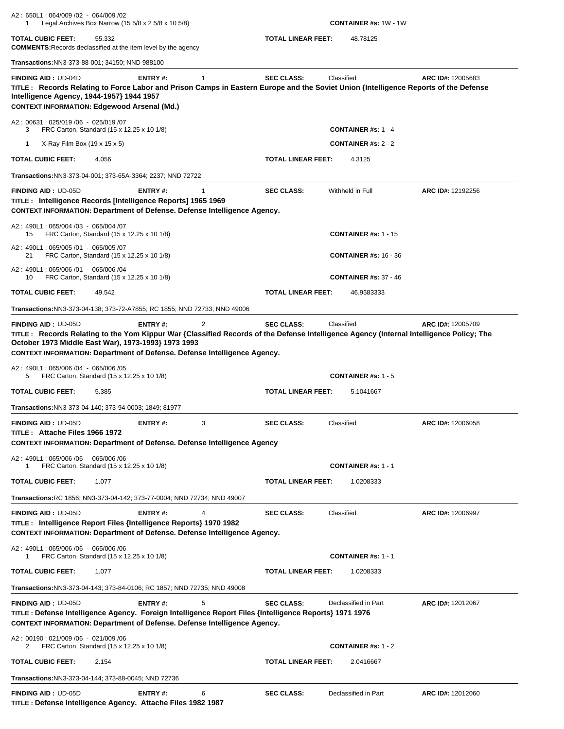| A2: 650L1: 064/009 /02 - 064/009 /02<br>Legal Archives Box Narrow (15 5/8 x 2 5/8 x 10 5/8)                                                                                                                                                                                                                        |         |              |                           | <b>CONTAINER #s: 1W - 1W</b> |                   |
|--------------------------------------------------------------------------------------------------------------------------------------------------------------------------------------------------------------------------------------------------------------------------------------------------------------------|---------|--------------|---------------------------|------------------------------|-------------------|
| <b>TOTAL CUBIC FEET:</b><br>55.332<br><b>COMMENTS: Records declassified at the item level by the agency</b>                                                                                                                                                                                                        |         |              | <b>TOTAL LINEAR FEET:</b> | 48.78125                     |                   |
| Transactions: NN3-373-88-001; 34150; NND 988100                                                                                                                                                                                                                                                                    |         |              |                           |                              |                   |
| <b>FINDING AID: UD-04D</b><br>TITLE: Records Relating to Force Labor and Prison Camps in Eastern Europe and the Soviet Union {Intelligence Reports of the Defense<br>Intelligence Agency, 1944-1957} 1944 1957<br><b>CONTEXT INFORMATION: Edgewood Arsenal (Md.)</b>                                               | ENTRY#: | 1            | <b>SEC CLASS:</b>         | Classified                   | ARC ID#: 12005683 |
| A2: 00631: 025/019 /06 - 025/019 /07<br>FRC Carton, Standard (15 x 12.25 x 10 1/8)<br>3                                                                                                                                                                                                                            |         |              |                           | <b>CONTAINER #s: 1 - 4</b>   |                   |
| X-Ray Film Box (19 x 15 x 5)<br>-1                                                                                                                                                                                                                                                                                 |         |              |                           | <b>CONTAINER #s: 2 - 2</b>   |                   |
| <b>TOTAL CUBIC FEET:</b><br>4.056                                                                                                                                                                                                                                                                                  |         |              | <b>TOTAL LINEAR FEET:</b> | 4.3125                       |                   |
| Transactions:NN3-373-04-001; 373-65A-3364; 2237; NND 72722                                                                                                                                                                                                                                                         |         |              |                           |                              |                   |
| <b>FINDING AID: UD-05D</b><br>TITLE : Intelligence Records [Intelligence Reports] 1965 1969<br><b>CONTEXT INFORMATION: Department of Defense. Defense Intelligence Agency.</b>                                                                                                                                     | ENTRY#: | $\mathbf{1}$ | <b>SEC CLASS:</b>         | Withheld in Full             | ARC ID#: 12192256 |
| A2: 490L1: 065/004 /03 - 065/004 /07<br>FRC Carton, Standard (15 x 12.25 x 10 1/8)<br>15                                                                                                                                                                                                                           |         |              |                           | <b>CONTAINER #s: 1 - 15</b>  |                   |
| A2: 490L1: 065/005 /01 - 065/005 /07<br>FRC Carton, Standard (15 x 12.25 x 10 1/8)<br>21                                                                                                                                                                                                                           |         |              |                           | <b>CONTAINER #s: 16 - 36</b> |                   |
| A2: 490L1: 065/006 /01 - 065/006 /04<br>FRC Carton, Standard (15 x 12.25 x 10 1/8)<br>10                                                                                                                                                                                                                           |         |              |                           | <b>CONTAINER #s: 37 - 46</b> |                   |
| <b>TOTAL CUBIC FEET:</b><br>49.542                                                                                                                                                                                                                                                                                 |         |              | <b>TOTAL LINEAR FEET:</b> | 46.9583333                   |                   |
| Transactions: NN3-373-04-138; 373-72-A7855; RC 1855; NND 72733; NND 49006                                                                                                                                                                                                                                          |         |              |                           |                              |                   |
| TITLE: Records Relating to the Yom Kippur War {Classified Records of the Defense Intelligence Agency (Internal Intelligence Policy; The<br>October 1973 Middle East War), 1973-1993} 1973 1993<br>CONTEXT INFORMATION: Department of Defense. Defense Intelligence Agency.<br>A2: 490L1: 065/006 /04 - 065/006 /05 |         |              |                           |                              |                   |
| FRC Carton, Standard (15 x 12.25 x 10 1/8)<br>5                                                                                                                                                                                                                                                                    |         |              |                           | <b>CONTAINER #s: 1 - 5</b>   |                   |
| <b>TOTAL CUBIC FEET:</b><br>5.385                                                                                                                                                                                                                                                                                  |         |              | <b>TOTAL LINEAR FEET:</b> | 5.1041667                    |                   |
| Transactions: NN3-373-04-140; 373-94-0003; 1849; 81977                                                                                                                                                                                                                                                             |         |              |                           |                              |                   |
| <b>FINDING AID: UD-05D</b><br>TITLE: Attache Files 1966 1972<br><b>CONTEXT INFORMATION: Department of Defense. Defense Intelligence Agency</b><br>A2: 490L1: 065/006 /06 - 065/006 /06                                                                                                                             | ENTRY#: | З            | <b>SEC CLASS:</b>         | Classified                   | ARC ID#: 12006058 |
| FRC Carton, Standard (15 x 12.25 x 10 1/8)<br>1                                                                                                                                                                                                                                                                    |         |              |                           | <b>CONTAINER #s: 1 - 1</b>   |                   |
| <b>TOTAL CUBIC FEET:</b><br>1.077                                                                                                                                                                                                                                                                                  |         |              | <b>TOTAL LINEAR FEET:</b> | 1.0208333                    |                   |
| Transactions: RC 1856; NN3-373-04-142; 373-77-0004; NND 72734; NND 49007                                                                                                                                                                                                                                           |         |              |                           |                              |                   |
| <b>FINDING AID: UD-05D</b><br>TITLE : Intelligence Report Files {Intelligence Reports} 1970 1982<br><b>CONTEXT INFORMATION: Department of Defense. Defense Intelligence Agency.</b>                                                                                                                                | ENTRY#: | 4            | <b>SEC CLASS:</b>         | Classified                   | ARC ID#: 12006997 |
| A2: 490L1: 065/006 /06 - 065/006 /06<br>FRC Carton, Standard (15 x 12.25 x 10 1/8)                                                                                                                                                                                                                                 |         |              |                           | <b>CONTAINER #s: 1 - 1</b>   |                   |
| <b>TOTAL CUBIC FEET:</b><br>1.077                                                                                                                                                                                                                                                                                  |         |              | <b>TOTAL LINEAR FEET:</b> | 1.0208333                    |                   |
| Transactions: NN3-373-04-143; 373-84-0106; RC 1857; NND 72735; NND 49008                                                                                                                                                                                                                                           |         |              |                           |                              |                   |
| <b>FINDING AID: UD-05D</b><br>TITLE : Defense Intelligence Agency. Foreign Intelligence Report Files {Intelligence Reports} 1971 1976<br>CONTEXT INFORMATION: Department of Defense. Defense Intelligence Agency.                                                                                                  | ENTRY#: | 5            | <b>SEC CLASS:</b>         | Declassified in Part         | ARC ID#: 12012067 |
| A2: 00190: 021/009 /06 - 021/009 /06<br>FRC Carton, Standard (15 x 12.25 x 10 1/8)<br>2                                                                                                                                                                                                                            |         |              |                           | <b>CONTAINER #s: 1 - 2</b>   |                   |
| <b>TOTAL CUBIC FEET:</b><br>2.154                                                                                                                                                                                                                                                                                  |         |              | <b>TOTAL LINEAR FEET:</b> | 2.0416667                    |                   |
| Transactions:NN3-373-04-144; 373-88-0045; NND 72736                                                                                                                                                                                                                                                                |         |              |                           |                              |                   |

**TITLE : Defense Intelligence Agency. Attache Files 1982 1987**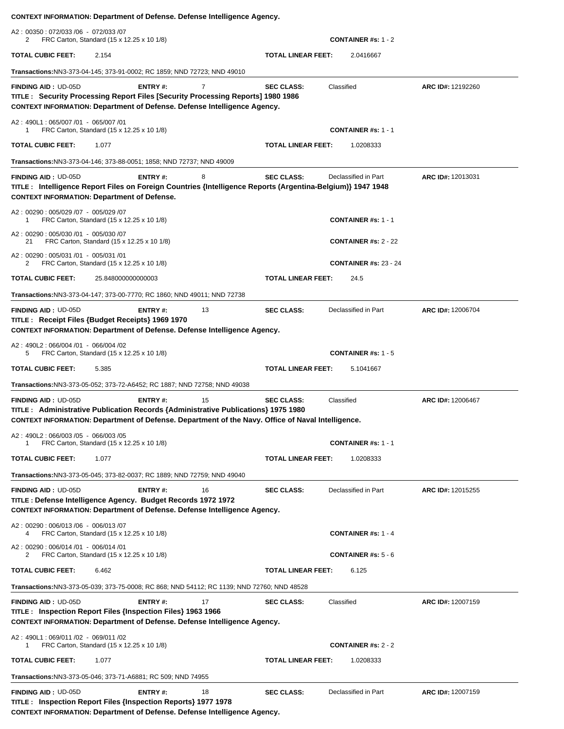| <b>CONTEXT INFORMATION: Department of Defense. Defense Intelligence Agency.</b>                                                                                                                                       |                |    |                           |                              |                   |
|-----------------------------------------------------------------------------------------------------------------------------------------------------------------------------------------------------------------------|----------------|----|---------------------------|------------------------------|-------------------|
| A2: 00350: 072/033 /06 - 072/033 /07<br>FRC Carton, Standard (15 x 12.25 x 10 1/8)<br>2                                                                                                                               |                |    |                           | <b>CONTAINER #s: 1 - 2</b>   |                   |
| TOTAL CUBIC FEET:<br>2.154                                                                                                                                                                                            |                |    | <b>TOTAL LINEAR FEET:</b> | 2.0416667                    |                   |
| <b>Transactions:</b> NN3-373-04-145; 373-91-0002; RC 1859; NND 72723; NND 49010                                                                                                                                       |                |    |                           |                              |                   |
| <b>FINDING AID: UD-05D</b><br>TITLE: Security Processing Report Files [Security Processing Reports] 1980 1986<br>CONTEXT INFORMATION: Department of Defense. Defense Intelligence Agency.                             | ENTRY#:        | 7  | <b>SEC CLASS:</b>         | Classified                   | ARC ID#: 12192260 |
| A2: 490L1: 065/007 /01 - 065/007 /01<br>FRC Carton, Standard (15 x 12.25 x 10 1/8)<br>1                                                                                                                               |                |    |                           | <b>CONTAINER #s: 1 - 1</b>   |                   |
| <b>TOTAL CUBIC FEET:</b><br>1.077                                                                                                                                                                                     |                |    | TOTAL LINEAR FEET:        | 1.0208333                    |                   |
| <b>Transactions:</b> NN3-373-04-146; 373-88-0051; 1858; NND 72737; NND 49009                                                                                                                                          |                |    |                           |                              |                   |
| <b>FINDING AID: UD-05D</b><br>TITLE : Intelligence Report Files on Foreign Countries {Intelligence Reports (Argentina-Belgium)} 1947 1948<br><b>CONTEXT INFORMATION: Department of Defense.</b>                       | ENTRY#:        | 8  | <b>SEC CLASS:</b>         | Declassified in Part         | ARC ID#: 12013031 |
| A2: 00290: 005/029 /07 - 005/029 /07<br>FRC Carton, Standard (15 x 12.25 x 10 1/8)<br>1                                                                                                                               |                |    |                           | <b>CONTAINER #s: 1 - 1</b>   |                   |
| A2: 00290: 005/030 /01 - 005/030 /07<br>FRC Carton, Standard (15 x 12.25 x 10 1/8)<br>21                                                                                                                              |                |    |                           | <b>CONTAINER #s: 2 - 22</b>  |                   |
| A2: 00290: 005/031 /01 - 005/031 /01<br>FRC Carton, Standard (15 x 12.25 x 10 1/8)<br>2                                                                                                                               |                |    |                           | <b>CONTAINER #s: 23 - 24</b> |                   |
| TOTAL CUBIC FEET:<br>25.848000000000003                                                                                                                                                                               |                |    | <b>TOTAL LINEAR FEET:</b> | 24.5                         |                   |
| Transactions: NN3-373-04-147; 373-00-7770; RC 1860; NND 49011; NND 72738                                                                                                                                              |                |    |                           |                              |                   |
| <b>FINDING AID: UD-05D</b><br>TITLE : Receipt Files {Budget Receipts} 1969 1970<br><b>CONTEXT INFORMATION: Department of Defense. Defense Intelligence Agency.</b>                                                    | <b>ENTRY#:</b> | 13 | <b>SEC CLASS:</b>         | Declassified in Part         | ARC ID#: 12006704 |
| A2: 490L2: 066/004 /01 - 066/004 /02<br>FRC Carton, Standard (15 x 12.25 x 10 1/8)<br>5                                                                                                                               |                |    |                           | <b>CONTAINER #s: 1 - 5</b>   |                   |
|                                                                                                                                                                                                                       |                |    |                           |                              |                   |
| <b>TOTAL CUBIC FEET:</b><br>5.385                                                                                                                                                                                     |                |    | <b>TOTAL LINEAR FEET:</b> | 5.1041667                    |                   |
| Transactions:NN3-373-05-052; 373-72-A6452; RC 1887; NND 72758; NND 49038                                                                                                                                              |                |    |                           |                              |                   |
| <b>FINDING AID: UD-05D</b><br>TITLE : Administrative Publication Records {Administrative Publications} 1975 1980<br>CONTEXT INFORMATION: Department of Defense. Department of the Navy. Office of Naval Intelligence. | ENTRY#:        | 15 | <b>SEC CLASS:</b>         | Classified                   | ARC ID#: 12006467 |
| A2: 490L2: 066/003 /05 - 066/003 /05<br>FRC Carton, Standard (15 x 12.25 x 10 1/8)                                                                                                                                    |                |    |                           | <b>CONTAINER #s: 1 - 1</b>   |                   |
| TOTAL CUBIC FEET:<br>1.077                                                                                                                                                                                            |                |    | <b>TOTAL LINEAR FEET:</b> | 1.0208333                    |                   |
| <b>Transactions:</b> NN3-373-05-045; 373-82-0037; RC 1889; NND 72759; NND 49040                                                                                                                                       |                |    |                           |                              |                   |
| <b>FINDING AID: UD-05D</b><br>TITLE : Defense Intelligence Agency. Budget Records 1972 1972<br>CONTEXT INFORMATION: Department of Defense. Defense Intelligence Agency.                                               | <b>ENTRY#:</b> | 16 | <b>SEC CLASS:</b>         | Declassified in Part         | ARC ID#: 12015255 |
| A2: 00290: 006/013/06 - 006/013/07<br>FRC Carton, Standard (15 x 12.25 x 10 1/8)<br>4                                                                                                                                 |                |    |                           | <b>CONTAINER #s: 1 - 4</b>   |                   |
| A2: 00290: 006/014 /01 - 006/014 /01<br>FRC Carton, Standard (15 x 12.25 x 10 1/8)<br>2                                                                                                                               |                |    |                           | <b>CONTAINER #s: 5 - 6</b>   |                   |
| TOTAL CUBIC FEET:<br>6.462                                                                                                                                                                                            |                |    | <b>TOTAL LINEAR FEET:</b> | 6.125                        |                   |
| Transactions:NN3-373-05-039; 373-75-0008; RC 868; NND 54112; RC 1139; NND 72760; NND 48528                                                                                                                            |                |    |                           |                              |                   |
| <b>FINDING AID: UD-05D</b><br>TITLE: Inspection Report Files {Inspection Files} 1963 1966<br><b>CONTEXT INFORMATION: Department of Defense. Defense Intelligence Agency.</b>                                          | <b>ENTRY#:</b> | 17 | <b>SEC CLASS:</b>         | Classified                   | ARC ID#: 12007159 |
| A2: 490L1: 069/011 /02 - 069/011 /02<br>FRC Carton, Standard (15 x 12.25 x 10 1/8)<br>1                                                                                                                               |                |    |                           | <b>CONTAINER #s: 2 - 2</b>   |                   |
| <b>TOTAL CUBIC FEET:</b><br>1.077                                                                                                                                                                                     |                |    | <b>TOTAL LINEAR FEET:</b> | 1.0208333                    |                   |
| Transactions: NN3-373-05-046; 373-71-A6881; RC 509; NND 74955                                                                                                                                                         |                |    |                           |                              |                   |

**CONTEXT INFORMATION: Department of Defense. Defense Intelligence Agency.**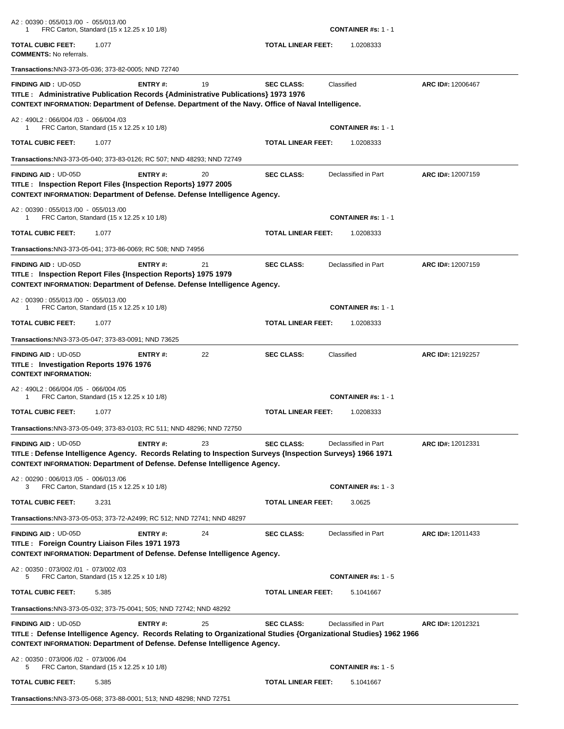| A2: 00390: 055/013 /00 - 055/013 /00<br>FRC Carton, Standard (15 x 12.25 x 10 1/8)                                                                                                                                                 |                |    |                           | <b>CONTAINER #s: 1 - 1</b> |                   |
|------------------------------------------------------------------------------------------------------------------------------------------------------------------------------------------------------------------------------------|----------------|----|---------------------------|----------------------------|-------------------|
| <b>TOTAL CUBIC FEET:</b><br>1.077<br><b>COMMENTS: No referrals.</b>                                                                                                                                                                |                |    | <b>TOTAL LINEAR FEET:</b> | 1.0208333                  |                   |
| Transactions: NN3-373-05-036; 373-82-0005; NND 72740                                                                                                                                                                               |                |    |                           |                            |                   |
| <b>FINDING AID: UD-05D</b><br>TITLE : Administrative Publication Records {Administrative Publications} 1973 1976<br>CONTEXT INFORMATION: Department of Defense. Department of the Navy. Office of Naval Intelligence.              | ENTRY#:        | 19 | <b>SEC CLASS:</b>         | Classified                 | ARC ID#: 12006467 |
| A2: 490L2: 066/004 /03 - 066/004 /03<br>FRC Carton, Standard (15 x 12.25 x 10 1/8)                                                                                                                                                 |                |    |                           | <b>CONTAINER #s: 1 - 1</b> |                   |
| <b>TOTAL CUBIC FEET:</b><br>1.077                                                                                                                                                                                                  |                |    | <b>TOTAL LINEAR FEET:</b> | 1.0208333                  |                   |
| Transactions:NN3-373-05-040; 373-83-0126; RC 507; NND 48293; NND 72749                                                                                                                                                             |                |    |                           |                            |                   |
| <b>FINDING AID: UD-05D</b><br>TITLE : Inspection Report Files {Inspection Reports} 1977 2005<br>CONTEXT INFORMATION: Department of Defense. Defense Intelligence Agency.                                                           | ENTRY#:        | 20 | <b>SEC CLASS:</b>         | Declassified in Part       | ARC ID#: 12007159 |
| A2: 00390: 055/013 /00 - 055/013 /00<br>FRC Carton, Standard (15 x 12.25 x 10 1/8)<br>1                                                                                                                                            |                |    |                           | <b>CONTAINER #s: 1 - 1</b> |                   |
| <b>TOTAL CUBIC FEET:</b><br>1.077                                                                                                                                                                                                  |                |    | <b>TOTAL LINEAR FEET:</b> | 1.0208333                  |                   |
| Transactions: NN3-373-05-041; 373-86-0069; RC 508; NND 74956                                                                                                                                                                       |                |    |                           |                            |                   |
| <b>FINDING AID: UD-05D</b><br>TITLE : Inspection Report Files {Inspection Reports} 1975 1979<br><b>CONTEXT INFORMATION: Department of Defense. Defense Intelligence Agency.</b>                                                    | ENTRY#:        | 21 | <b>SEC CLASS:</b>         | Declassified in Part       | ARC ID#: 12007159 |
| A2: 00390: 055/013 /00 - 055/013 /00<br>FRC Carton, Standard (15 x 12.25 x 10 1/8)<br>1                                                                                                                                            |                |    |                           | <b>CONTAINER #s: 1 - 1</b> |                   |
| <b>TOTAL CUBIC FEET:</b><br>1.077                                                                                                                                                                                                  |                |    | <b>TOTAL LINEAR FEET:</b> | 1.0208333                  |                   |
| Transactions: NN3-373-05-047; 373-83-0091; NND 73625                                                                                                                                                                               |                |    |                           |                            |                   |
| <b>FINDING AID: UD-05D</b><br>TITLE : Investigation Reports 1976 1976<br><b>CONTEXT INFORMATION:</b>                                                                                                                               | ENTRY#:        | 22 | <b>SEC CLASS:</b>         | Classified                 | ARC ID#: 12192257 |
| A2: 490L2: 066/004 /05 - 066/004 /05<br>FRC Carton, Standard (15 x 12.25 x 10 1/8)                                                                                                                                                 |                |    |                           | <b>CONTAINER #s: 1 - 1</b> |                   |
| <b>TOTAL CUBIC FEET:</b><br>1.077                                                                                                                                                                                                  |                |    | <b>TOTAL LINEAR FEET:</b> | 1.0208333                  |                   |
| Transactions: NN3-373-05-049; 373-83-0103; RC 511; NND 48296; NND 72750                                                                                                                                                            |                |    |                           |                            |                   |
| <b>FINDING AID: UD-05D</b><br>TITLE: Defense Intelligence Agency. Records Relating to Inspection Surveys {Inspection Surveys} 1966 1971<br><b>CONTEXT INFORMATION: Department of Defense. Defense Intelligence Agency.</b>         | ENTRY#:        | 23 | <b>SEC CLASS:</b>         | Declassified in Part       | ARC ID#: 12012331 |
| A2: 00290: 006/013/05 - 006/013/06<br>FRC Carton, Standard (15 x 12.25 x 10 1/8)<br>3                                                                                                                                              |                |    |                           | <b>CONTAINER #s: 1 - 3</b> |                   |
| <b>TOTAL CUBIC FEET:</b><br>3.231                                                                                                                                                                                                  |                |    | <b>TOTAL LINEAR FEET:</b> | 3.0625                     |                   |
| <b>Transactions:</b> NN3-373-05-053; 373-72-A2499; RC 512; NND 72741; NND 48297                                                                                                                                                    |                |    |                           |                            |                   |
| <b>FINDING AID: UD-05D</b><br>TITLE: Foreign Country Liaison Files 1971 1973<br><b>CONTEXT INFORMATION: Department of Defense. Defense Intelligence Agency.</b>                                                                    | <b>ENTRY#:</b> | 24 | <b>SEC CLASS:</b>         | Declassified in Part       | ARC ID#: 12011433 |
| A2: 00350: 073/002 /01 - 073/002 /03<br>FRC Carton, Standard (15 x 12.25 x 10 1/8)<br>5                                                                                                                                            |                |    |                           | <b>CONTAINER #s: 1 - 5</b> |                   |
| <b>TOTAL CUBIC FEET:</b><br>5.385                                                                                                                                                                                                  |                |    | <b>TOTAL LINEAR FEET:</b> | 5.1041667                  |                   |
| Transactions:NN3-373-05-032; 373-75-0041; 505; NND 72742; NND 48292                                                                                                                                                                |                |    |                           |                            |                   |
| <b>FINDING AID: UD-05D</b><br>TITLE: Defense Intelligence Agency. Records Relating to Organizational Studies {Organizational Studies} 1962 1966<br><b>CONTEXT INFORMATION: Department of Defense. Defense Intelligence Agency.</b> | ENTRY#:        | 25 | <b>SEC CLASS:</b>         | Declassified in Part       | ARC ID#: 12012321 |
| A2: 00350: 073/006 /02 - 073/006 /04<br>FRC Carton, Standard (15 x 12.25 x 10 1/8)<br>5                                                                                                                                            |                |    |                           | <b>CONTAINER #s: 1 - 5</b> |                   |
| <b>TOTAL CUBIC FEET:</b><br>5.385                                                                                                                                                                                                  |                |    | <b>TOTAL LINEAR FEET:</b> | 5.1041667                  |                   |
| Transactions:NN3-373-05-068; 373-88-0001; 513; NND 48298; NND 72751                                                                                                                                                                |                |    |                           |                            |                   |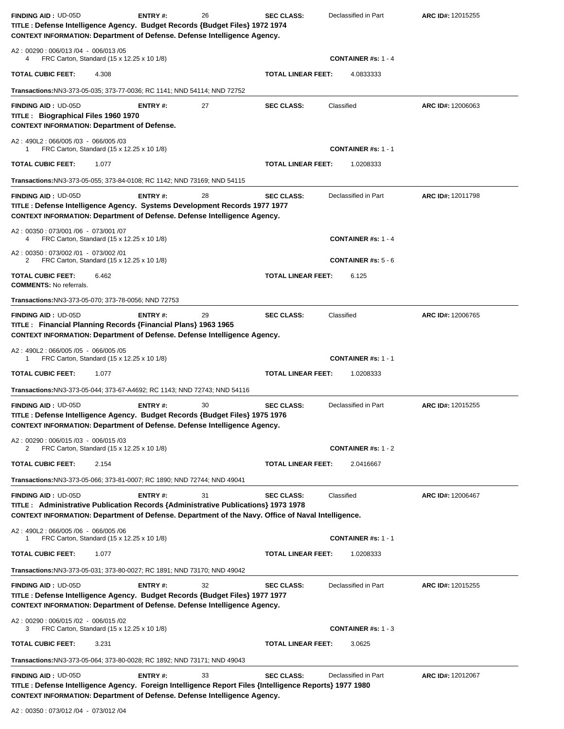| <b>FINDING AID: UD-05D</b>                                                                                                                                                                                            | ENTRY#:        | 26 | <b>SEC CLASS:</b>         | Declassified in Part       | ARC ID#: 12015255 |
|-----------------------------------------------------------------------------------------------------------------------------------------------------------------------------------------------------------------------|----------------|----|---------------------------|----------------------------|-------------------|
| TITLE : Defense Intelligence Agency. Budget Records {Budget Files} 1972 1974<br><b>CONTEXT INFORMATION: Department of Defense. Defense Intelligence Agency.</b>                                                       |                |    |                           |                            |                   |
| A2: 00290: 006/013 /04 - 006/013 /05<br>FRC Carton, Standard (15 x 12.25 x 10 1/8)<br>4                                                                                                                               |                |    |                           | <b>CONTAINER #s: 1 - 4</b> |                   |
| <b>TOTAL CUBIC FEET:</b><br>4.308                                                                                                                                                                                     |                |    | <b>TOTAL LINEAR FEET:</b> | 4.0833333                  |                   |
| Transactions:NN3-373-05-035; 373-77-0036; RC 1141; NND 54114; NND 72752                                                                                                                                               |                |    |                           |                            |                   |
| <b>FINDING AID: UD-05D</b><br>TITLE: Biographical Files 1960 1970<br><b>CONTEXT INFORMATION: Department of Defense.</b>                                                                                               | ENTRY#:        | 27 | <b>SEC CLASS:</b>         | Classified                 | ARC ID#: 12006063 |
| A2: 490L2: 066/005 /03 - 066/005 /03<br>FRC Carton, Standard (15 x 12.25 x 10 1/8)<br>1                                                                                                                               |                |    |                           | <b>CONTAINER #s: 1 - 1</b> |                   |
| <b>TOTAL CUBIC FEET:</b><br>1.077                                                                                                                                                                                     |                |    | TOTAL LINEAR FEET:        | 1.0208333                  |                   |
| Transactions: NN3-373-05-055; 373-84-0108; RC 1142; NND 73169; NND 54115                                                                                                                                              |                |    |                           |                            |                   |
| <b>FINDING AID: UD-05D</b><br>TITLE : Defense Intelligence Agency. Systems Development Records 1977 1977<br>CONTEXT INFORMATION: Department of Defense. Defense Intelligence Agency.                                  | ENTRY#:        | 28 | <b>SEC CLASS:</b>         | Declassified in Part       | ARC ID#: 12011798 |
| A2: 00350: 073/001 /06 - 073/001 /07<br>FRC Carton, Standard (15 x 12.25 x 10 1/8)<br>4                                                                                                                               |                |    |                           | CONTAINER #s: $1 - 4$      |                   |
| A2: 00350: 073/002 /01 - 073/002 /01<br>FRC Carton, Standard (15 x 12.25 x 10 1/8)<br>2                                                                                                                               |                |    |                           | <b>CONTAINER #s: 5 - 6</b> |                   |
| <b>TOTAL CUBIC FEET:</b><br>6.462<br><b>COMMENTS:</b> No referrals.                                                                                                                                                   |                |    | <b>TOTAL LINEAR FEET:</b> | 6.125                      |                   |
| Transactions: NN3-373-05-070; 373-78-0056; NND 72753                                                                                                                                                                  |                |    |                           |                            |                   |
| <b>FINDING AID: UD-05D</b><br>TITLE : Financial Planning Records {Financial Plans} 1963 1965<br><b>CONTEXT INFORMATION: Department of Defense. Defense Intelligence Agency.</b>                                       | ENTRY#:        | 29 | <b>SEC CLASS:</b>         | Classified                 | ARC ID#: 12006765 |
| A2: 490L2: 066/005 /05 - 066/005 /05<br>FRC Carton, Standard (15 x 12.25 x 10 1/8)<br>1                                                                                                                               |                |    |                           | <b>CONTAINER #s: 1 - 1</b> |                   |
| <b>TOTAL CUBIC FEET:</b><br>1.077                                                                                                                                                                                     |                |    | <b>TOTAL LINEAR FEET:</b> | 1.0208333                  |                   |
| Transactions: NN3-373-05-044; 373-67-A4692; RC 1143; NND 72743; NND 54116                                                                                                                                             |                |    |                           |                            |                   |
| <b>FINDING AID: UD-05D</b><br>TITLE : Defense Intelligence Agency. Budget Records {Budget Files} 1975 1976<br>CONTEXT INFORMATION: Department of Defense. Defense Intelligence Agency.                                | ENTRY#:        | 30 | <b>SEC CLASS:</b>         | Declassified in Part       | ARC ID#: 12015255 |
| A2: 00290: 006/015 /03 - 006/015 /03<br>FRC Carton, Standard (15 x 12.25 x 10 1/8)<br>2                                                                                                                               |                |    |                           | <b>CONTAINER #s: 1 - 2</b> |                   |
| <b>TOTAL CUBIC FEET:</b><br>2.154                                                                                                                                                                                     |                |    | <b>TOTAL LINEAR FEET:</b> | 2.0416667                  |                   |
| Transactions: NN3-373-05-066; 373-81-0007; RC 1890; NND 72744; NND 49041                                                                                                                                              |                |    |                           |                            |                   |
| <b>FINDING AID: UD-05D</b><br>TITLE : Administrative Publication Records {Administrative Publications} 1973 1978<br>CONTEXT INFORMATION: Department of Defense. Department of the Navy. Office of Naval Intelligence. | <b>ENTRY#:</b> | 31 | <b>SEC CLASS:</b>         | Classified                 | ARC ID#: 12006467 |
| A2: 490L2: 066/005 /06 - 066/005 /06<br>FRC Carton, Standard (15 x 12.25 x 10 1/8)                                                                                                                                    |                |    |                           | <b>CONTAINER #s: 1 - 1</b> |                   |
| TOTAL CUBIC FEET:<br>1.077                                                                                                                                                                                            |                |    | <b>TOTAL LINEAR FEET:</b> | 1.0208333                  |                   |
| <b>Transactions:</b> NN3-373-05-031; 373-80-0027; RC 1891; NND 73170; NND 49042                                                                                                                                       |                |    |                           |                            |                   |
| <b>FINDING AID: UD-05D</b><br>TITLE : Defense Intelligence Agency. Budget Records {Budget Files} 1977 1977<br>CONTEXT INFORMATION: Department of Defense. Defense Intelligence Agency.                                | ENTRY#:        | 32 | <b>SEC CLASS:</b>         | Declassified in Part       | ARC ID#: 12015255 |
| A2: 00290: 006/015 /02 - 006/015 /02<br>FRC Carton, Standard (15 x 12.25 x 10 1/8)<br>3                                                                                                                               |                |    |                           | <b>CONTAINER #s: 1 - 3</b> |                   |
| <b>TOTAL CUBIC FEET:</b><br>3.231                                                                                                                                                                                     |                |    | <b>TOTAL LINEAR FEET:</b> | 3.0625                     |                   |
| Transactions:NN3-373-05-064; 373-80-0028; RC 1892; NND 73171; NND 49043                                                                                                                                               |                |    |                           |                            |                   |
| FINDING AID: UD-05D<br>TITLE : Defense Intelligence Agency. Foreign Intelligence Report Files {Intelligence Reports} 1977 1980<br><b>CONTEXT INFORMATION: Department of Defense. Defense Intelligence Agency.</b>     | ENTRY#:        | 33 | <b>SEC CLASS:</b>         | Declassified in Part       | ARC ID#: 12012067 |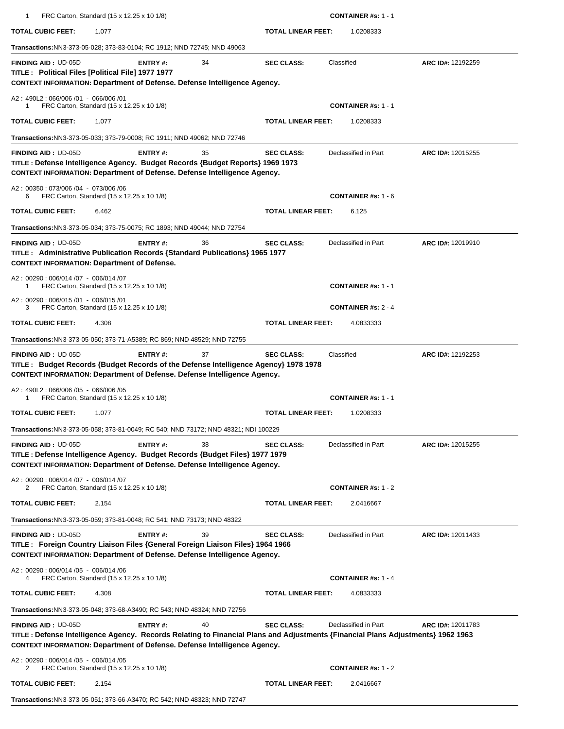| FRC Carton, Standard (15 x 12.25 x 10 1/8)<br>1                                                                                                                                                                                                                                                   |                |    |                           | <b>CONTAINER #s: 1 - 1</b>              |                   |
|---------------------------------------------------------------------------------------------------------------------------------------------------------------------------------------------------------------------------------------------------------------------------------------------------|----------------|----|---------------------------|-----------------------------------------|-------------------|
| <b>TOTAL CUBIC FEET:</b><br>1.077                                                                                                                                                                                                                                                                 |                |    | <b>TOTAL LINEAR FEET:</b> | 1.0208333                               |                   |
| <b>Transactions:</b> NN3-373-05-028; 373-83-0104; RC 1912; NND 72745; NND 49063                                                                                                                                                                                                                   |                |    |                           |                                         |                   |
| <b>FINDING AID: UD-05D</b><br>TITLE : Political Files [Political File] 1977 1977<br><b>CONTEXT INFORMATION: Department of Defense. Defense Intelligence Agency.</b>                                                                                                                               | <b>ENTRY#:</b> | 34 | <b>SEC CLASS:</b>         | Classified                              | ARC ID#: 12192259 |
| A2: 490L2: 066/006 /01 - 066/006 /01<br>FRC Carton, Standard (15 x 12.25 x 10 1/8)<br>1                                                                                                                                                                                                           |                |    |                           | <b>CONTAINER #s: 1 - 1</b>              |                   |
| <b>TOTAL CUBIC FEET:</b><br>1.077                                                                                                                                                                                                                                                                 |                |    | <b>TOTAL LINEAR FEET:</b> | 1.0208333                               |                   |
| <b>Transactions:</b> NN3-373-05-033; 373-79-0008; RC 1911; NND 49062; NND 72746                                                                                                                                                                                                                   |                |    |                           |                                         |                   |
| <b>FINDING AID: UD-05D</b><br>TITLE : Defense Intelligence Agency. Budget Records {Budget Reports} 1969 1973<br>CONTEXT INFORMATION: Department of Defense. Defense Intelligence Agency.                                                                                                          | ENTRY#:        | 35 | <b>SEC CLASS:</b>         | Declassified in Part                    | ARC ID#: 12015255 |
| A2: 00350: 073/006 /04 - 073/006 /06<br>FRC Carton, Standard (15 x 12.25 x 10 1/8)<br>6                                                                                                                                                                                                           |                |    |                           | <b>CONTAINER</b> #s: $1 - 6$            |                   |
| <b>TOTAL CUBIC FEET:</b><br>6.462                                                                                                                                                                                                                                                                 |                |    | <b>TOTAL LINEAR FEET:</b> | 6.125                                   |                   |
| <b>Transactions:</b> NN3-373-05-034; 373-75-0075; RC 1893; NND 49044; NND 72754                                                                                                                                                                                                                   |                |    |                           |                                         |                   |
| <b>FINDING AID: UD-05D</b><br>TITLE : Administrative Publication Records {Standard Publications} 1965 1977<br><b>CONTEXT INFORMATION: Department of Defense.</b>                                                                                                                                  | <b>ENTRY#:</b> | 36 | <b>SEC CLASS:</b>         | Declassified in Part                    | ARC ID#: 12019910 |
| A2: 00290: 006/014 /07 - 006/014 /07<br>FRC Carton, Standard (15 x 12.25 x 10 1/8)<br>1                                                                                                                                                                                                           |                |    |                           | <b>CONTAINER #s: 1 - 1</b>              |                   |
| A2: 00290: 006/015 /01 - 006/015 /01<br>3<br>FRC Carton, Standard (15 x 12.25 x 10 1/8)                                                                                                                                                                                                           |                |    |                           | CONTAINER #s: $2 - 4$                   |                   |
| <b>TOTAL CUBIC FEET:</b><br>4.308                                                                                                                                                                                                                                                                 |                |    | <b>TOTAL LINEAR FEET:</b> | 4.0833333                               |                   |
| <b>Transactions:</b> NN3-373-05-050; 373-71-A5389; RC 869; NND 48529; NND 72755                                                                                                                                                                                                                   |                |    |                           |                                         |                   |
| TITLE: Budget Records {Budget Records of the Defense Intelligence Agency} 1978 1978<br><b>CONTEXT INFORMATION: Department of Defense. Defense Intelligence Agency.</b><br>A2: 490L2: 066/006 /05 - 066/006 /05<br>FRC Carton, Standard (15 x 12.25 x 10 1/8)<br><b>TOTAL CUBIC FEET:</b><br>1.077 |                |    | <b>TOTAL LINEAR FEET:</b> | <b>CONTAINER #s: 1 - 1</b><br>1.0208333 |                   |
| Transactions:NN3-373-05-058; 373-81-0049; RC 540; NND 73172; NND 48321; NDI 100229                                                                                                                                                                                                                |                |    |                           |                                         |                   |
| <b>FINDING AID: UD-05D</b><br>TITLE : Defense Intelligence Agency. Budget Records {Budget Files} 1977 1979<br><b>CONTEXT INFORMATION: Department of Defense. Defense Intelligence Agency.</b>                                                                                                     | <b>ENTRY#:</b> | 38 | <b>SEC CLASS:</b>         | Declassified in Part                    | ARC ID#: 12015255 |
| A2: 00290: 006/014 /07 - 006/014 /07<br>FRC Carton, Standard (15 x 12.25 x 10 1/8)<br>2                                                                                                                                                                                                           |                |    |                           | <b>CONTAINER #s: 1 - 2</b>              |                   |
| <b>TOTAL CUBIC FEET:</b><br>2.154                                                                                                                                                                                                                                                                 |                |    | <b>TOTAL LINEAR FEET:</b> | 2.0416667                               |                   |
| Transactions:NN3-373-05-059; 373-81-0048; RC 541; NND 73173; NND 48322                                                                                                                                                                                                                            |                |    |                           |                                         |                   |
| <b>FINDING AID: UD-05D</b><br>TITLE : Foreign Country Liaison Files {General Foreign Liaison Files} 1964 1966<br>CONTEXT INFORMATION: Department of Defense. Defense Intelligence Agency.                                                                                                         | ENTRY#:        | 39 | <b>SEC CLASS:</b>         | Declassified in Part                    | ARC ID#: 12011433 |
| A2: 00290: 006/014 /05 - 006/014 /06<br>FRC Carton, Standard (15 x 12.25 x 10 1/8)<br>4                                                                                                                                                                                                           |                |    |                           | <b>CONTAINER #s: 1 - 4</b>              |                   |
| <b>TOTAL CUBIC FEET:</b><br>4.308                                                                                                                                                                                                                                                                 |                |    | <b>TOTAL LINEAR FEET:</b> | 4.0833333                               |                   |
| <b>Transactions:</b> NN3-373-05-048; 373-68-A3490; RC 543; NND 48324; NND 72756                                                                                                                                                                                                                   |                |    |                           |                                         |                   |
| <b>FINDING AID: UD-05D</b><br>TITLE : Defense Intelligence Agency. Records Relating to Financial Plans and Adjustments {Financial Plans Adjustments} 1962 1963<br><b>CONTEXT INFORMATION: Department of Defense. Defense Intelligence Agency.</b>                                                 | ENTRY#:        | 40 | <b>SEC CLASS:</b>         | Declassified in Part                    | ARC ID#: 12011783 |
| A2: 00290: 006/014 /05 - 006/014 /05<br>FRC Carton, Standard (15 x 12.25 x 10 1/8)<br>2                                                                                                                                                                                                           |                |    |                           | CONTAINER #s: $1 - 2$                   |                   |
| <b>TOTAL CUBIC FEET:</b><br>2.154                                                                                                                                                                                                                                                                 |                |    | <b>TOTAL LINEAR FEET:</b> | 2.0416667                               |                   |
| Transactions: NN3-373-05-051; 373-66-A3470; RC 542; NND 48323; NND 72747                                                                                                                                                                                                                          |                |    |                           |                                         |                   |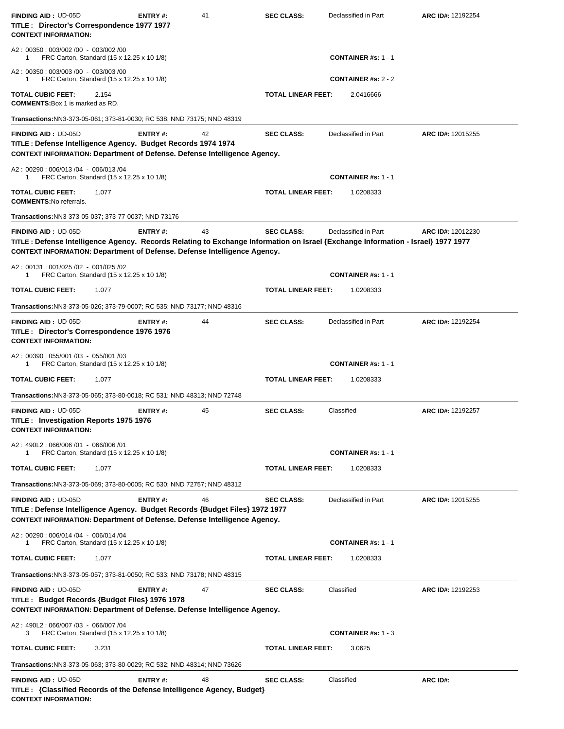| <b>FINDING AID: UD-05D</b><br>TITLE : Director's Correspondence 1977 1977<br><b>CONTEXT INFORMATION:</b>                                                                                                             | <b>ENTRY#:</b> | 41 | <b>SEC CLASS:</b>         | Declassified in Part       | ARC ID#: 12192254 |
|----------------------------------------------------------------------------------------------------------------------------------------------------------------------------------------------------------------------|----------------|----|---------------------------|----------------------------|-------------------|
| A2:00350:003/002 /00 - 003/002 /00<br>FRC Carton, Standard (15 x 12.25 x 10 1/8)                                                                                                                                     |                |    |                           | <b>CONTAINER #s: 1 - 1</b> |                   |
| A2: 00350: 003/003 /00 - 003/003 /00<br>FRC Carton, Standard (15 x 12.25 x 10 1/8)                                                                                                                                   |                |    |                           | <b>CONTAINER #s: 2 - 2</b> |                   |
| <b>TOTAL CUBIC FEET:</b><br>2.154<br><b>COMMENTS:</b> Box 1 is marked as RD.                                                                                                                                         |                |    | <b>TOTAL LINEAR FEET:</b> | 2.0416666                  |                   |
| Transactions:NN3-373-05-061; 373-81-0030; RC 538; NND 73175; NND 48319                                                                                                                                               |                |    |                           |                            |                   |
| <b>FINDING AID: UD-05D</b>                                                                                                                                                                                           | <b>ENTRY#:</b> | 42 | <b>SEC CLASS:</b>         | Declassified in Part       | ARC ID#: 12015255 |
| TITLE : Defense Intelligence Agency. Budget Records 1974 1974<br>CONTEXT INFORMATION: Department of Defense. Defense Intelligence Agency.                                                                            |                |    |                           |                            |                   |
| A2: 00290: 006/013/04 - 006/013/04<br>FRC Carton, Standard (15 x 12.25 x 10 1/8)<br>-1                                                                                                                               |                |    |                           | <b>CONTAINER #s: 1 - 1</b> |                   |
| TOTAL CUBIC FEET:<br>1.077<br><b>COMMENTS:No referrals.</b>                                                                                                                                                          |                |    | TOTAL LINEAR FEET:        | 1.0208333                  |                   |
| Transactions:NN3-373-05-037; 373-77-0037; NND 73176                                                                                                                                                                  |                |    |                           |                            |                   |
| <b>FINDING AID: UD-05D</b>                                                                                                                                                                                           | <b>ENTRY#:</b> | 43 | <b>SEC CLASS:</b>         | Declassified in Part       | ARC ID#: 12012230 |
| TITLE : Defense Intelligence Agency. Records Relating to Exchange Information on Israel {Exchange Information - Israel} 1977 1977<br><b>CONTEXT INFORMATION: Department of Defense. Defense Intelligence Agency.</b> |                |    |                           |                            |                   |
| A2: 00131: 001/025/02 - 001/025/02<br>FRC Carton, Standard (15 x 12.25 x 10 1/8)                                                                                                                                     |                |    |                           | <b>CONTAINER #s: 1 - 1</b> |                   |
| TOTAL CUBIC FEET:<br>1.077                                                                                                                                                                                           |                |    | <b>TOTAL LINEAR FEET:</b> | 1.0208333                  |                   |
| Transactions:NN3-373-05-026; 373-79-0007; RC 535; NND 73177; NND 48316                                                                                                                                               |                |    |                           |                            |                   |
| <b>FINDING AID: UD-05D</b><br>TITLE : Director's Correspondence 1976 1976<br><b>CONTEXT INFORMATION:</b>                                                                                                             | <b>ENTRY#:</b> | 44 | <b>SEC CLASS:</b>         | Declassified in Part       | ARC ID#: 12192254 |
| A2: 00390: 055/001/03 - 055/001/03<br>FRC Carton, Standard (15 x 12.25 x 10 1/8)                                                                                                                                     |                |    |                           | <b>CONTAINER #s: 1 - 1</b> |                   |
| <b>TOTAL CUBIC FEET:</b><br>1.077                                                                                                                                                                                    |                |    | TOTAL LINEAR FEET:        | 1.0208333                  |                   |
| Transactions:NN3-373-05-065; 373-80-0018; RC 531; NND 48313; NND 72748                                                                                                                                               |                |    |                           |                            |                   |
| <b>FINDING AID: UD-05D</b>                                                                                                                                                                                           | <b>ENTRY#:</b> | 45 | <b>SEC CLASS:</b>         | Classified                 | ARC ID#: 12192257 |
| TITLE: Investigation Reports 1975 1976<br><b>CONTEXT INFORMATION:</b>                                                                                                                                                |                |    |                           |                            |                   |
| A2: 490L2: 066/006 /01 - 066/006 /01<br>FRC Carton, Standard (15 x 12.25 x 10 1/8)<br>1                                                                                                                              |                |    |                           | <b>CONTAINER #s: 1 - 1</b> |                   |
| TOTAL CUBIC FEET:<br>1.077                                                                                                                                                                                           |                |    | TOTAL LINEAR FEET:        | 1.0208333                  |                   |
| <b>Transactions:</b> NN3-373-05-069; 373-80-0005; RC 530; NND 72757; NND 48312                                                                                                                                       |                |    |                           |                            |                   |
| <b>FINDING AID: UD-05D</b><br>TITLE : Defense Intelligence Agency. Budget Records {Budget Files} 1972 1977<br><b>CONTEXT INFORMATION: Department of Defense. Defense Intelligence Agency.</b>                        | <b>ENTRY#:</b> | 46 | <b>SEC CLASS:</b>         | Declassified in Part       | ARC ID#: 12015255 |
| A2: 00290: 006/014 /04 - 006/014 /04<br>FRC Carton, Standard (15 x 12.25 x 10 1/8)<br>1                                                                                                                              |                |    |                           | <b>CONTAINER #s: 1 - 1</b> |                   |
| <b>TOTAL CUBIC FEET:</b><br>1.077                                                                                                                                                                                    |                |    | TOTAL LINEAR FEET:        | 1.0208333                  |                   |
| Transactions:NN3-373-05-057; 373-81-0050; RC 533; NND 73178; NND 48315                                                                                                                                               |                |    |                           |                            |                   |
| <b>FINDING AID: UD-05D</b><br>TITLE: Budget Records {Budget Files} 1976 1978<br><b>CONTEXT INFORMATION: Department of Defense. Defense Intelligence Agency.</b>                                                      | ENTRY#:        | 47 | <b>SEC CLASS:</b>         | Classified                 | ARC ID#: 12192253 |
| A2: 490L2: 066/007 /03 - 066/007 /04<br>FRC Carton, Standard (15 x 12.25 x 10 1/8)<br>3                                                                                                                              |                |    |                           | <b>CONTAINER #s: 1 - 3</b> |                   |
| TOTAL CUBIC FEET:<br>3.231                                                                                                                                                                                           |                |    | TOTAL LINEAR FEET:        | 3.0625                     |                   |
| Transactions:NN3-373-05-063; 373-80-0029; RC 532; NND 48314; NND 73626                                                                                                                                               |                |    |                           |                            |                   |
| <b>FINDING AID: UD-05D</b>                                                                                                                                                                                           | <b>ENTRY#:</b> | 48 | <b>SEC CLASS:</b>         |                            | ARC ID#:          |
| TITLE : {Classified Records of the Defense Intelligence Agency, Budget}<br><b>CONTEXT INFORMATION:</b>                                                                                                               |                |    |                           | Classified                 |                   |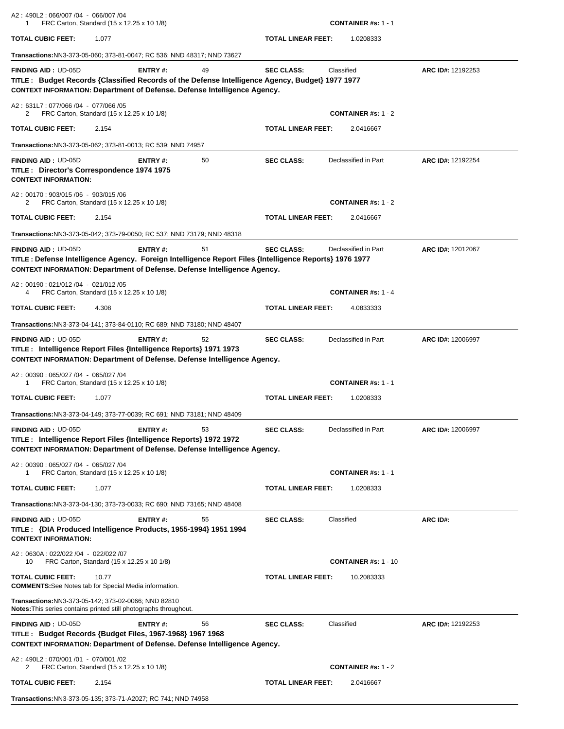| A2: 490L2: 066/007 /04 - 066/007 /04<br>FRC Carton, Standard (15 x 12.25 x 10 1/8)                                                                                                                                |                |    |                           | <b>CONTAINER #s: 1 - 1</b>  |                   |
|-------------------------------------------------------------------------------------------------------------------------------------------------------------------------------------------------------------------|----------------|----|---------------------------|-----------------------------|-------------------|
| <b>TOTAL CUBIC FEET:</b><br>1.077                                                                                                                                                                                 |                |    | <b>TOTAL LINEAR FEET:</b> | 1.0208333                   |                   |
| <b>Transactions:</b> NN3-373-05-060; 373-81-0047; RC 536; NND 48317; NND 73627                                                                                                                                    |                |    |                           |                             |                   |
| <b>FINDING AID: UD-05D</b><br>TITLE: Budget Records {Classified Records of the Defense Intelligence Agency, Budget} 1977 1977<br><b>CONTEXT INFORMATION: Department of Defense. Defense Intelligence Agency.</b>  | <b>ENTRY#:</b> | 49 | <b>SEC CLASS:</b>         | Classified                  | ARC ID#: 12192253 |
| A2: 631L7: 077/066 /04 - 077/066 /05<br>FRC Carton, Standard (15 x 12.25 x 10 1/8)<br>2                                                                                                                           |                |    |                           | <b>CONTAINER #s: 1 - 2</b>  |                   |
| 2.154<br><b>TOTAL CUBIC FEET:</b>                                                                                                                                                                                 |                |    | TOTAL LINEAR FEET:        | 2.0416667                   |                   |
| Transactions: NN3-373-05-062; 373-81-0013; RC 539; NND 74957                                                                                                                                                      |                |    |                           |                             |                   |
| <b>FINDING AID: UD-05D</b><br>TITLE: Director's Correspondence 1974 1975<br><b>CONTEXT INFORMATION:</b>                                                                                                           | <b>ENTRY#:</b> | 50 | <b>SEC CLASS:</b>         | Declassified in Part        | ARC ID#: 12192254 |
| A2: 00170: 903/015/06 - 903/015/06<br>FRC Carton, Standard (15 x 12.25 x 10 1/8)<br>2                                                                                                                             |                |    |                           | <b>CONTAINER #s: 1 - 2</b>  |                   |
| <b>TOTAL CUBIC FEET:</b><br>2.154                                                                                                                                                                                 |                |    | <b>TOTAL LINEAR FEET:</b> | 2.0416667                   |                   |
| Transactions:NN3-373-05-042; 373-79-0050; RC 537; NND 73179; NND 48318                                                                                                                                            |                |    |                           |                             |                   |
| <b>FINDING AID: UD-05D</b><br>TITLE : Defense Intelligence Agency. Foreign Intelligence Report Files {Intelligence Reports} 1976 1977<br>CONTEXT INFORMATION: Department of Defense. Defense Intelligence Agency. | <b>ENTRY#:</b> | 51 | <b>SEC CLASS:</b>         | Declassified in Part        | ARC ID#: 12012067 |
| A2: 00190: 021/012 /04 - 021/012 /05<br>FRC Carton, Standard (15 x 12.25 x 10 1/8)<br>4                                                                                                                           |                |    |                           | <b>CONTAINER #s: 1 - 4</b>  |                   |
| <b>TOTAL CUBIC FEET:</b><br>4.308                                                                                                                                                                                 |                |    | <b>TOTAL LINEAR FEET:</b> | 4.0833333                   |                   |
| <b>Transactions:</b> NN3-373-04-141; 373-84-0110; RC 689; NND 73180; NND 48407                                                                                                                                    |                |    |                           |                             |                   |
| <b>FINDING AID: UD-05D</b><br>TITLE : Intelligence Report Files {Intelligence Reports} 1971 1973<br><b>CONTEXT INFORMATION: Department of Defense. Defense Intelligence Agency.</b>                               | <b>ENTRY#:</b> | 52 | <b>SEC CLASS:</b>         | Declassified in Part        | ARC ID#: 12006997 |
| A2: 00390: 065/027 /04 - 065/027 /04<br>FRC Carton, Standard (15 x 12.25 x 10 1/8)<br>1                                                                                                                           |                |    |                           | <b>CONTAINER #s: 1 - 1</b>  |                   |
| <b>TOTAL CUBIC FEET:</b><br>1.077                                                                                                                                                                                 |                |    | <b>TOTAL LINEAR FEET:</b> | 1.0208333                   |                   |
| Transactions:NN3-373-04-149; 373-77-0039; RC 691; NND 73181; NND 48409                                                                                                                                            |                |    |                           |                             |                   |
| <b>FINDING AID: UD-05D</b><br>TITLE : Intelligence Report Files {Intelligence Reports} 1972 1972<br><b>CONTEXT INFORMATION: Department of Defense. Defense Intelligence Agency.</b>                               | <b>ENTRY#:</b> | 53 | <b>SEC CLASS:</b>         | Declassified in Part        | ARC ID#: 12006997 |
| A2: 00390: 065/027 /04 - 065/027 /04<br>FRC Carton, Standard (15 x 12.25 x 10 1/8)<br>1                                                                                                                           |                |    |                           | <b>CONTAINER #s: 1 - 1</b>  |                   |
| <b>TOTAL CUBIC FEET:</b><br>1.077                                                                                                                                                                                 |                |    | <b>TOTAL LINEAR FEET:</b> | 1.0208333                   |                   |
| Transactions:NN3-373-04-130; 373-73-0033; RC 690; NND 73165; NND 48408                                                                                                                                            |                |    |                           |                             |                   |
| <b>FINDING AID: UD-05D</b><br>TITLE: {DIA Produced Intelligence Products, 1955-1994} 1951 1994<br><b>CONTEXT INFORMATION:</b>                                                                                     | <b>ENTRY#:</b> | 55 | <b>SEC CLASS:</b>         | Classified                  | ARC ID#:          |
| A2: 0630A: 022/022 /04 - 022/022 /07<br>FRC Carton, Standard (15 x 12.25 x 10 1/8)<br>10                                                                                                                          |                |    |                           | <b>CONTAINER #s: 1 - 10</b> |                   |
| <b>TOTAL CUBIC FEET:</b><br>10.77<br><b>COMMENTS:</b> See Notes tab for Special Media information.                                                                                                                |                |    | <b>TOTAL LINEAR FEET:</b> | 10.2083333                  |                   |
| Transactions: NN3-373-05-142; 373-02-0066; NND 82810<br>Notes: This series contains printed still photographs throughout.                                                                                         |                |    |                           |                             |                   |
| <b>FINDING AID: UD-05D</b><br>TITLE: Budget Records {Budget Files, 1967-1968} 1967 1968<br><b>CONTEXT INFORMATION: Department of Defense. Defense Intelligence Agency.</b>                                        | <b>ENTRY#:</b> | 56 | <b>SEC CLASS:</b>         | Classified                  | ARC ID#: 12192253 |
| A2: 490L2: 070/001 /01 - 070/001 /02<br>FRC Carton, Standard (15 x 12.25 x 10 1/8)<br>2                                                                                                                           |                |    |                           | <b>CONTAINER #s: 1 - 2</b>  |                   |
| <b>TOTAL CUBIC FEET:</b><br>2.154                                                                                                                                                                                 |                |    | <b>TOTAL LINEAR FEET:</b> | 2.0416667                   |                   |
| Transactions: NN3-373-05-135; 373-71-A2027; RC 741; NND 74958                                                                                                                                                     |                |    |                           |                             |                   |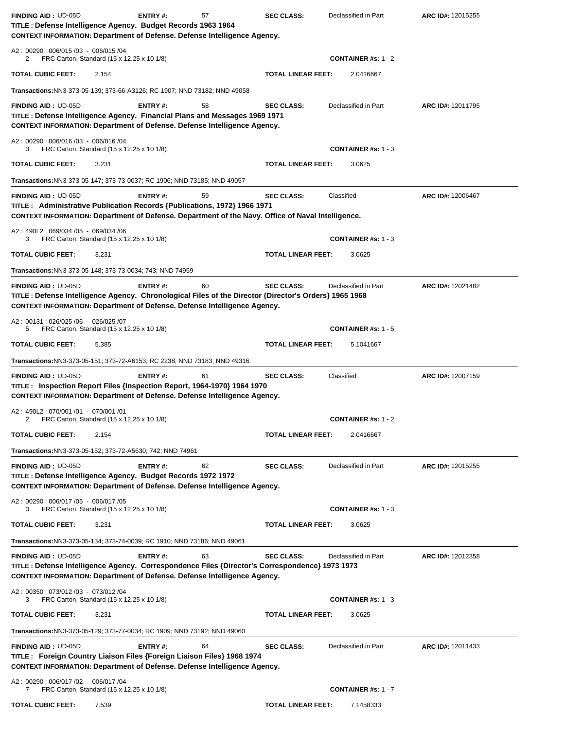|                                                                                                        | <b>ENTRY#:</b>                                                                                                                                                                                       | 57 | <b>SEC CLASS:</b>  | Declassified in Part       | ARC ID#: 12015255 |
|--------------------------------------------------------------------------------------------------------|------------------------------------------------------------------------------------------------------------------------------------------------------------------------------------------------------|----|--------------------|----------------------------|-------------------|
|                                                                                                        | TITLE: Defense Intelligence Agency. Budget Records 1963 1964<br><b>CONTEXT INFORMATION: Department of Defense. Defense Intelligence Agency.</b>                                                      |    |                    |                            |                   |
| A2: 00290: 006/015 /03 - 006/015 /04<br>2                                                              | FRC Carton, Standard (15 x 12.25 x 10 1/8)                                                                                                                                                           |    |                    | <b>CONTAINER #s: 1 - 2</b> |                   |
| <b>TOTAL CUBIC FEET:</b>                                                                               | 2.154                                                                                                                                                                                                |    | TOTAL LINEAR FEET: | 2.0416667                  |                   |
|                                                                                                        | <b>Transactions:</b> NN3-373-05-139; 373-66-A3126; RC 1907; NND 73182; NND 49058                                                                                                                     |    |                    |                            |                   |
| <b>FINDING AID: UD-05D</b>                                                                             | ENTRY#:<br>TITLE : Defense Intelligence Agency. Financial Plans and Messages 1969 1971<br>CONTEXT INFORMATION: Department of Defense. Defense Intelligence Agency.                                   | 58 | <b>SEC CLASS:</b>  | Declassified in Part       | ARC ID#: 12011795 |
| A2: 00290: 006/016 /03 - 006/016 /04<br>3                                                              | FRC Carton, Standard (15 x 12.25 x 10 1/8)                                                                                                                                                           |    |                    | <b>CONTAINER #s: 1 - 3</b> |                   |
| <b>TOTAL CUBIC FEET:</b>                                                                               | 3.231                                                                                                                                                                                                |    | TOTAL LINEAR FEET: | 3.0625                     |                   |
|                                                                                                        | Transactions: NN3-373-05-147; 373-73-0037; RC 1906; NND 73185; NND 49057                                                                                                                             |    |                    |                            |                   |
| <b>FINDING AID: UD-05D</b>                                                                             | ENTRY#:<br>TITLE : Administrative Publication Records {Publications, 1972} 1966 1971<br>CONTEXT INFORMATION: Department of Defense. Department of the Navy. Office of Naval Intelligence.            | 59 | <b>SEC CLASS:</b>  | Classified                 | ARC ID#: 12006467 |
| A2: 490L2: 069/034 /05 - 069/034 /06<br>3                                                              | FRC Carton, Standard (15 x 12.25 x 10 1/8)                                                                                                                                                           |    |                    | CONTAINER #s: $1 - 3$      |                   |
| <b>TOTAL CUBIC FEET:</b>                                                                               | 3.231                                                                                                                                                                                                |    | TOTAL LINEAR FEET: | 3.0625                     |                   |
|                                                                                                        | Transactions:NN3-373-05-148; 373-73-0034; 743; NND 74959                                                                                                                                             |    |                    |                            |                   |
| <b>FINDING AID: UD-05D</b>                                                                             | <b>ENTRY#:</b><br>TITLE : Defense Intelligence Agency. Chronological Files of the Director {Director's Orders} 1965 1968<br>CONTEXT INFORMATION: Department of Defense. Defense Intelligence Agency. | 60 | <b>SEC CLASS:</b>  | Declassified in Part       | ARC ID#: 12021482 |
| A2: 00131: 026/025/06 - 026/025/07<br>5                                                                | FRC Carton, Standard (15 x 12.25 x 10 1/8)                                                                                                                                                           |    |                    | <b>CONTAINER #s: 1 - 5</b> |                   |
| TOTAL CUBIC FEET:                                                                                      | 5.385                                                                                                                                                                                                |    | TOTAL LINEAR FEET: | 5.1041667                  |                   |
|                                                                                                        | Transactions:NN3-373-05-151; 373-72-A6153; RC 2238; NND 73183; NND 49316                                                                                                                             |    |                    |                            |                   |
| <b>FINDING AID: UD-05D</b><br>TITLE : Inspection Report Files {Inspection Report, 1964-1970} 1964 1970 | <b>ENTRY#:</b>                                                                                                                                                                                       | 61 | <b>SEC CLASS:</b>  | Classified                 | ARC ID#: 12007159 |
|                                                                                                        | <b>CONTEXT INFORMATION: Department of Defense. Defense Intelligence Agency.</b>                                                                                                                      |    |                    |                            |                   |
| A2: 490L2: 070/001 /01 - 070/001 /01<br>2                                                              | FRC Carton, Standard (15 x 12.25 x 10 1/8)                                                                                                                                                           |    |                    | CONTAINER #s: $1 - 2$      |                   |
| <b>TOTAL CUBIC FEET:</b>                                                                               | 2.154                                                                                                                                                                                                |    | TOTAL LINEAR FEET: | 2.0416667                  |                   |
|                                                                                                        | <b>Transactions:</b> NN3-373-05-152; 373-72-A5630; 742; NND 74961                                                                                                                                    |    |                    |                            |                   |
| <b>FINDING AID: UD-05D</b>                                                                             | <b>ENTRY#:</b><br>TITLE : Defense Intelligence Agency. Budget Records 1972 1972<br>CONTEXT INFORMATION: Department of Defense. Defense Intelligence Agency.                                          | 62 | <b>SEC CLASS:</b>  | Declassified in Part       | ARC ID#: 12015255 |
| A2: 00290: 006/017 /05 - 006/017 /05<br>3                                                              | FRC Carton, Standard (15 x 12.25 x 10 1/8)                                                                                                                                                           |    |                    | <b>CONTAINER #s: 1 - 3</b> |                   |
| TOTAL CUBIC FEET:                                                                                      | 3.231                                                                                                                                                                                                |    | TOTAL LINEAR FEET: | 3.0625                     |                   |
|                                                                                                        | <b>Transactions:</b> NN3-373-05-134; 373-74-0039; RC 1910; NND 73186; NND 49061                                                                                                                      |    |                    |                            |                   |
| <b>FINDING AID: UD-05D</b>                                                                             | <b>ENTRY#:</b><br>TITLE : Defense Intelligence Agency. Correspondence Files {Director's Correspondence} 1973 1973<br>CONTEXT INFORMATION: Department of Defense. Defense Intelligence Agency.        | 63 | <b>SEC CLASS:</b>  | Declassified in Part       | ARC ID#: 12012358 |
| A2: 00350: 073/012 /03 - 073/012 /04<br>3                                                              | FRC Carton, Standard (15 x 12.25 x 10 1/8)                                                                                                                                                           |    |                    | <b>CONTAINER #s: 1 - 3</b> |                   |
| <b>TOTAL CUBIC FEET:</b>                                                                               | 3.231                                                                                                                                                                                                |    | TOTAL LINEAR FEET: | 3.0625                     |                   |
|                                                                                                        | <b>Transactions:</b> NN3-373-05-129; 373-77-0034; RC 1909; NND 73192; NND 49060                                                                                                                      |    |                    |                            |                   |
| <b>FINDING AID: UD-05D</b><br>TITLE : Foreign Country Liaison Files {Foreign Liaison Files} 1968 1974  | <b>ENTRY#:</b><br><b>CONTEXT INFORMATION: Department of Defense. Defense Intelligence Agency.</b>                                                                                                    | 64 | <b>SEC CLASS:</b>  | Declassified in Part       | ARC ID#: 12011433 |
| A2: 00290: 006/017 /02 - 006/017 /04<br>7                                                              | FRC Carton, Standard (15 x 12.25 x 10 1/8)                                                                                                                                                           |    |                    | <b>CONTAINER #s: 1 - 7</b> |                   |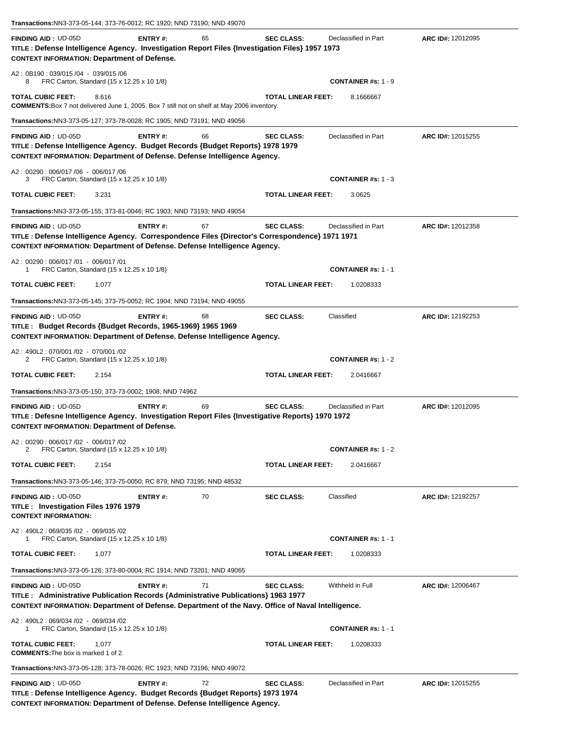| Transactions:NN3-373-05-144; 373-76-0012; RC 1920; NND 73190; NND 49070                                                                                                                                                       |         |    |                           |                            |                   |
|-------------------------------------------------------------------------------------------------------------------------------------------------------------------------------------------------------------------------------|---------|----|---------------------------|----------------------------|-------------------|
| <b>FINDING AID: UD-05D</b><br>TITLE : Defense Intelligence Agency. Investigation Report Files {Investigation Files} 1957 1973<br><b>CONTEXT INFORMATION: Department of Defense.</b>                                           | ENTRY#: | 65 | <b>SEC CLASS:</b>         | Declassified in Part       | ARC ID#: 12012095 |
| A2: 0B190: 039/015 /04 - 039/015 /06<br>FRC Carton, Standard (15 x 12.25 x 10 1/8)<br>8                                                                                                                                       |         |    |                           | <b>CONTAINER #s: 1 - 9</b> |                   |
| TOTAL CUBIC FEET:<br>8.616<br>COMMENTS: Box 7 not delivered June 1, 2005. Box 7 still not on shelf at May 2006 inventory.                                                                                                     |         |    | <b>TOTAL LINEAR FEET:</b> | 8.1666667                  |                   |
| Transactions:NN3-373-05-127; 373-78-0028; RC 1905; NND 73191; NND 49056                                                                                                                                                       |         |    |                           |                            |                   |
| <b>FINDING AID: UD-05D</b><br>TITLE : Defense Intelligence Agency. Budget Records {Budget Reports} 1978 1979<br><b>CONTEXT INFORMATION: Department of Defense. Defense Intelligence Agency.</b>                               | ENTRY#: | 66 | <b>SEC CLASS:</b>         | Declassified in Part       | ARC ID#: 12015255 |
| A2: 00290: 006/017 /06 - 006/017 /06<br>FRC Carton, Standard (15 x 12.25 x 10 1/8)<br>3                                                                                                                                       |         |    |                           | <b>CONTAINER #s: 1 - 3</b> |                   |
| TOTAL CUBIC FEET:<br>3.231                                                                                                                                                                                                    |         |    | <b>TOTAL LINEAR FEET:</b> | 3.0625                     |                   |
| <b>Transactions:</b> NN3-373-05-155; 373-81-0046; RC 1903; NND 73193; NND 49054                                                                                                                                               |         |    |                           |                            |                   |
| <b>FINDING AID: UD-05D</b><br>TITLE : Defense Intelligence Agency. Correspondence Files {Director's Correspondence} 1971 1971<br><b>CONTEXT INFORMATION: Department of Defense. Defense Intelligence Agency.</b>              | ENTRY#: | 67 | <b>SEC CLASS:</b>         | Declassified in Part       | ARC ID#: 12012358 |
| A2: 00290: 006/017 /01 - 006/017 /01<br>FRC Carton, Standard (15 x 12.25 x 10 1/8)<br>1                                                                                                                                       |         |    |                           | <b>CONTAINER #s: 1 - 1</b> |                   |
| <b>TOTAL CUBIC FEET:</b><br>1.077                                                                                                                                                                                             |         |    | <b>TOTAL LINEAR FEET:</b> | 1.0208333                  |                   |
| Transactions:NN3-373-05-145; 373-75-0052; RC 1904; NND 73194; NND 49055                                                                                                                                                       |         |    |                           |                            |                   |
| <b>FINDING AID: UD-05D</b><br>TITLE: Budget Records {Budget Records, 1965-1969} 1965 1969<br><b>CONTEXT INFORMATION: Department of Defense. Defense Intelligence Agency.</b>                                                  | ENTRY#: | 68 | <b>SEC CLASS:</b>         | Classified                 | ARC ID#: 12192253 |
| A2: 490L2: 070/001 /02 - 070/001 /02<br>FRC Carton, Standard (15 x 12.25 x 10 1/8)<br>2                                                                                                                                       |         |    |                           | <b>CONTAINER #s: 1 - 2</b> |                   |
| <b>TOTAL CUBIC FEET:</b><br>2.154                                                                                                                                                                                             |         |    | <b>TOTAL LINEAR FEET:</b> | 2.0416667                  |                   |
| Transactions:NN3-373-05-150; 373-73-0002; 1908; NND 74962                                                                                                                                                                     |         |    |                           |                            |                   |
| <b>FINDING AID: UD-05D</b><br>TITLE : Defesne Intelligence Agency. Investigation Report Files {Investigative Reports} 1970 1972<br><b>CONTEXT INFORMATION: Department of Defense.</b><br>A2: 00290: 006/017 /02 - 006/017 /02 | ENTRY#: | 69 | <b>SEC CLASS:</b>         | Declassified in Part       | ARC ID#: 12012095 |
| FRC Carton, Standard (15 x 12.25 x 10 1/8)                                                                                                                                                                                    |         |    |                           | <b>CONTAINER #s: 1 - 2</b> |                   |
| TOTAL CUBIC FEET:<br>2.154                                                                                                                                                                                                    |         |    | <b>TOTAL LINEAR FEET:</b> | 2.0416667                  |                   |
| Transactions:NN3-373-05-146; 373-75-0050; RC 879; NND 73195; NND 48532                                                                                                                                                        |         |    |                           |                            |                   |
| FINDING AID: UD-05D<br>TITLE: Investigation Files 1976 1979<br><b>CONTEXT INFORMATION:</b>                                                                                                                                    | ENTRY#: | 70 | <b>SEC CLASS:</b>         | Classified                 | ARC ID#: 12192257 |
| A2: 490L2: 069/035 /02 - 069/035 /02<br>FRC Carton, Standard (15 x 12.25 x 10 1/8)<br>1                                                                                                                                       |         |    |                           | <b>CONTAINER #s: 1 - 1</b> |                   |
| TOTAL CUBIC FEET:<br>1.077                                                                                                                                                                                                    |         |    | <b>TOTAL LINEAR FEET:</b> | 1.0208333                  |                   |
| Transactions:NN3-373-05-126; 373-80-0004; RC 1914; NND 73201; NND 49065                                                                                                                                                       |         |    |                           |                            |                   |
| <b>FINDING AID: UD-05D</b><br>TITLE : Administrative Publication Records {Administrative Publications} 1963 1977<br>CONTEXT INFORMATION: Department of Defense. Department of the Navy. Office of Naval Intelligence.         | ENTRY#: | 71 | <b>SEC CLASS:</b>         | Withheld in Full           | ARC ID#: 12006467 |
| A2: 490L2: 069/034 /02 - 069/034 /02<br>FRC Carton, Standard (15 x 12.25 x 10 1/8)<br>1                                                                                                                                       |         |    |                           | <b>CONTAINER #s: 1 - 1</b> |                   |
| <b>TOTAL CUBIC FEET:</b><br>1.077<br><b>COMMENTS:</b> The box is marked 1 of 2.                                                                                                                                               |         |    | <b>TOTAL LINEAR FEET:</b> | 1.0208333                  |                   |
| Transactions: NN3-373-05-128; 373-78-0026; RC 1923; NND 73196; NND 49072                                                                                                                                                      |         |    |                           |                            |                   |
| <b>FINDING AID: UD-05D</b>                                                                                                                                                                                                    | ENTRY#: | 72 | <b>SEC CLASS:</b>         | Declassified in Part       | ARC ID#: 12015255 |
| TITLE : Defense Intelligence Agency. Budget Records {Budget Reports} 1973 1974<br>CONTEXT INFORMATION: Department of Defense. Defense Intelligence Agency.                                                                    |         |    |                           |                            |                   |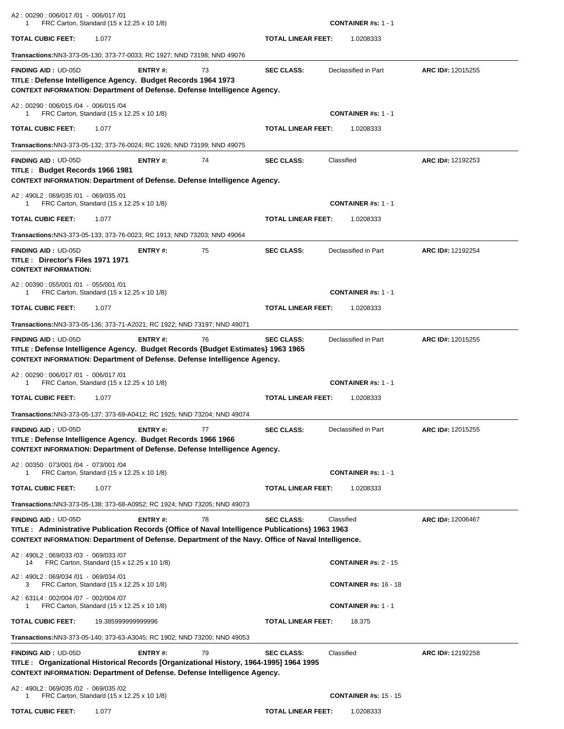| A2: 00290: 006/017 /01 - 006/017 /01<br>FRC Carton, Standard (15 x 12.25 x 10 1/8)<br>1                                                                                                                                      |                |    |                           | <b>CONTAINER #s: 1 - 1</b>   |                   |
|------------------------------------------------------------------------------------------------------------------------------------------------------------------------------------------------------------------------------|----------------|----|---------------------------|------------------------------|-------------------|
| <b>TOTAL CUBIC FEET:</b><br>1.077                                                                                                                                                                                            |                |    | <b>TOTAL LINEAR FEET:</b> | 1.0208333                    |                   |
| Transactions: NN3-373-05-130; 373-77-0033; RC 1927; NND 73198; NND 49076                                                                                                                                                     |                |    |                           |                              |                   |
| <b>FINDING AID: UD-05D</b><br>TITLE : Defense Intelligence Agency. Budget Records 1964 1973<br><b>CONTEXT INFORMATION: Department of Defense. Defense Intelligence Agency.</b>                                               | ENTRY#:        | 73 | <b>SEC CLASS:</b>         | Declassified in Part         | ARC ID#: 12015255 |
| A2: 00290: 006/015/04 - 006/015/04<br>FRC Carton, Standard (15 x 12.25 x 10 1/8)                                                                                                                                             |                |    |                           | <b>CONTAINER #s: 1 - 1</b>   |                   |
| TOTAL CUBIC FEET:<br>1.077                                                                                                                                                                                                   |                |    | <b>TOTAL LINEAR FEET:</b> | 1.0208333                    |                   |
| Transactions:NN3-373-05-132; 373-76-0024; RC 1926; NND 73199; NND 49075                                                                                                                                                      |                |    |                           |                              |                   |
| <b>FINDING AID: UD-05D</b><br>TITLE: Budget Records 1966 1981<br><b>CONTEXT INFORMATION: Department of Defense. Defense Intelligence Agency.</b>                                                                             | <b>ENTRY#:</b> | 74 | <b>SEC CLASS:</b>         | Classified                   | ARC ID#: 12192253 |
| A2: 490L2: 069/035 /01 - 069/035 /01<br>FRC Carton, Standard (15 x 12.25 x 10 1/8)                                                                                                                                           |                |    |                           | <b>CONTAINER #s: 1 - 1</b>   |                   |
| <b>TOTAL CUBIC FEET:</b><br>1.077                                                                                                                                                                                            |                |    | <b>TOTAL LINEAR FEET:</b> | 1.0208333                    |                   |
| Transactions: NN3-373-05-133; 373-76-0023; RC 1913; NND 73203; NND 49064                                                                                                                                                     |                |    |                           |                              |                   |
| <b>FINDING AID: UD-05D</b><br>TITLE: Director's Files 1971 1971<br><b>CONTEXT INFORMATION:</b>                                                                                                                               | ENTRY#:        | 75 | <b>SEC CLASS:</b>         | Declassified in Part         | ARC ID#: 12192254 |
| A2: 00390: 055/001 /01 - 055/001 /01<br>FRC Carton, Standard (15 x 12.25 x 10 1/8)<br>1                                                                                                                                      |                |    |                           | <b>CONTAINER #s: 1 - 1</b>   |                   |
| TOTAL CUBIC FEET:<br>1.077                                                                                                                                                                                                   |                |    | <b>TOTAL LINEAR FEET:</b> | 1.0208333                    |                   |
| Transactions:NN3-373-05-136; 373-71-A2021; RC 1922; NND 73197; NND 49071                                                                                                                                                     |                |    |                           |                              |                   |
| FINDING AID: UD-05D<br>TITLE : Defense Intelligence Agency. Budget Records {Budget Estimates} 1963 1965<br><b>CONTEXT INFORMATION: Department of Defense. Defense Intelligence Agency.</b>                                   | <b>ENTRY#:</b> | 76 | <b>SEC CLASS:</b>         | Declassified in Part         | ARC ID#: 12015255 |
| A2: 00290: 006/017 /01 - 006/017 /01<br>FRC Carton, Standard (15 x 12.25 x 10 1/8)<br>1                                                                                                                                      |                |    |                           | <b>CONTAINER #s: 1 - 1</b>   |                   |
| <b>TOTAL CUBIC FEET:</b><br>1.077                                                                                                                                                                                            |                |    | <b>TOTAL LINEAR FEET:</b> | 1.0208333                    |                   |
| Transactions: NN3-373-05-137; 373-69-A0412; RC 1925; NND 73204; NND 49074                                                                                                                                                    |                |    |                           |                              |                   |
| <b>FINDING AID: UD-05D</b><br>TITLE: Defense Intelligence Agency. Budget Records 1966 1966<br><b>CONTEXT INFORMATION: Department of Defense. Defense Intelligence Agency.</b>                                                | <b>ENTRY#:</b> | 77 | <b>SEC CLASS:</b>         | Declassified in Part         | ARC ID#: 12015255 |
| A2: 00350: 073/001 /04 - 073/001 /04<br>FRC Carton, Standard (15 x 12.25 x 10 1/8)<br>1                                                                                                                                      |                |    |                           | <b>CONTAINER #s: 1 - 1</b>   |                   |
| <b>TOTAL CUBIC FEET:</b><br>1.077                                                                                                                                                                                            |                |    | <b>TOTAL LINEAR FEET:</b> | 1.0208333                    |                   |
| Transactions:NN3-373-05-138; 373-68-A0952; RC 1924; NND 73205; NND 49073                                                                                                                                                     |                |    |                           |                              |                   |
| FINDING AID: UD-05D<br>TITLE : Administrative Publication Records {Office of Naval Intelligence Publications} 1963 1963<br>CONTEXT INFORMATION: Department of Defense. Department of the Navy. Office of Naval Intelligence. | <b>ENTRY#:</b> | 78 | <b>SEC CLASS:</b>         | Classified                   | ARC ID#: 12006467 |
| A2: 490L2: 069/033 /03 - 069/033 /07<br>FRC Carton, Standard (15 x 12.25 x 10 1/8)<br>14                                                                                                                                     |                |    |                           | <b>CONTAINER #s: 2 - 15</b>  |                   |
| A2: 490L2: 069/034 /01 - 069/034 /01<br>FRC Carton, Standard (15 x 12.25 x 10 1/8)<br>З                                                                                                                                      |                |    |                           | <b>CONTAINER #s: 16 - 18</b> |                   |
| A2: 631L4: 002/004 /07 - 002/004 /07<br>FRC Carton, Standard (15 x 12.25 x 10 1/8)<br>1                                                                                                                                      |                |    |                           | <b>CONTAINER #s: 1 - 1</b>   |                   |
| TOTAL CUBIC FEET:<br>19.385999999999996                                                                                                                                                                                      |                |    | <b>TOTAL LINEAR FEET:</b> | 18.375                       |                   |
| <b>Transactions:</b> NN3-373-05-140; 373-63-A3045; RC 1902; NND 73200; NND 49053                                                                                                                                             |                |    |                           |                              |                   |
| <b>FINDING AID: UD-05D</b><br>TITLE : Organizational Historical Records [Organizational History, 1964-1995] 1964 1995                                                                                                        |                |    |                           |                              |                   |
| <b>CONTEXT INFORMATION: Department of Defense. Defense Intelligence Agency.</b>                                                                                                                                              | ENTRY#:        | 79 | <b>SEC CLASS:</b>         | Classified                   | ARC ID#: 12192258 |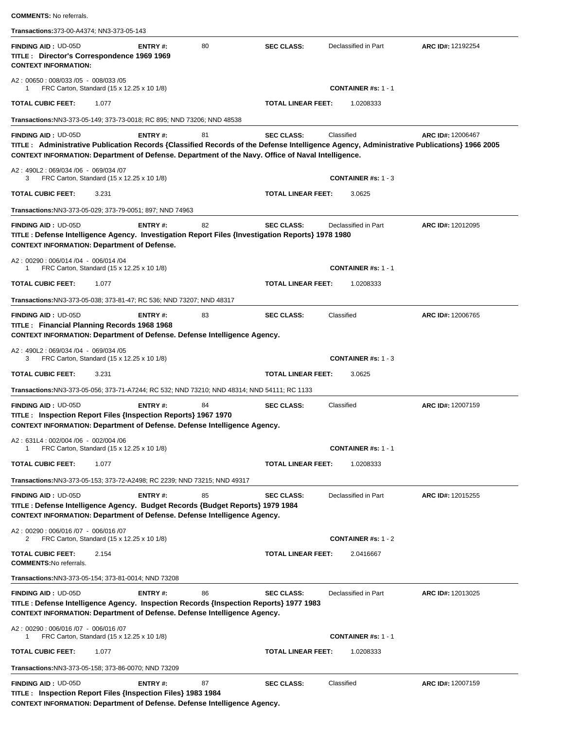| Transactions: 373-00-A4374; NN3-373-05-143                                                                                                                                                                                                                                  |                |    |                           |                            |                   |
|-----------------------------------------------------------------------------------------------------------------------------------------------------------------------------------------------------------------------------------------------------------------------------|----------------|----|---------------------------|----------------------------|-------------------|
| <b>FINDING AID: UD-05D</b><br>TITLE: Director's Correspondence 1969 1969<br><b>CONTEXT INFORMATION:</b>                                                                                                                                                                     | ENTRY#:        | 80 | <b>SEC CLASS:</b>         | Declassified in Part       | ARC ID#: 12192254 |
| A2: 00650: 008/033 /05 - 008/033 /05<br>FRC Carton, Standard (15 x 12.25 x 10 1/8)<br>1                                                                                                                                                                                     |                |    |                           | <b>CONTAINER #s: 1 - 1</b> |                   |
| <b>TOTAL CUBIC FEET:</b><br>1.077                                                                                                                                                                                                                                           |                |    | <b>TOTAL LINEAR FEET:</b> | 1.0208333                  |                   |
| Transactions:NN3-373-05-149; 373-73-0018; RC 895; NND 73206; NND 48538                                                                                                                                                                                                      |                |    |                           |                            |                   |
| <b>FINDING AID: UD-05D</b><br>TITLE: Administrative Publication Records {Classified Records of the Defense Intelligence Agency, Administrative Publications} 1966 2005<br>CONTEXT INFORMATION: Department of Defense. Department of the Navy. Office of Naval Intelligence. | <b>ENTRY#:</b> | 81 | <b>SEC CLASS:</b>         | Classified                 | ARC ID#: 12006467 |
| A2: 490L2: 069/034 /06 - 069/034 /07<br>FRC Carton, Standard (15 x 12.25 x 10 1/8)<br>3                                                                                                                                                                                     |                |    |                           | <b>CONTAINER #s: 1 - 3</b> |                   |
| <b>TOTAL CUBIC FEET:</b><br>3.231                                                                                                                                                                                                                                           |                |    | <b>TOTAL LINEAR FEET:</b> | 3.0625                     |                   |
| Transactions:NN3-373-05-029; 373-79-0051; 897; NND 74963                                                                                                                                                                                                                    |                |    |                           |                            |                   |
| <b>FINDING AID: UD-05D</b><br>TITLE : Defense Intelligence Agency. Investigation Report Files {Investigation Reports} 1978 1980<br><b>CONTEXT INFORMATION: Department of Defense.</b>                                                                                       | ENTRY#:        | 82 | <b>SEC CLASS:</b>         | Declassified in Part       | ARC ID#: 12012095 |
| A2: 00290: 006/014 /04 - 006/014 /04<br>FRC Carton, Standard (15 x 12.25 x 10 1/8)<br>1                                                                                                                                                                                     |                |    |                           | <b>CONTAINER #s: 1 - 1</b> |                   |
| <b>TOTAL CUBIC FEET:</b><br>1.077                                                                                                                                                                                                                                           |                |    | <b>TOTAL LINEAR FEET:</b> | 1.0208333                  |                   |
| Transactions:NN3-373-05-038; 373-81-47; RC 536; NND 73207; NND 48317                                                                                                                                                                                                        |                |    |                           |                            |                   |
| <b>FINDING AID: UD-05D</b><br>TITLE: Financial Planning Records 1968 1968<br><b>CONTEXT INFORMATION: Department of Defense. Defense Intelligence Agency.</b>                                                                                                                | ENTRY#:        | 83 | <b>SEC CLASS:</b>         | Classified                 | ARC ID#: 12006765 |
| A2: 490L2: 069/034 /04 - 069/034 /05<br>FRC Carton, Standard (15 x 12.25 x 10 1/8)<br>3                                                                                                                                                                                     |                |    |                           | CONTAINER #s: $1 - 3$      |                   |
| <b>TOTAL CUBIC FEET:</b><br>3.231                                                                                                                                                                                                                                           |                |    | <b>TOTAL LINEAR FEET:</b> | 3.0625                     |                   |
| Transactions:NN3-373-05-056; 373-71-A7244; RC 532; NND 73210; NND 48314; NND 54111; RC 1133                                                                                                                                                                                 |                |    |                           |                            |                   |
| <b>FINDING AID: UD-05D</b><br>TITLE : Inspection Report Files {Inspection Reports} 1967 1970<br>CONTEXT INFORMATION: Department of Defense. Defense Intelligence Agency.                                                                                                    | ENTRY#:        | 84 | <b>SEC CLASS:</b>         | Classified                 | ARC ID#: 12007159 |
| A2: 631L4: 002/004 /06 - 002/004 /06<br>FRC Carton, Standard (15 x 12.25 x 10 1/8)<br>1                                                                                                                                                                                     |                |    |                           | <b>CONTAINER #s: 1 - 1</b> |                   |
| <b>TOTAL CUBIC FEET:</b><br>1.077                                                                                                                                                                                                                                           |                |    | TOTAL LINEAR FEET:        | 1.0208333                  |                   |
| Transactions:NN3-373-05-153; 373-72-A2498; RC 2239; NND 73215; NND 49317                                                                                                                                                                                                    |                |    |                           |                            |                   |
| <b>FINDING AID: UD-05D</b><br>TITLE : Defense Intelligence Agency. Budget Records {Budget Reports} 1979 1984<br>CONTEXT INFORMATION: Department of Defense. Defense Intelligence Agency.                                                                                    | ENTRY#:        | 85 | <b>SEC CLASS:</b>         | Declassified in Part       | ARC ID#: 12015255 |
| A2: 00290: 006/016 /07 - 006/016 /07<br>FRC Carton, Standard (15 x 12.25 x 10 1/8)<br>2                                                                                                                                                                                     |                |    |                           | <b>CONTAINER #s: 1 - 2</b> |                   |
| <b>TOTAL CUBIC FEET:</b><br>2.154<br><b>COMMENTS: No referrals.</b>                                                                                                                                                                                                         |                |    | <b>TOTAL LINEAR FEET:</b> | 2.0416667                  |                   |
| Transactions: NN3-373-05-154; 373-81-0014; NND 73208                                                                                                                                                                                                                        |                |    |                           |                            |                   |
| <b>FINDING AID: UD-05D</b><br>TITLE : Defense Intelligence Agency. Inspection Records {Inspection Reports} 1977 1983<br><b>CONTEXT INFORMATION: Department of Defense. Defense Intelligence Agency.</b>                                                                     | <b>ENTRY#:</b> | 86 | <b>SEC CLASS:</b>         | Declassified in Part       | ARC ID#: 12013025 |
| A2: 00290: 006/016 /07 - 006/016 /07<br>FRC Carton, Standard (15 x 12.25 x 10 1/8)                                                                                                                                                                                          |                |    |                           | <b>CONTAINER #s: 1 - 1</b> |                   |
| <b>TOTAL CUBIC FEET:</b><br>1.077                                                                                                                                                                                                                                           |                |    | TOTAL LINEAR FEET:        | 1.0208333                  |                   |
| Transactions: NN3-373-05-158; 373-86-0070; NND 73209                                                                                                                                                                                                                        |                |    |                           |                            |                   |
| <b>FINDING AID: UD-05D</b><br>TITLE : Inspection Report Files {Inspection Files} 1983 1984                                                                                                                                                                                  | <b>ENTRY#:</b> | 87 | <b>SEC CLASS:</b>         | Classified                 | ARC ID#: 12007159 |

**CONTEXT INFORMATION: Department of Defense. Defense Intelligence Agency.**

**COMMENTS:** No referrals.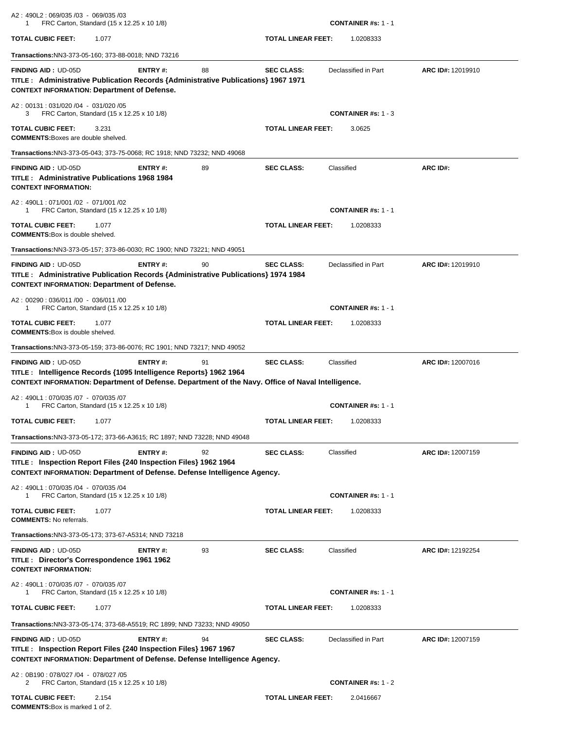| A2: 490L2: 069/035 /03 - 069/035 /03<br>FRC Carton, Standard (15 x 12.25 x 10 1/8)<br>1                                                                                                                                | <b>CONTAINER #s: 1 - 1</b>                |                   |
|------------------------------------------------------------------------------------------------------------------------------------------------------------------------------------------------------------------------|-------------------------------------------|-------------------|
| <b>TOTAL CUBIC FEET:</b><br>1.077                                                                                                                                                                                      | <b>TOTAL LINEAR FEET:</b><br>1.0208333    |                   |
| <b>Transactions: NN3-373-05-160; 373-88-0018; NND 73216</b>                                                                                                                                                            |                                           |                   |
| 88<br><b>FINDING AID: UD-05D</b><br>ENTRY#:<br>TITLE: Administrative Publication Records {Administrative Publications} 1967 1971<br><b>CONTEXT INFORMATION: Department of Defense.</b>                                 | Declassified in Part<br><b>SEC CLASS:</b> | ARC ID#: 12019910 |
| A2: 00131: 031/020 /04 - 031/020 /05<br>FRC Carton, Standard (15 x 12.25 x 10 1/8)<br>3                                                                                                                                | CONTAINER # $s: 1 - 3$                    |                   |
| <b>TOTAL CUBIC FEET:</b><br>3.231<br><b>COMMENTS:</b> Boxes are double shelved.                                                                                                                                        | <b>TOTAL LINEAR FEET:</b><br>3.0625       |                   |
| <b>Transactions:</b> NN3-373-05-043; 373-75-0068; RC 1918; NND 73232; NND 49068                                                                                                                                        |                                           |                   |
| 89<br><b>FINDING AID: UD-05D</b><br>ENTRY#:<br>TITLE : Administrative Publications 1968 1984<br><b>CONTEXT INFORMATION:</b>                                                                                            | <b>SEC CLASS:</b><br>Classified           | ARC ID#:          |
| A2: 490L1: 071/001 /02 - 071/001 /02<br>FRC Carton, Standard (15 x 12.25 x 10 1/8)<br>1                                                                                                                                | <b>CONTAINER #s: 1 - 1</b>                |                   |
| TOTAL CUBIC FEET:<br>1.077<br><b>COMMENTS:</b> Box is double shelved.                                                                                                                                                  | <b>TOTAL LINEAR FEET:</b><br>1.0208333    |                   |
| Transactions:NN3-373-05-157; 373-86-0030; RC 1900; NND 73221; NND 49051                                                                                                                                                |                                           |                   |
| <b>FINDING AID: UD-05D</b><br>ENTRY#:<br>90<br>TITLE: Administrative Publication Records {Administrative Publications} 1974 1984<br><b>CONTEXT INFORMATION: Department of Defense.</b>                                 | Declassified in Part<br><b>SEC CLASS:</b> | ARC ID#: 12019910 |
| A2: 00290: 036/011 /00 - 036/011 /00<br>FRC Carton, Standard (15 x 12.25 x 10 1/8)<br>1                                                                                                                                | <b>CONTAINER #s: 1 - 1</b>                |                   |
| <b>TOTAL CUBIC FEET:</b><br>1.077<br><b>COMMENTS:</b> Box is double shelved.                                                                                                                                           | <b>TOTAL LINEAR FEET:</b><br>1.0208333    |                   |
| <b>Transactions:</b> NN3-373-05-159; 373-86-0076; RC 1901; NND 73217; NND 49052                                                                                                                                        |                                           |                   |
| <b>FINDING AID: UD-05D</b><br>ENTRY#:<br>91<br>TITLE : Intelligence Records {1095 Intelligence Reports} 1962 1964<br>CONTEXT INFORMATION: Department of Defense. Department of the Navy. Office of Naval Intelligence. | <b>SEC CLASS:</b><br>Classified           | ARC ID#: 12007016 |
| A2: 490L1: 070/035 /07 - 070/035 /07<br>FRC Carton, Standard (15 x 12.25 x 10 1/8)<br>1                                                                                                                                | <b>CONTAINER #s: 1 - 1</b>                |                   |
| <b>TOTAL CUBIC FEET:</b><br>1.077                                                                                                                                                                                      | <b>TOTAL LINEAR FEET:</b><br>1.0208333    |                   |
| Transactions: NN3-373-05-172; 373-66-A3615; RC 1897; NND 73228; NND 49048                                                                                                                                              |                                           |                   |
| ENTRY#:<br><b>FINDING AID: UD-05D</b><br>92<br>TITLE: Inspection Report Files {240 Inspection Files} 1962 1964<br>CONTEXT INFORMATION: Department of Defense. Defense Intelligence Agency.                             | <b>SEC CLASS:</b><br>Classified           | ARC ID#: 12007159 |
| A2: 490L1: 070/035 /04 - 070/035 /04<br>FRC Carton, Standard (15 x 12.25 x 10 1/8)<br>-1                                                                                                                               | <b>CONTAINER #s: 1 - 1</b>                |                   |
| <b>TOTAL CUBIC FEET:</b><br>1.077<br><b>COMMENTS: No referrals.</b>                                                                                                                                                    | <b>TOTAL LINEAR FEET:</b><br>1.0208333    |                   |
| <b>Transactions:</b> NN3-373-05-173; 373-67-A5314; NND 73218                                                                                                                                                           |                                           |                   |
| 93<br><b>FINDING AID: UD-05D</b><br>ENTRY#:<br>TITLE : Director's Correspondence 1961 1962<br><b>CONTEXT INFORMATION:</b>                                                                                              | Classified<br><b>SEC CLASS:</b>           | ARC ID#: 12192254 |
| A2: 490L1: 070/035 /07 - 070/035 /07<br>FRC Carton, Standard (15 x 12.25 x 10 1/8)<br>1                                                                                                                                | <b>CONTAINER #s: 1 - 1</b>                |                   |
| <b>TOTAL CUBIC FEET:</b><br>1.077                                                                                                                                                                                      | <b>TOTAL LINEAR FEET:</b><br>1.0208333    |                   |
| <b>Transactions:</b> NN3-373-05-174; 373-68-A5519; RC 1899; NND 73233; NND 49050                                                                                                                                       |                                           |                   |
| <b>FINDING AID: UD-05D</b><br>ENTRY#:<br>94<br>TITLE : Inspection Report Files {240 Inspection Files} 1967 1967<br><b>CONTEXT INFORMATION: Department of Defense. Defense Intelligence Agency.</b>                     | Declassified in Part<br><b>SEC CLASS:</b> | ARC ID#: 12007159 |
| A2: 0B190: 078/027 /04 - 078/027 /05<br>FRC Carton, Standard (15 x 12.25 x 10 1/8)<br>2                                                                                                                                | <b>CONTAINER #s: 1 - 2</b>                |                   |
| TOTAL CUBIC FEET:<br>2.154<br><b>COMMENTS:</b> Box is marked 1 of 2.                                                                                                                                                   | <b>TOTAL LINEAR FEET:</b><br>2.0416667    |                   |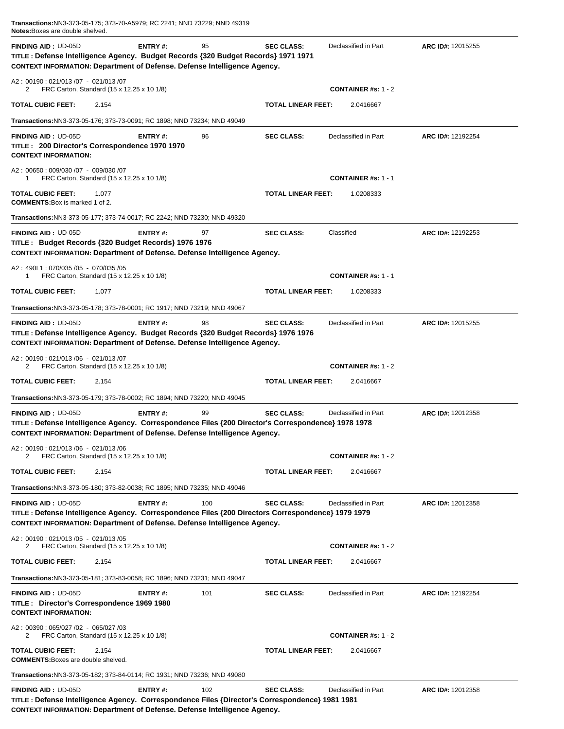| <b>FINDING AID: UD-05D</b>                                                                                                                                                                                           | <b>ENTRY#:</b> | 95  | <b>SEC CLASS:</b>         | Declassified in Part       | ARC ID#: 12015255 |
|----------------------------------------------------------------------------------------------------------------------------------------------------------------------------------------------------------------------|----------------|-----|---------------------------|----------------------------|-------------------|
| TITLE : Defense Intelligence Agency. Budget Records {320 Budget Records} 1971 1971                                                                                                                                   |                |     |                           |                            |                   |
| CONTEXT INFORMATION: Department of Defense. Defense Intelligence Agency.                                                                                                                                             |                |     |                           |                            |                   |
| A2: 00190: 021/013/07 - 021/013/07<br>FRC Carton, Standard (15 x 12.25 x 10 1/8)<br>2                                                                                                                                |                |     |                           | <b>CONTAINER #s: 1 - 2</b> |                   |
| TOTAL CUBIC FEET:<br>2.154                                                                                                                                                                                           |                |     | <b>TOTAL LINEAR FEET:</b> | 2.0416667                  |                   |
| <b>Transactions:</b> NN3-373-05-176; 373-73-0091; RC 1898; NND 73234; NND 49049                                                                                                                                      |                |     |                           |                            |                   |
| FINDING AID: UD-05D                                                                                                                                                                                                  | <b>ENTRY#:</b> | 96  | <b>SEC CLASS:</b>         | Declassified in Part       | ARC ID#: 12192254 |
| TITLE: 200 Director's Correspondence 1970 1970<br><b>CONTEXT INFORMATION:</b>                                                                                                                                        |                |     |                           |                            |                   |
| A2: 00650: 009/030 /07 - 009/030 /07<br>FRC Carton, Standard (15 x 12.25 x 10 1/8)                                                                                                                                   |                |     |                           | <b>CONTAINER #s: 1 - 1</b> |                   |
| TOTAL CUBIC FEET:<br>1.077<br><b>COMMENTS:</b> Box is marked 1 of 2.                                                                                                                                                 |                |     | <b>TOTAL LINEAR FEET:</b> | 1.0208333                  |                   |
| <b>Transactions:</b> NN3-373-05-177; 373-74-0017; RC 2242; NND 73230; NND 49320                                                                                                                                      |                |     |                           |                            |                   |
| <b>FINDING AID: UD-05D</b><br>TITLE: Budget Records {320 Budget Records} 1976 1976<br><b>CONTEXT INFORMATION: Department of Defense. Defense Intelligence Agency.</b>                                                | <b>ENTRY#:</b> | 97  | <b>SEC CLASS:</b>         | Classified                 | ARC ID#: 12192253 |
| A2: 490L1: 070/035 /05 - 070/035 /05<br>FRC Carton, Standard (15 x 12.25 x 10 1/8)<br>1                                                                                                                              |                |     |                           | <b>CONTAINER #s: 1 - 1</b> |                   |
| TOTAL CUBIC FEET:<br>1.077                                                                                                                                                                                           |                |     | <b>TOTAL LINEAR FEET:</b> | 1.0208333                  |                   |
| <b>Transactions:</b> NN3-373-05-178; 373-78-0001; RC 1917; NND 73219; NND 49067                                                                                                                                      |                |     |                           |                            |                   |
| FINDING AID: UD-05D                                                                                                                                                                                                  | <b>ENTRY#:</b> | 98  | <b>SEC CLASS:</b>         | Declassified in Part       | ARC ID#: 12015255 |
| TITLE : Defense Intelligence Agency. Budget Records {320 Budget Records} 1976 1976<br><b>CONTEXT INFORMATION: Department of Defense. Defense Intelligence Agency.</b>                                                |                |     |                           |                            |                   |
| A2: 00190: 021/013/06 - 021/013/07<br>FRC Carton, Standard (15 x 12.25 x 10 1/8)<br>2                                                                                                                                |                |     |                           | <b>CONTAINER #s: 1 - 2</b> |                   |
| TOTAL CUBIC FEET:<br>2.154                                                                                                                                                                                           |                |     | <b>TOTAL LINEAR FEET:</b> | 2.0416667                  |                   |
| Transactions: NN3-373-05-179; 373-78-0002; RC 1894; NND 73220; NND 49045                                                                                                                                             |                |     |                           |                            |                   |
| <b>FINDING AID: UD-05D</b><br>TITLE : Defense Intelligence Agency. Correspondence Files {200 Director's Correspondence} 1978 1978<br><b>CONTEXT INFORMATION: Department of Defense. Defense Intelligence Agency.</b> | <b>ENTRY#:</b> | 99  | <b>SEC CLASS:</b>         | Declassified in Part       | ARC ID#: 12012358 |
| A2: 00190: 021/013/06 - 021/013/06<br>FRC Carton, Standard (15 x 12.25 x 10 1/8)                                                                                                                                     |                |     |                           | <b>CONTAINER #s: 1 - 2</b> |                   |
| TOTAL CUBIC FEET:<br>2.154                                                                                                                                                                                           |                |     | <b>TOTAL LINEAR FEET:</b> | 2.0416667                  |                   |
| Transactions:NN3-373-05-180; 373-82-0038; RC 1895; NND 73235; NND 49046                                                                                                                                              |                |     |                           |                            |                   |
| <b>FINDING AID: UD-05D</b><br>TITLE : Defense Intelligence Agency. Correspondence Files {200 Directors Correspondence} 1979 1979<br>CONTEXT INFORMATION: Department of Defense. Defense Intelligence Agency.         | ENTRY#:        | 100 | <b>SEC CLASS:</b>         | Declassified in Part       | ARC ID#: 12012358 |
| A2: 00190: 021/013/05 - 021/013/05<br>FRC Carton, Standard (15 x 12.25 x 10 1/8)<br>2                                                                                                                                |                |     |                           | <b>CONTAINER #s: 1 - 2</b> |                   |
| <b>TOTAL CUBIC FEET:</b><br>2.154                                                                                                                                                                                    |                |     | <b>TOTAL LINEAR FEET:</b> | 2.0416667                  |                   |
| <b>Transactions:</b> NN3-373-05-181; 373-83-0058; RC 1896; NND 73231; NND 49047                                                                                                                                      |                |     |                           |                            |                   |
| FINDING AID: UD-05D<br>TITLE : Director's Correspondence 1969 1980<br><b>CONTEXT INFORMATION:</b>                                                                                                                    | <b>ENTRY#:</b> | 101 | <b>SEC CLASS:</b>         | Declassified in Part       | ARC ID#: 12192254 |
| A2: 00390: 065/027 /02 - 065/027 /03<br>FRC Carton, Standard (15 x 12.25 x 10 1/8)<br>2                                                                                                                              |                |     |                           | <b>CONTAINER #s: 1 - 2</b> |                   |
| TOTAL CUBIC FEET:<br>2.154<br><b>COMMENTS:</b> Boxes are double shelved.                                                                                                                                             |                |     | <b>TOTAL LINEAR FEET:</b> | 2.0416667                  |                   |
| <b>Transactions:</b> NN3-373-05-182; 373-84-0114; RC 1931; NND 73236; NND 49080                                                                                                                                      |                |     |                           |                            |                   |
| <b>FINDING AID: UD-05D</b><br>TITLE : Defense Intelligence Agency. Correspondence Files {Director's Correspondence} 1981 1981                                                                                        | <b>ENTRY#:</b> | 102 | <b>SEC CLASS:</b>         | Declassified in Part       | ARC ID#: 12012358 |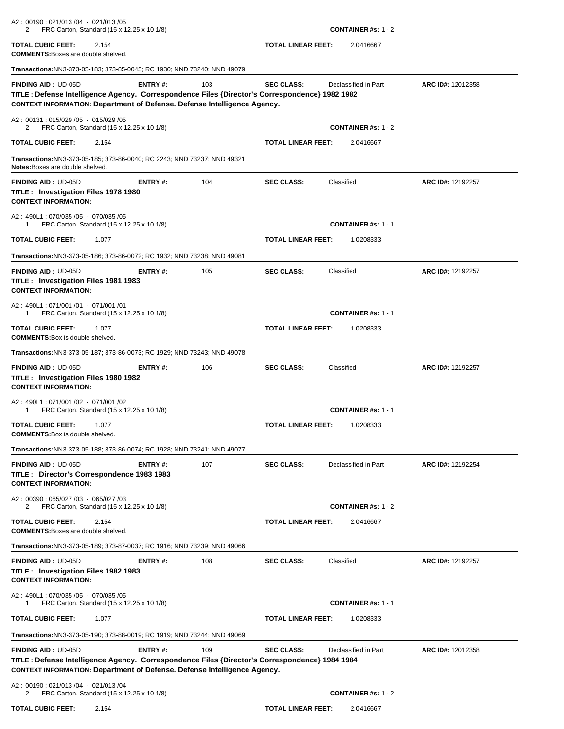| A2: 00190: 021/013/04 - 021/013/05                                                                       | FRC Carton, Standard (15 x 12.25 x 10 1/8)                                                                                                                                                    |     |                           | <b>CONTAINER #s: 1 - 2</b> |                   |
|----------------------------------------------------------------------------------------------------------|-----------------------------------------------------------------------------------------------------------------------------------------------------------------------------------------------|-----|---------------------------|----------------------------|-------------------|
| <b>TOTAL CUBIC FEET:</b><br><b>COMMENTS:</b> Boxes are double shelved.                                   | 2.154                                                                                                                                                                                         |     | <b>TOTAL LINEAR FEET:</b> | 2.0416667                  |                   |
|                                                                                                          | Transactions: NN3-373-05-183; 373-85-0045; RC 1930; NND 73240; NND 49079                                                                                                                      |     |                           |                            |                   |
| <b>FINDING AID: UD-05D</b>                                                                               | <b>ENTRY#:</b><br>TITLE : Defense Intelligence Agency. Correspondence Files {Director's Correspondence} 1982 1982<br>CONTEXT INFORMATION: Department of Defense. Defense Intelligence Agency. | 103 | <b>SEC CLASS:</b>         | Declassified in Part       | ARC ID#: 12012358 |
| A2: 00131: 015/029 /05 - 015/029 /05<br>2                                                                | FRC Carton, Standard (15 x 12.25 x 10 1/8)                                                                                                                                                    |     |                           | CONTAINER #s: $1 - 2$      |                   |
| <b>TOTAL CUBIC FEET:</b>                                                                                 | 2.154                                                                                                                                                                                         |     | <b>TOTAL LINEAR FEET:</b> | 2.0416667                  |                   |
| Notes: Boxes are double shelved.                                                                         | Transactions:NN3-373-05-185; 373-86-0040; RC 2243; NND 73237; NND 49321                                                                                                                       |     |                           |                            |                   |
| <b>FINDING AID: UD-05D</b><br>TITLE: Investigation Files 1978 1980<br><b>CONTEXT INFORMATION:</b>        | <b>ENTRY#:</b>                                                                                                                                                                                | 104 | <b>SEC CLASS:</b>         | Classified                 | ARC ID#: 12192257 |
| A2: 490L1: 070/035 /05 - 070/035 /05<br>1                                                                | FRC Carton, Standard (15 x 12.25 x 10 1/8)                                                                                                                                                    |     |                           | <b>CONTAINER #s: 1 - 1</b> |                   |
| <b>TOTAL CUBIC FEET:</b>                                                                                 | 1.077                                                                                                                                                                                         |     | <b>TOTAL LINEAR FEET:</b> | 1.0208333                  |                   |
|                                                                                                          | Transactions: NN3-373-05-186; 373-86-0072; RC 1932; NND 73238; NND 49081                                                                                                                      |     |                           |                            |                   |
| <b>FINDING AID: UD-05D</b><br>TITLE: Investigation Files 1981 1983<br><b>CONTEXT INFORMATION:</b>        | <b>ENTRY#:</b>                                                                                                                                                                                | 105 | <b>SEC CLASS:</b>         | Classified                 | ARC ID#: 12192257 |
| A2: 490L1: 071/001 /01 - 071/001 /01<br>1                                                                | FRC Carton, Standard (15 x 12.25 x 10 1/8)                                                                                                                                                    |     |                           | <b>CONTAINER #s: 1 - 1</b> |                   |
| <b>TOTAL CUBIC FEET:</b><br><b>COMMENTS:</b> Box is double shelved.                                      | 1.077                                                                                                                                                                                         |     | <b>TOTAL LINEAR FEET:</b> | 1.0208333                  |                   |
|                                                                                                          | <b>Transactions:</b> NN3-373-05-187; 373-86-0073; RC 1929; NND 73243; NND 49078                                                                                                               |     |                           |                            |                   |
| FINDING AID: UD-05D<br>TITLE: Investigation Files 1980 1982<br><b>CONTEXT INFORMATION:</b>               | <b>ENTRY#:</b>                                                                                                                                                                                | 106 | <b>SEC CLASS:</b>         | Classified                 | ARC ID#: 12192257 |
| A2: 490L1: 071/001 /02 - 071/001 /02<br>1                                                                | FRC Carton, Standard (15 x 12.25 x 10 1/8)                                                                                                                                                    |     |                           | <b>CONTAINER #s: 1 - 1</b> |                   |
| TOTAL CUBIC FEET:<br><b>COMMENTS:</b> Box is double shelved.                                             | 1.077                                                                                                                                                                                         |     | <b>TOTAL LINEAR FEET:</b> | 1.0208333                  |                   |
|                                                                                                          | <b>Transactions:</b> NN3-373-05-188; 373-86-0074; RC 1928; NND 73241; NND 49077                                                                                                               |     |                           |                            |                   |
| <b>FINDING AID: UD-05D</b><br>TITLE : Director's Correspondence 1983 1983<br><b>CONTEXT INFORMATION:</b> | <b>ENTRY#:</b>                                                                                                                                                                                | 107 | <b>SEC CLASS:</b>         | Declassified in Part       | ARC ID#: 12192254 |
| A2: 00390: 065/027 /03 - 065/027 /03<br>2                                                                | FRC Carton, Standard (15 x 12.25 x 10 1/8)                                                                                                                                                    |     |                           | <b>CONTAINER #s: 1 - 2</b> |                   |
| <b>TOTAL CUBIC FEET:</b><br><b>COMMENTS:</b> Boxes are double shelved.                                   | 2.154                                                                                                                                                                                         |     | <b>TOTAL LINEAR FEET:</b> | 2.0416667                  |                   |
|                                                                                                          | Transactions:NN3-373-05-189; 373-87-0037; RC 1916; NND 73239; NND 49066                                                                                                                       |     |                           |                            |                   |
| <b>FINDING AID: UD-05D</b><br>TITLE: Investigation Files 1982 1983<br><b>CONTEXT INFORMATION:</b>        | <b>ENTRY#:</b>                                                                                                                                                                                | 108 | <b>SEC CLASS:</b>         | Classified                 | ARC ID#: 12192257 |
| A2: 490L1: 070/035 /05 - 070/035 /05<br>1                                                                | FRC Carton, Standard (15 x 12.25 x 10 1/8)                                                                                                                                                    |     |                           | <b>CONTAINER #s: 1 - 1</b> |                   |
| <b>TOTAL CUBIC FEET:</b>                                                                                 | 1.077                                                                                                                                                                                         |     | <b>TOTAL LINEAR FEET:</b> | 1.0208333                  |                   |
|                                                                                                          | Transactions:NN3-373-05-190; 373-88-0019; RC 1919; NND 73244; NND 49069                                                                                                                       |     |                           |                            |                   |
| <b>FINDING AID: UD-05D</b>                                                                               | <b>ENTRY#:</b><br>TITLE : Defense Intelligence Agency. Correspondence Files {Director's Correspondence} 1984 1984<br>CONTEXT INFORMATION: Department of Defense. Defense Intelligence Agency. | 109 | <b>SEC CLASS:</b>         | Declassified in Part       | ARC ID#: 12012358 |
| A2: 00190: 021/013 /04 - 021/013 /04<br>2                                                                | FRC Carton, Standard (15 x 12.25 x 10 1/8)                                                                                                                                                    |     |                           | <b>CONTAINER #s: 1 - 2</b> |                   |
| <b>TOTAL CUBIC FEET:</b>                                                                                 | 2.154                                                                                                                                                                                         |     | <b>TOTAL LINEAR FEET:</b> | 2.0416667                  |                   |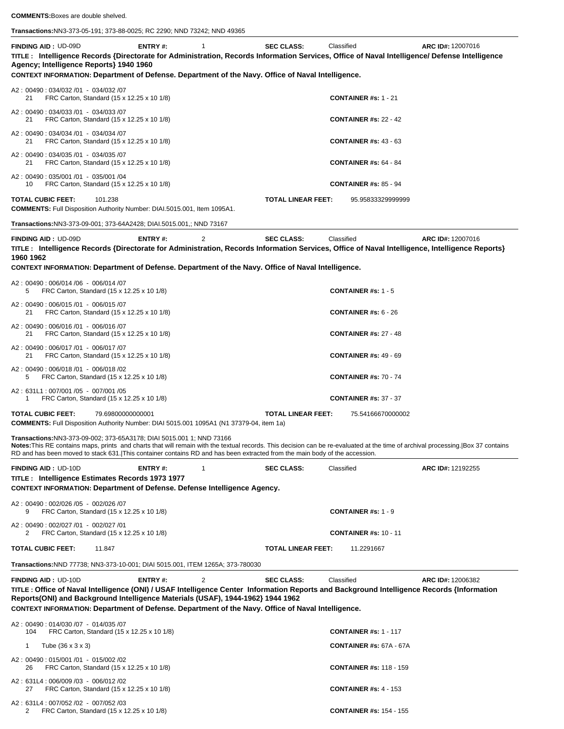**Transactions:**NN3-373-05-191; 373-88-0025; RC 2290; NND 73242; NND 49365

**FINDING AID :** UD-09D **ENTRY #:** 1 **SEC CLASS:** Classified **ARC ID#:** 12007016 **TITLE : Intelligence Records {Directorate for Administration, Records Information Services, Office of Naval Intelligence/ Defense Intelligence Agency; Intelligence Reports} 1940 1960 CONTEXT INFORMATION: Department of Defense. Department of the Navy. Office of Naval Intelligence.** A2 : 00490 : 034/032 /01 - 034/032 /07 21 FRC Carton, Standard (15 x 12.25 x 10 1/8) **CONTAINER #s:** 1 - 21 A2 : 00490 : 034/033 /01 - 034/033 /07 21 FRC Carton, Standard (15 x 12.25 x 10 1/8) **CONTAINER #s:** 22 - 42 A2 : 00490 : 034/034 /01 - 034/034 /07 21 FRC Carton, Standard (15 x 12.25 x 10 1/8) **CONTAINER #s:** 43 - 63 A2 : 00490 : 034/035 /01 - 034/035 /07 21 FRC Carton, Standard (15 x 12.25 x 10 1/8) **CONTAINER #s:** 64 - 84 A2 : 00490 : 035/001 /01 - 035/001 /04 10 FRC Carton, Standard (15 x 12.25 x 10 1/8) **CONTAINER #s:** 85 - 94 **TOTAL CUBIC FEET:** 101.238 **TOTAL LINEAR FEET:** 95.95833329999999 **COMMENTS:** Full Disposition Authority Number: DIAI.5015.001, Item 1095A1. **Transactions:**NN3-373-09-001; 373-64A2428; DIAI.5015.001,; NND 73167**FINDING AID :** UD-09D **ENTRY #:** 2 **SEC CLASS:** Classified **ARC ID#:** 12007016 **TITLE : Intelligence Records {Directorate for Administration, Records Information Services, Office of Naval Intelligence, Intelligence Reports} 1960 1962 CONTEXT INFORMATION: Department of Defense. Department of the Navy. Office of Naval Intelligence.** A2 : 00490 : 006/014 /06 - 006/014 /07 5 FRC Carton, Standard (15 x 12.25 x 10 1/8) **CONTAINER #s:** 1 - 5 A2 : 00490 : 006/015 /01 - 006/015 /07 21 FRC Carton, Standard (15 x 12.25 x 10 1/8) **CONTAINER #s:** 6 - 26 A2 : 00490 : 006/016 /01 - 006/016 /07 21 FRC Carton, Standard (15 x 12.25 x 10 1/8) **CONTAINER #s:** 27 - 48 A2 : 00490 : 006/017 /01 - 006/017 /07 21 FRC Carton, Standard (15 x 12.25 x 10 1/8) **CONTAINER #s:** 49 - 69 A2 : 00490 : 006/018 /01 - 006/018 /02 5 FRC Carton, Standard (15 x 12.25 x 10 1/8) **CONTAINER #s:** 70 - 74 A2 : 631L1 : 007/001 /05 - 007/001 /05 1 FRC Carton, Standard (15 x 12.25 x 10 1/8) **CONTAINER #s:** 37 - 37 **TOTAL CUBIC FEET:** 79.69800000000001 **TOTAL LINEAR FEET:** 75.54166670000002 **COMMENTS:** Full Disposition Authority Number: DIAI 5015.001 1095A1 (N1 37379-04, item 1a) **Transactions:**NN3-373-09-002; 373-65A3178; DIAI 5015.001 1; NND 73166 **Notes:**This RE contains maps, prints and charts that will remain with the textual records. This decision can be re-evaluated at the time of archival processing.|Box 37 contains RD and has been moved to stack 631.|This container contains RD and has been extracted from the main body of the accession. **FINDING AID :** UD-10D **ENTRY #:** 1 **SEC CLASS:** Classified **ARC ID#:** 12192255 **TITLE : Intelligence Estimates Records 1973 1977 CONTEXT INFORMATION: Department of Defense. Defense Intelligence Agency.** A2 : 00490 : 002/026 /05 - 002/026 /07 9 FRC Carton, Standard (15 x 12.25 x 10 1/8) **CONTAINER #s:** 1 - 9 A2 : 00490 : 002/027 /01 - 002/027 /01 2 FRC Carton, Standard (15 x 12.25 x 10 1/8) **CONTAINER #s:** 10 - 11 **TOTAL CUBIC FEET:** 11.847 **TOTAL LINEAR FEET:** 11.2291667 **Transactions:**NND 77738; NN3-373-10-001; DIAI 5015.001, ITEM 1265A; 373-780030 **FINDING AID :** UD-10D **ENTRY #:** 2 **SEC CLASS:** Classified **ARC ID#:** 12006382 **TITLE : Office of Naval Intelligence (ONI) / USAF Intelligence Center Information Reports and Background Intelligence Records {Information Reports(ONI) and Background Intelligence Materials (USAF), 1944-1962} 1944 1962 CONTEXT INFORMATION: Department of Defense. Department of the Navy. Office of Naval Intelligence.** A2 : 00490 : 014/030 /07 - 014/035 /07 104 FRC Carton, Standard (15 x 12.25 x 10 1/8) **CONTAINER #s:** 1 - 117 1 Tube (36 x 3 x 3) **CONTAINER #s:** 67A - 67A A2 : 00490 : 015/001 /01 - 015/002 /02 26 FRC Carton, Standard (15 x 12.25 x 10 1/8) **CONTAINER #s:** 118 - 159 A2 : 631L4 : 006/009 /03 - 006/012 /02 27 FRC Carton, Standard (15 x 12.25 x 10 1/8) **CONTAINER #s:** 4 - 153 A2 : 631L4 : 007/052 /02 - 007/052 /03 2 FRC Carton, Standard (15 x 12.25 x 10 1/8) **CONTAINER #s:** 154 - 155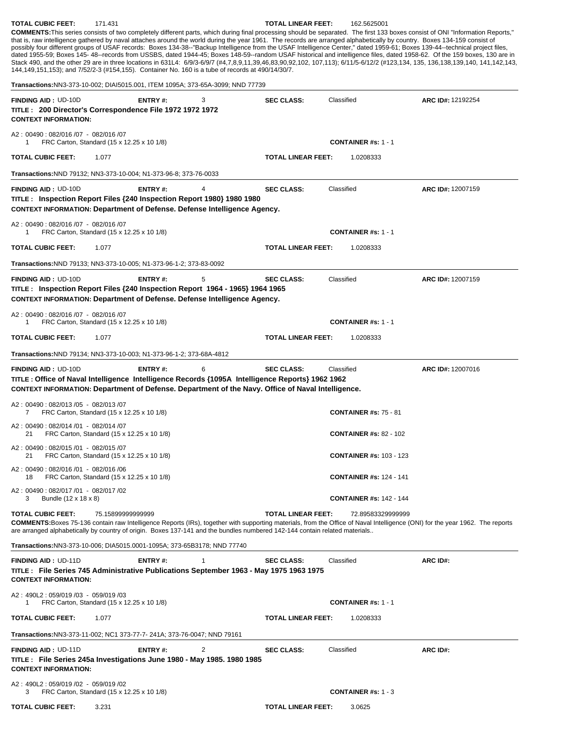**TOTAL CUBIC FEET:** 171.431 **TOTAL LINEAR FEET:** 162.5625001

**COMMENTS:**This series consists of two completely different parts, which during final processing should be separated. The first 133 boxes consist of ONI "Information Reports," that is, raw intelligence gathered by naval attaches around the world during the year 1961. The records are arranged alphabetically by country. Boxes 134-159 consist of possibly four different groups of USAF records: Boxes 134-38--"Backup Intelligence from the USAF Intelligence Center," dated 1959-61; Boxes 139-44--technical project files, dated 1955-59; Boxes 145- 48--records from USSBS, dated 1944-45; Boxes 148-59--random USAF historical and intelligence files, dated 1958-62. Of the 159 boxes, 130 are in Stack 490, and the other 29 are in three locations in 631L4: 6/9/3-6/9/7 (#4,7,8,9,11,39,46,83,90,92,102, 107,113); 6/11/5-6/12/2 (#123,134, 135, 136,138,139,140, 141,142,143, 144,149,151,153); and 7/52/2-3 (#154,155). Container No. 160 is a tube of records at 490/14/30/7.

| Transactions:NN3-373-10-002; DIAI5015.001, ITEM 1095A; 373-65A-3099; NND 77739                                                                                                                                                                                                                                                                       |                |   |                           |                                |                   |
|------------------------------------------------------------------------------------------------------------------------------------------------------------------------------------------------------------------------------------------------------------------------------------------------------------------------------------------------------|----------------|---|---------------------------|--------------------------------|-------------------|
| <b>FINDING AID: UD-10D</b><br>TITLE: 200 Director's Correspondence File 1972 1972 1972<br><b>CONTEXT INFORMATION:</b>                                                                                                                                                                                                                                | ENTRY#:        | 3 | <b>SEC CLASS:</b>         | Classified                     | ARC ID#: 12192254 |
| A2: 00490: 082/016 /07 - 082/016 /07<br>FRC Carton, Standard (15 x 12.25 x 10 1/8)<br>1                                                                                                                                                                                                                                                              |                |   |                           | <b>CONTAINER #s: 1 - 1</b>     |                   |
| <b>TOTAL CUBIC FEET:</b><br>1.077                                                                                                                                                                                                                                                                                                                    |                |   | <b>TOTAL LINEAR FEET:</b> | 1.0208333                      |                   |
| Transactions: NND 79132; NN3-373-10-004; N1-373-96-8; 373-76-0033                                                                                                                                                                                                                                                                                    |                |   |                           |                                |                   |
| <b>FINDING AID: UD-10D</b>                                                                                                                                                                                                                                                                                                                           | ENTRY#:        | 4 | <b>SEC CLASS:</b>         | Classified                     | ARC ID#: 12007159 |
| TITLE: Inspection Report Files {240 Inspection Report 1980} 1980 1980<br>CONTEXT INFORMATION: Department of Defense. Defense Intelligence Agency.                                                                                                                                                                                                    |                |   |                           |                                |                   |
| A2: 00490: 082/016 /07 - 082/016 /07<br>FRC Carton, Standard (15 x 12.25 x 10 1/8)<br>1                                                                                                                                                                                                                                                              |                |   |                           | <b>CONTAINER #s: 1 - 1</b>     |                   |
| TOTAL CUBIC FEET:<br>1.077                                                                                                                                                                                                                                                                                                                           |                |   | <b>TOTAL LINEAR FEET:</b> | 1.0208333                      |                   |
| <b>Transactions: NND 79133; NN3-373-10-005; N1-373-96-1-2; 373-83-0092</b>                                                                                                                                                                                                                                                                           |                |   |                           |                                |                   |
| <b>FINDING AID: UD-10D</b>                                                                                                                                                                                                                                                                                                                           | ENTRY#:        | 5 | <b>SEC CLASS:</b>         | Classified                     | ARC ID#: 12007159 |
| TITLE : Inspection Report Files {240 Inspection Report 1964 - 1965} 1964 1965                                                                                                                                                                                                                                                                        |                |   |                           |                                |                   |
| <b>CONTEXT INFORMATION: Department of Defense. Defense Intelligence Agency.</b>                                                                                                                                                                                                                                                                      |                |   |                           |                                |                   |
| A2: 00490: 082/016 /07 - 082/016 /07<br>FRC Carton, Standard (15 x 12.25 x 10 1/8)<br>1                                                                                                                                                                                                                                                              |                |   |                           | <b>CONTAINER #s: 1 - 1</b>     |                   |
| <b>TOTAL CUBIC FEET:</b><br>1.077                                                                                                                                                                                                                                                                                                                    |                |   | <b>TOTAL LINEAR FEET:</b> | 1.0208333                      |                   |
| Transactions: NND 79134; NN3-373-10-003; N1-373-96-1-2; 373-68A-4812                                                                                                                                                                                                                                                                                 |                |   |                           |                                |                   |
| <b>FINDING AID: UD-10D</b>                                                                                                                                                                                                                                                                                                                           | <b>ENTRY#:</b> | 6 | <b>SEC CLASS:</b>         | Classified                     | ARC ID#: 12007016 |
| TITLE : Office of Naval Intelligence Intelligence Records {1095A Intelligence Reports} 1962 1962<br>CONTEXT INFORMATION: Department of Defense. Department of the Navy. Office of Naval Intelligence.                                                                                                                                                |                |   |                           |                                |                   |
| A2: 00490: 082/013/05 - 082/013/07<br>FRC Carton, Standard (15 x 12.25 x 10 1/8)<br>7                                                                                                                                                                                                                                                                |                |   |                           | <b>CONTAINER #s: 75 - 81</b>   |                   |
| A2: 00490: 082/014 /01 - 082/014 /07<br>FRC Carton, Standard (15 x 12.25 x 10 1/8)<br>21                                                                                                                                                                                                                                                             |                |   |                           | <b>CONTAINER #s: 82 - 102</b>  |                   |
| A2: 00490: 082/015 /01 - 082/015 /07<br>FRC Carton, Standard (15 x 12.25 x 10 1/8)<br>21                                                                                                                                                                                                                                                             |                |   |                           | <b>CONTAINER #s: 103 - 123</b> |                   |
| A2: 00490: 082/016 /01 - 082/016 /06<br>FRC Carton, Standard (15 x 12.25 x 10 1/8)<br>18                                                                                                                                                                                                                                                             |                |   |                           | <b>CONTAINER #s: 124 - 141</b> |                   |
| A2: 00490: 082/017 /01 - 082/017 /02<br>3<br>Bundle (12 x 18 x 8)                                                                                                                                                                                                                                                                                    |                |   |                           | <b>CONTAINER #s: 142 - 144</b> |                   |
| TOTAL CUBIC FEET:<br>75.15899999999999<br>COMMENTS:Boxes 75-136 contain raw Intelligence Reports (IRs), together with supporting materials, from the Office of Naval Intelligence (ONI) for the year 1962. The reports<br>are arranged alphabetically by country of origin. Boxes 137-141 and the bundles numbered 142-144 contain related materials |                |   | <b>TOTAL LINEAR FEET:</b> | 72.89583329999999              |                   |
| <b>Transactions:</b> NN3-373-10-006; DIA5015.0001-1095A; 373-65B3178; NND 77740                                                                                                                                                                                                                                                                      |                |   |                           |                                |                   |
| <b>FINDING AID: UD-11D</b><br>TITLE: File Series 745 Administrative Publications September 1963 - May 1975 1963 1975<br><b>CONTEXT INFORMATION:</b>                                                                                                                                                                                                  | <b>ENTRY#:</b> | 1 | <b>SEC CLASS:</b>         | Classified                     | ARC ID#:          |
| A2: 490L2: 059/019 /03 - 059/019 /03<br>FRC Carton, Standard (15 x 12.25 x 10 1/8)<br>1                                                                                                                                                                                                                                                              |                |   |                           | <b>CONTAINER #s: 1 - 1</b>     |                   |
| TOTAL CUBIC FEET:<br>1.077                                                                                                                                                                                                                                                                                                                           |                |   | <b>TOTAL LINEAR FEET:</b> | 1.0208333                      |                   |
| Transactions:NN3-373-11-002; NC1 373-77-7- 241A; 373-76-0047; NND 79161                                                                                                                                                                                                                                                                              |                |   |                           |                                |                   |
| <b>FINDING AID: UD-11D</b><br>TITLE : File Series 245a Investigations June 1980 - May 1985. 1980 1985<br><b>CONTEXT INFORMATION:</b>                                                                                                                                                                                                                 | <b>ENTRY#:</b> | 2 | <b>SEC CLASS:</b>         | Classified                     | ARC ID#:          |
| A2: 490L2: 059/019 /02 - 059/019 /02<br>FRC Carton, Standard (15 x 12.25 x 10 1/8)<br>3                                                                                                                                                                                                                                                              |                |   |                           | <b>CONTAINER</b> #s: $1 - 3$   |                   |

**TOTAL CUBIC FEET:** 3.231 **TOTAL LINEAR FEET:** 3.0625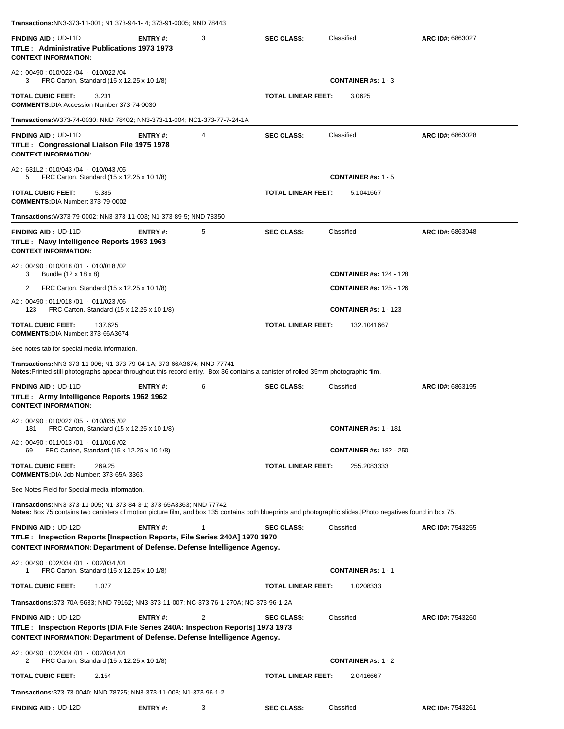| <b>FINDING AID: UD-11D</b><br>TITLE: Administrative Publications 1973 1973<br><b>CONTEXT INFORMATION:</b>                                                                                                                                   | <b>ENTRY#:</b> | 3              | <b>SEC CLASS:</b>         | Classified                     | ARC ID#: 6863027 |
|---------------------------------------------------------------------------------------------------------------------------------------------------------------------------------------------------------------------------------------------|----------------|----------------|---------------------------|--------------------------------|------------------|
| A2: 00490: 010/022 /04 - 010/022 /04<br>FRC Carton, Standard (15 x 12.25 x 10 1/8)<br>3                                                                                                                                                     |                |                |                           | <b>CONTAINER #s: 1 - 3</b>     |                  |
| <b>TOTAL CUBIC FEET:</b><br>3.231<br><b>COMMENTS: DIA Accession Number 373-74-0030</b>                                                                                                                                                      |                |                | <b>TOTAL LINEAR FEET:</b> | 3.0625                         |                  |
| Transactions:W373-74-0030; NND 78402; NN3-373-11-004; NC1-373-77-7-24-1A                                                                                                                                                                    |                |                |                           |                                |                  |
| FINDING AID: UD-11D<br>TITLE: Congressional Liaison File 1975 1978<br><b>CONTEXT INFORMATION:</b>                                                                                                                                           | ENTRY#:        | 4              | <b>SEC CLASS:</b>         | Classified                     | ARC ID#: 6863028 |
| A2: 631L2: 010/043 /04 - 010/043 /05<br>FRC Carton, Standard (15 x 12.25 x 10 1/8)<br>5                                                                                                                                                     |                |                |                           | <b>CONTAINER #s: 1 - 5</b>     |                  |
| <b>TOTAL CUBIC FEET:</b><br>5.385<br>COMMENTS: DIA Number: 373-79-0002                                                                                                                                                                      |                |                | <b>TOTAL LINEAR FEET:</b> | 5.1041667                      |                  |
| Transactions: W373-79-0002; NN3-373-11-003; N1-373-89-5; NND 78350                                                                                                                                                                          |                |                |                           |                                |                  |
| <b>FINDING AID: UD-11D</b><br>TITLE : Navy Intelligence Reports 1963 1963<br><b>CONTEXT INFORMATION:</b>                                                                                                                                    | ENTRY#:        | 5              | <b>SEC CLASS:</b>         | Classified                     | ARC ID#: 6863048 |
| A2: 00490: 010/018 /01 - 010/018 /02<br>Bundle (12 x 18 x 8)<br>3                                                                                                                                                                           |                |                |                           | <b>CONTAINER #s: 124 - 128</b> |                  |
| 2<br>FRC Carton, Standard (15 x 12.25 x 10 1/8)                                                                                                                                                                                             |                |                |                           | <b>CONTAINER #s: 125 - 126</b> |                  |
| A2: 00490: 011/018 /01 - 011/023 /06<br>FRC Carton, Standard (15 x 12.25 x 10 1/8)<br>123                                                                                                                                                   |                |                |                           | <b>CONTAINER #s: 1 - 123</b>   |                  |
| <b>TOTAL CUBIC FEET:</b><br>137.625<br>COMMENTS: DIA Number: 373-66A3674                                                                                                                                                                    |                |                | <b>TOTAL LINEAR FEET:</b> | 132.1041667                    |                  |
| See notes tab for special media information.                                                                                                                                                                                                |                |                |                           |                                |                  |
| Transactions: NN3-373-11-006; N1-373-79-04-1A; 373-66A3674; NND 77741<br>Notes: Printed still photographs appear throughout this record entry. Box 36 contains a canister of rolled 35mm photographic film.                                 |                |                |                           |                                |                  |
| <b>FINDING AID: UD-11D</b><br>TITLE: Army Intelligence Reports 1962 1962                                                                                                                                                                    | ENTRY#:        | 6              | <b>SEC CLASS:</b>         | Classified                     | ARC ID#: 6863195 |
| <b>CONTEXT INFORMATION:</b>                                                                                                                                                                                                                 |                |                |                           |                                |                  |
| A2: 00490: 010/022 /05 - 010/035 /02<br>FRC Carton, Standard (15 x 12.25 x 10 1/8)<br>181                                                                                                                                                   |                |                |                           | <b>CONTAINER #s: 1 - 181</b>   |                  |
| A2: 00490: 011/013/01 - 011/016/02<br>FRC Carton, Standard (15 x 12.25 x 10 1/8)<br>69                                                                                                                                                      |                |                |                           | <b>CONTAINER #s: 182 - 250</b> |                  |
| <b>TOTAL CUBIC FEET:</b><br>269.25<br>COMMENTS: DIA Job Number: 373-65A-3363                                                                                                                                                                |                |                | <b>TOTAL LINEAR FEET:</b> | 255.2083333                    |                  |
| See Notes Field for Special media information.                                                                                                                                                                                              |                |                |                           |                                |                  |
| <b>Transactions:</b> NN3-373-11-005; N1-373-84-3-1; 373-65A3363; NND 77742<br>Notes: Box 75 contains two canisters of motion picture film, and box 135 contains both blueprints and photographic slides.   Photo negatives found in box 75. |                |                |                           |                                |                  |
| FINDING AID: UD-12D<br>TITLE : Inspection Reports [Inspection Reports, File Series 240A] 1970 1970<br><b>CONTEXT INFORMATION: Department of Defense. Defense Intelligence Agency.</b>                                                       | ENTRY#:        |                | <b>SEC CLASS:</b>         | Classified                     | ARC ID#: 7543255 |
| A2: 00490: 002/034 /01 - 002/034 /01<br>FRC Carton, Standard (15 x 12.25 x 10 1/8)                                                                                                                                                          |                |                |                           | <b>CONTAINER #s: 1 - 1</b>     |                  |
| <b>TOTAL CUBIC FEET:</b><br>1.077                                                                                                                                                                                                           |                |                | <b>TOTAL LINEAR FEET:</b> | 1.0208333                      |                  |
| Transactions:373-70A-5633; NND 79162; NN3-373-11-007; NC-373-76-1-270A; NC-373-96-1-2A                                                                                                                                                      |                |                |                           |                                |                  |
| FINDING AID: UD-12D<br>TITLE : Inspection Reports [DIA File Series 240A: Inspection Reports] 1973 1973<br>CONTEXT INFORMATION: Department of Defense. Defense Intelligence Agency.                                                          | ENTRY#:        | $\overline{2}$ | <b>SEC CLASS:</b>         | Classified                     | ARC ID#: 7543260 |
| A2: 00490: 002/034 /01 - 002/034 /01<br>FRC Carton, Standard (15 x 12.25 x 10 1/8)<br>2                                                                                                                                                     |                |                |                           | <b>CONTAINER #s: 1 - 2</b>     |                  |
| <b>TOTAL CUBIC FEET:</b><br>2.154                                                                                                                                                                                                           |                |                | <b>TOTAL LINEAR FEET:</b> | 2.0416667                      |                  |
| Transactions: 373-73-0040; NND 78725; NN3-373-11-008; N1-373-96-1-2                                                                                                                                                                         |                |                |                           |                                |                  |
| <b>FINDING AID: UD-12D</b>                                                                                                                                                                                                                  | ENTRY#:        | 3              | <b>SEC CLASS:</b>         | Classified                     | ARC ID#: 7543261 |

**Transactions:**NN3-373-11-001; N1 373-94-1- 4; 373-91-0005; NND 78443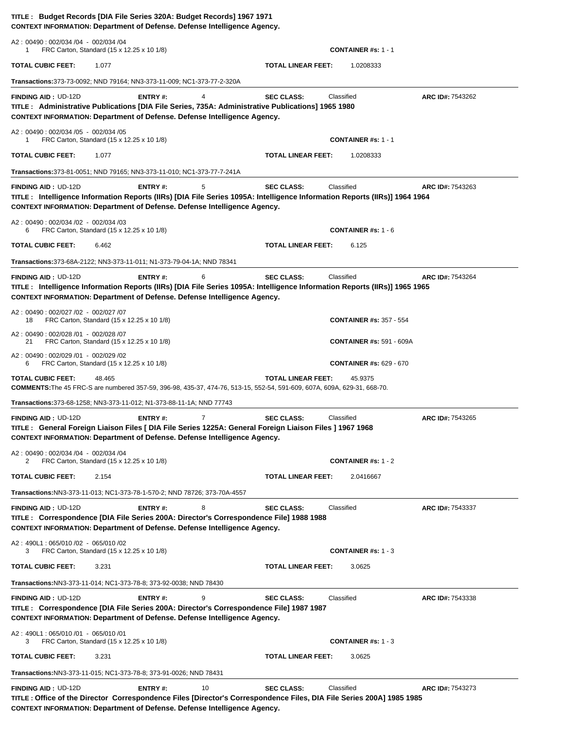| TITLE: Budget Records [DIA File Series 320A: Budget Records] 1967 1971<br><b>CONTEXT INFORMATION: Department of Defense. Defense Intelligence Agency.</b>                                                                                                          |                                                            |
|--------------------------------------------------------------------------------------------------------------------------------------------------------------------------------------------------------------------------------------------------------------------|------------------------------------------------------------|
| A2: 00490: 002/034 /04 - 002/034 /04<br>FRC Carton, Standard (15 x 12.25 x 10 1/8)<br>1                                                                                                                                                                            | <b>CONTAINER #s: 1 - 1</b>                                 |
| <b>TOTAL CUBIC FEET:</b><br>1.077                                                                                                                                                                                                                                  | <b>TOTAL LINEAR FEET:</b><br>1.0208333                     |
| Transactions: 373-73-0092; NND 79164; NN3-373-11-009; NC1-373-77-2-320A                                                                                                                                                                                            |                                                            |
| FINDING AID: UD-12D<br>ENTRY#:<br>$\overline{4}$<br>TITLE: Administrative Publications [DIA File Series, 735A: Administrative Publications] 1965 1980<br>CONTEXT INFORMATION: Department of Defense. Defense Intelligence Agency.                                  | <b>SEC CLASS:</b><br>Classified<br>ARC ID#: 7543262        |
| A2: 00490: 002/034 /05 - 002/034 /05<br>FRC Carton, Standard (15 x 12.25 x 10 1/8)<br>1                                                                                                                                                                            | <b>CONTAINER #s: 1 - 1</b>                                 |
| <b>TOTAL CUBIC FEET:</b><br>1.077                                                                                                                                                                                                                                  | <b>TOTAL LINEAR FEET:</b><br>1.0208333                     |
| Transactions:373-81-0051; NND 79165; NN3-373-11-010; NC1-373-77-7-241A                                                                                                                                                                                             |                                                            |
| 5<br><b>FINDING AID: UD-12D</b><br>ENTRY#:<br>TITLE : Intelligence Information Reports (IIRs) [DIA File Series 1095A: Intelligence Information Reports (IIRs)] 1964 1964<br>CONTEXT INFORMATION: Department of Defense. Defense Intelligence Agency.               | <b>SEC CLASS:</b><br>Classified<br><b>ARC ID#: 7543263</b> |
| A2: 00490: 002/034 /02 - 002/034 /03<br>FRC Carton, Standard (15 x 12.25 x 10 1/8)<br>6                                                                                                                                                                            | <b>CONTAINER #s: 1 - 6</b>                                 |
| <b>TOTAL CUBIC FEET:</b><br>6.462                                                                                                                                                                                                                                  | <b>TOTAL LINEAR FEET:</b><br>6.125                         |
| Transactions:373-68A-2122; NN3-373-11-011; N1-373-79-04-1A; NND 78341                                                                                                                                                                                              |                                                            |
| <b>FINDING AID: UD-12D</b><br><b>ENTRY#:</b><br>6<br>TITLE : Intelligence Information Reports (IIRs) [DIA File Series 1095A: Intelligence Information Reports (IIRs)] 1965 1965<br><b>CONTEXT INFORMATION: Department of Defense. Defense Intelligence Agency.</b> | <b>SEC CLASS:</b><br>Classified<br>ARC ID#: 7543264        |
| A2: 00490: 002/027 /02 - 002/027 /07<br>FRC Carton, Standard (15 x 12.25 x 10 1/8)<br>18                                                                                                                                                                           | <b>CONTAINER #s: 357 - 554</b>                             |
| A2: 00490: 002/028 /01 - 002/028 /07<br>FRC Carton, Standard (15 x 12.25 x 10 1/8)<br>21                                                                                                                                                                           | <b>CONTAINER #s: 591 - 609A</b>                            |
| A2: 00490: 002/029 /01 - 002/029 /02<br>FRC Carton, Standard (15 x 12.25 x 10 1/8)<br>6                                                                                                                                                                            | <b>CONTAINER #s: 629 - 670</b>                             |
| <b>TOTAL CUBIC FEET:</b><br>48.465<br>COMMENTS: The 45 FRC-S are numbered 357-59, 396-98, 435-37, 474-76, 513-15, 552-54, 591-609, 607A, 609A, 629-31, 668-70.                                                                                                     | <b>TOTAL LINEAR FEET:</b><br>45.9375                       |
| Transactions: 373-68-1258; NN3-373-11-012; N1-373-88-11-1A; NND 77743                                                                                                                                                                                              |                                                            |
| 7<br><b>FINDING AID: UD-12D</b><br>ENTRY#:<br>TITLE : General Foreign Liaison Files [ DIA File Series 1225A: General Foreign Liaison Files ] 1967 1968<br><b>CONTEXT INFORMATION: Department of Defense. Defense Intelligence Agency.</b>                          | <b>SEC CLASS:</b><br>Classified<br>ARC ID#: 7543265        |
| A2: 00490: 002/034 /04 - 002/034 /04<br>FRC Carton, Standard (15 x 12.25 x 10 1/8)<br>2                                                                                                                                                                            | <b>CONTAINER #s: 1 - 2</b>                                 |
| <b>TOTAL CUBIC FEET:</b><br>2.154                                                                                                                                                                                                                                  | <b>TOTAL LINEAR FEET:</b><br>2.0416667                     |
| Transactions: NN3-373-11-013; NC1-373-78-1-570-2; NND 78726; 373-70A-4557                                                                                                                                                                                          |                                                            |
| FINDING AID: UD-12D<br>8<br>ENTRY#:<br>TITLE : Correspondence [DIA File Series 200A: Director's Correspondence File] 1988 1988<br><b>CONTEXT INFORMATION: Department of Defense. Defense Intelligence Agency.</b>                                                  | <b>SEC CLASS:</b><br>Classified<br>ARC ID#: 7543337        |
| A2: 490L1: 065/010 /02 - 065/010 /02<br>FRC Carton, Standard (15 x 12.25 x 10 1/8)<br>3                                                                                                                                                                            | <b>CONTAINER #s: 1 - 3</b>                                 |
| TOTAL CUBIC FEET:<br>3.231                                                                                                                                                                                                                                         | TOTAL LINEAR FEET:<br>3.0625                               |
| Transactions: NN3-373-11-014; NC1-373-78-8; 373-92-0038; NND 78430                                                                                                                                                                                                 |                                                            |
| <b>FINDING AID: UD-12D</b><br>9<br>ENTRY#:<br>TITLE : Correspondence [DIA File Series 200A: Director's Correspondence File] 1987 1987<br><b>CONTEXT INFORMATION: Department of Defense. Defense Intelligence Agency.</b>                                           | Classified<br><b>SEC CLASS:</b><br>ARC ID#: 7543338        |
| A2: 490L1: 065/010 /01 - 065/010 /01<br>FRC Carton, Standard (15 x 12.25 x 10 1/8)<br>3                                                                                                                                                                            | <b>CONTAINER #s: 1 - 3</b>                                 |
| <b>TOTAL CUBIC FEET:</b><br>3.231                                                                                                                                                                                                                                  | TOTAL LINEAR FEET:<br>3.0625                               |
| <b>Transactions:</b> NN3-373-11-015; NC1-373-78-8; 373-91-0026; NND 78431                                                                                                                                                                                          |                                                            |
| <b>FINDING AID: UD-12D</b><br>ENTRY#:<br>10<br>TITLE : Office of the Director Correspondence Files [Director's Correspondence Files, DIA File Series 200A] 1985 1985                                                                                               | Classified<br><b>SEC CLASS:</b><br>ARC ID#: 7543273        |

**CONTEXT INFORMATION: Department of Defense. Defense Intelligence Agency.**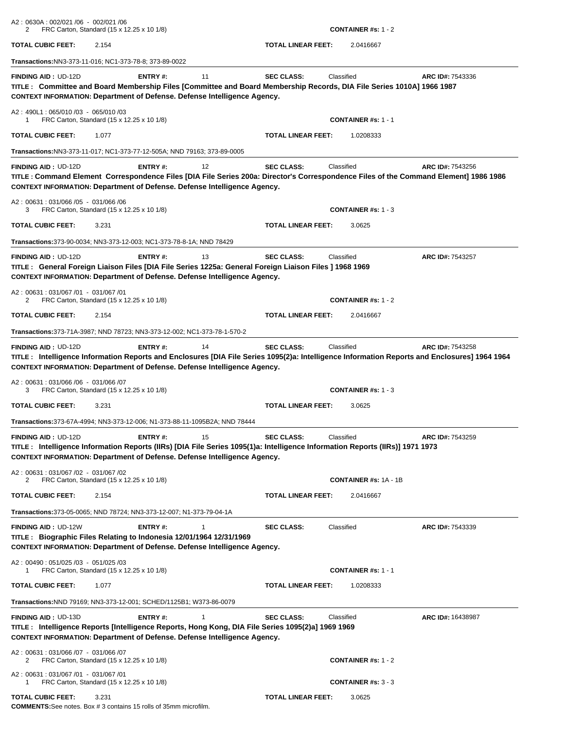| A2: 0630A: 002/021 /06 - 002/021 /06<br>FRC Carton, Standard (15 x 12.25 x 10 1/8)<br>2                                                                                                                                                                                               |                           | CONTAINER #s: $1 - 2$        |                   |
|---------------------------------------------------------------------------------------------------------------------------------------------------------------------------------------------------------------------------------------------------------------------------------------|---------------------------|------------------------------|-------------------|
| TOTAL CUBIC FEET:<br>2.154                                                                                                                                                                                                                                                            | <b>TOTAL LINEAR FEET:</b> | 2.0416667                    |                   |
| Transactions: NN3-373-11-016; NC1-373-78-8; 373-89-0022                                                                                                                                                                                                                               |                           |                              |                   |
| <b>FINDING AID: UD-12D</b><br><b>ENTRY#:</b><br>11<br>TITLE: Committee and Board Membership Files [Committee and Board Membership Records, DIA File Series 1010A] 1966 1987<br><b>CONTEXT INFORMATION: Department of Defense. Defense Intelligence Agency.</b>                        | <b>SEC CLASS:</b>         | Classified                   | ARC ID#: 7543336  |
| A2: 490L1: 065/010 /03 - 065/010 /03<br>FRC Carton, Standard (15 x 12.25 x 10 1/8)<br>1                                                                                                                                                                                               |                           | <b>CONTAINER #s: 1 - 1</b>   |                   |
| <b>TOTAL CUBIC FEET:</b><br>1.077                                                                                                                                                                                                                                                     | <b>TOTAL LINEAR FEET:</b> | 1.0208333                    |                   |
| Transactions:NN3-373-11-017; NC1-373-77-12-505A; NND 79163; 373-89-0005                                                                                                                                                                                                               |                           |                              |                   |
| <b>FINDING AID: UD-12D</b><br><b>ENTRY#:</b><br>12<br>TITLE: Command Element Correspondence Files [DIA File Series 200a: Director's Correspondence Files of the Command Element] 1986 1986<br>CONTEXT INFORMATION: Department of Defense. Defense Intelligence Agency.                | <b>SEC CLASS:</b>         | Classified                   | ARC ID#: 7543256  |
| A2: 00631: 031/066 /05 - 031/066 /06<br>FRC Carton, Standard (15 x 12.25 x 10 1/8)<br>3                                                                                                                                                                                               |                           | <b>CONTAINER #s: 1 - 3</b>   |                   |
| <b>TOTAL CUBIC FEET:</b><br>3.231                                                                                                                                                                                                                                                     | <b>TOTAL LINEAR FEET:</b> | 3.0625                       |                   |
| Transactions: 373-90-0034; NN3-373-12-003; NC1-373-78-8-1A; NND 78429                                                                                                                                                                                                                 |                           |                              |                   |
| <b>FINDING AID: UD-12D</b><br><b>ENTRY#:</b><br>13<br>TITLE : General Foreign Liaison Files [DIA File Series 1225a: General Foreign Liaison Files ] 1968 1969<br>CONTEXT INFORMATION: Department of Defense. Defense Intelligence Agency.                                             | <b>SEC CLASS:</b>         | Classified                   | ARC ID#: 7543257  |
| A2: 00631: 031/067 /01 - 031/067 /01<br>FRC Carton, Standard (15 x 12.25 x 10 1/8)<br>2                                                                                                                                                                                               |                           | CONTAINER #s: $1 - 2$        |                   |
| <b>TOTAL CUBIC FEET:</b><br>2.154                                                                                                                                                                                                                                                     | <b>TOTAL LINEAR FEET:</b> | 2.0416667                    |                   |
| Transactions:373-71A-3987; NND 78723; NN3-373-12-002; NC1-373-78-1-570-2                                                                                                                                                                                                              |                           |                              |                   |
| <b>ENTRY#:</b><br>14<br><b>FINDING AID: UD-12D</b><br>TITLE: Intelligence Information Reports and Enclosures [DIA File Series 1095(2)a: Intelligence Information Reports and Enclosures] 1964 1964<br><b>CONTEXT INFORMATION: Department of Defense. Defense Intelligence Agency.</b> | <b>SEC CLASS:</b>         | Classified                   | ARC ID#: 7543258  |
| A2: 00631: 031/066 /06 - 031/066 /07<br>FRC Carton, Standard (15 x 12.25 x 10 1/8)<br>3                                                                                                                                                                                               |                           | <b>CONTAINER #s: 1 - 3</b>   |                   |
| <b>TOTAL CUBIC FEET:</b><br>3.231                                                                                                                                                                                                                                                     | <b>TOTAL LINEAR FEET:</b> | 3.0625                       |                   |
| Transactions: 373-67A-4994; NN3-373-12-006; N1-373-88-11-1095B2A; NND 78444                                                                                                                                                                                                           |                           |                              |                   |
|                                                                                                                                                                                                                                                                                       |                           |                              |                   |
| <b>FINDING AID: UD-12D</b><br><b>ENTRY#:</b><br>15<br>TITLE : Intelligence Information Reports (IIRs) [DIA File Series 1095(1)a: Intelligence Information Reports (IIRs)] 1971 1973<br><b>CONTEXT INFORMATION: Department of Defense. Defense Intelligence Agency.</b>                | <b>SEC CLASS:</b>         | Classified                   | ARC ID#: 7543259  |
| A2: 00631: 031/067 /02 - 031/067 /02<br>FRC Carton, Standard (15 x 12.25 x 10 1/8)<br>2                                                                                                                                                                                               |                           | <b>CONTAINER #s: 1A - 1B</b> |                   |
| <b>TOTAL CUBIC FEET:</b><br>2.154                                                                                                                                                                                                                                                     | <b>TOTAL LINEAR FEET:</b> | 2.0416667                    |                   |
| Transactions:373-05-0065; NND 78724; NN3-373-12-007; N1-373-79-04-1A                                                                                                                                                                                                                  |                           |                              |                   |
| <b>FINDING AID: UD-12W</b><br><b>ENTRY#:</b><br>1<br>TITLE : Biographic Files Relating to Indonesia 12/01/1964 12/31/1969<br>CONTEXT INFORMATION: Department of Defense. Defense Intelligence Agency.                                                                                 | <b>SEC CLASS:</b>         | Classified                   | ARC ID#: 7543339  |
| A2: 00490: 051/025 /03 - 051/025 /03<br>FRC Carton, Standard (15 x 12.25 x 10 1/8)<br>1                                                                                                                                                                                               |                           | <b>CONTAINER #s: 1 - 1</b>   |                   |
| <b>TOTAL CUBIC FEET:</b><br>1.077                                                                                                                                                                                                                                                     | <b>TOTAL LINEAR FEET:</b> | 1.0208333                    |                   |
| Transactions: NND 79169; NN3-373-12-001; SCHED/1125B1; W373-86-0079                                                                                                                                                                                                                   |                           |                              |                   |
| <b>FINDING AID: UD-13D</b><br><b>ENTRY#:</b><br>1<br>TITLE: Intelligence Reports [Intelligence Reports, Hong Kong, DIA File Series 1095(2)a] 1969 1969<br><b>CONTEXT INFORMATION: Department of Defense. Defense Intelligence Agency.</b>                                             | <b>SEC CLASS:</b>         | Classified                   | ARC ID#: 16438987 |
| A2: 00631: 031/066 /07 - 031/066 /07<br>FRC Carton, Standard (15 x 12.25 x 10 1/8)<br>2                                                                                                                                                                                               |                           | <b>CONTAINER #s: 1 - 2</b>   |                   |
| A2: 00631: 031/067 /01 - 031/067 /01<br>FRC Carton, Standard (15 x 12.25 x 10 1/8)<br>1                                                                                                                                                                                               |                           | <b>CONTAINER #s: 3 - 3</b>   |                   |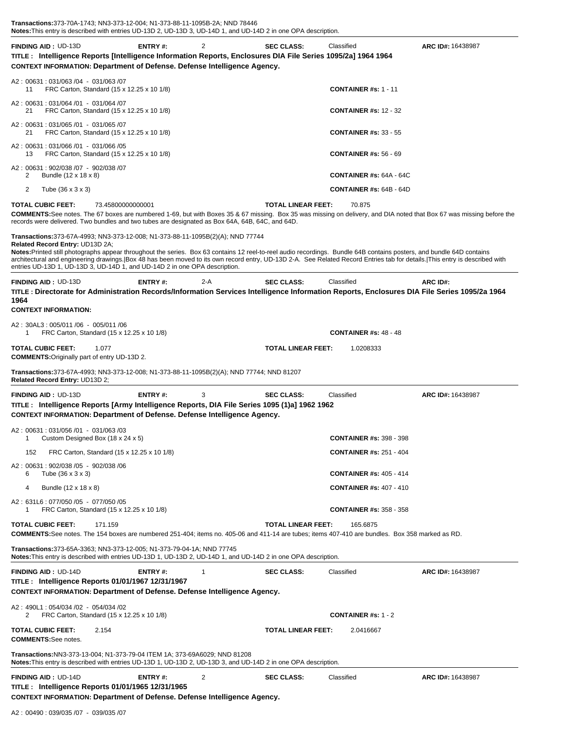| A2: 00631: 031/063 /04 - 031/063 /07<br><b>CONTAINER #s: 1 - 11</b><br>FRC Carton, Standard (15 x 12.25 x 10 1/8)<br>11<br>A2: 00631: 031/064 /01 - 031/064 /07<br>FRC Carton, Standard (15 x 12.25 x 10 1/8)<br><b>CONTAINER #s: 12 - 32</b><br>21<br>A2: 00631: 031/065 /01 - 031/065 /07<br>21<br>FRC Carton, Standard (15 x 12.25 x 10 1/8)<br><b>CONTAINER #s: 33 - 55</b><br>A2: 00631: 031/066 /01 - 031/066 /05<br>13<br>FRC Carton, Standard (15 x 12.25 x 10 1/8)<br><b>CONTAINER #s: 56 - 69</b><br>A2: 00631: 902/038 /07 - 902/038 /07<br>Bundle (12 x 18 x 8)<br><b>CONTAINER #s: 64A - 64C</b><br>2<br>2<br>Tube (36 x 3 x 3)<br><b>CONTAINER #s: 64B - 64D</b><br><b>TOTAL CUBIC FEET:</b><br><b>TOTAL LINEAR FEET:</b><br>70.875<br>73.45800000000001<br>COMMENTS:See notes. The 67 boxes are numbered 1-69, but with Boxes 35 & 67 missing. Box 35 was missing on delivery, and DIA noted that Box 67 was missing before the<br>records were delivered. Two bundles and two tubes are designated as Box 64A, 64B, 64C, and 64D.<br>Transactions:373-67A-4993; NN3-373-12-008; N1-373-88-11-1095B(2)(A); NND 77744<br>Related Record Entry: UD13D 2A;<br>Notes:Printed still photographs appear throughout the series. Box 63 contains 12 reel-to-reel audio recordings. Bundle 64B contains posters, and bundle 64D contains<br>architectural and engineering drawings. Box 48 has been moved to its own record entry, UD-13D 2-A. See Related Record Entries tab for details. This entry is described with<br>entries UD-13D 1, UD-13D 3, UD-14D 1, and UD-14D 2 in one OPA description.<br><b>SEC CLASS:</b><br>Classified<br><b>FINDING AID: UD-13D</b><br>ENTRY#:<br>$2-A$<br>ARC ID#:<br>TITLE : Directorate for Administration Records/Information Services Intelligence Information Reports, Enclosures DIA File Series 1095/2a 1964<br>1964<br><b>CONTEXT INFORMATION:</b><br>A2: 30AL3: 005/011 /06 - 005/011 /06<br>FRC Carton, Standard (15 x 12.25 x 10 1/8)<br><b>CONTAINER #s: 48 - 48</b><br>1<br><b>TOTAL CUBIC FEET:</b><br><b>TOTAL LINEAR FEET:</b><br>1.077<br>1.0208333<br><b>COMMENTS: Originally part of entry UD-13D 2.</b><br>Transactions:373-67A-4993; NN3-373-12-008; N1-373-88-11-1095B(2)(A); NND 77744; NND 81207<br>Related Record Entry: UD13D 2;<br>3<br>ENTRY#:<br><b>SEC CLASS:</b><br>Classified<br><b>FINDING AID: UD-13D</b><br>ARC ID#: 16438987<br>TITLE : Intelligence Reports [Army Intelligence Reports, DIA File Series 1095 (1)a] 1962 1962<br><b>CONTEXT INFORMATION: Department of Defense. Defense Intelligence Agency.</b><br>A2: 00631: 031/056 /01 - 031/063 /03<br>Custom Designed Box (18 x 24 x 5)<br><b>CONTAINER #s: 398 - 398</b><br>1<br>FRC Carton, Standard (15 x 12.25 x 10 1/8)<br><b>CONTAINER #s: 251 - 404</b><br>152<br>A2: 00631: 902/038 /05 - 902/038 /06<br>Tube (36 x 3 x 3)<br><b>CONTAINER #s: 405 - 414</b><br>6<br>4<br>Bundle (12 x 18 x 8)<br><b>CONTAINER #s: 407 - 410</b><br>A2: 631L6: 077/050 /05 - 077/050 /05<br>FRC Carton, Standard (15 x 12.25 x 10 1/8)<br><b>CONTAINER #s: 358 - 358</b><br>1<br><b>TOTAL CUBIC FEET:</b><br>171.159<br><b>TOTAL LINEAR FEET:</b><br>165.6875<br>COMMENTS: See notes. The 154 boxes are numbered 251-404; items no. 405-06 and 411-14 are tubes; items 407-410 are bundles. Box 358 marked as RD.<br>Transactions: 373-65A-3363; NN3-373-12-005; N1-373-79-04-1A; NND 77745<br>Notes: This entry is described with entries UD-13D 1, UD-13D 2, UD-14D 1, and UD-14D 2 in one OPA description.<br><b>FINDING AID: UD-14D</b><br>$\mathbf{1}$<br>Classified<br>ENTRY#:<br><b>SEC CLASS:</b><br>ARC ID#: 16438987<br>TITLE : Intelligence Reports 01/01/1967 12/31/1967<br><b>CONTEXT INFORMATION: Department of Defense. Defense Intelligence Agency.</b><br>A2: 490L1: 054/034 /02 - 054/034 /02<br>FRC Carton, Standard (15 x 12.25 x 10 1/8)<br><b>CONTAINER #s: 1 - 2</b><br>2<br><b>TOTAL CUBIC FEET:</b><br><b>TOTAL LINEAR FEET:</b><br>2.154<br>2.0416667<br><b>COMMENTS:See notes.</b><br>Transactions: NN3-373-13-004; N1-373-79-04 ITEM 1A; 373-69A6029; NND 81208<br>Notes: This entry is described with entries UD-13D 1, UD-13D 2, UD-13D 3, and UD-14D 2 in one OPA description.<br>2<br><b>FINDING AID: UD-14D</b><br><b>ENTRY#:</b><br><b>SEC CLASS:</b><br>Classified<br>ARC ID#: 16438987<br>TITLE : Intelligence Reports 01/01/1965 12/31/1965 | <b>FINDING AID: UD-13D</b><br>TITLE: Intelligence Reports [Intelligence Information Reports, Enclosures DIA File Series 1095/2a] 1964 1964<br><b>CONTEXT INFORMATION: Department of Defense. Defense Intelligence Agency.</b> | <b>ENTRY#:</b> | 2 | <b>SEC CLASS:</b> | Classified | ARC ID#: 16438987 |
|--------------------------------------------------------------------------------------------------------------------------------------------------------------------------------------------------------------------------------------------------------------------------------------------------------------------------------------------------------------------------------------------------------------------------------------------------------------------------------------------------------------------------------------------------------------------------------------------------------------------------------------------------------------------------------------------------------------------------------------------------------------------------------------------------------------------------------------------------------------------------------------------------------------------------------------------------------------------------------------------------------------------------------------------------------------------------------------------------------------------------------------------------------------------------------------------------------------------------------------------------------------------------------------------------------------------------------------------------------------------------------------------------------------------------------------------------------------------------------------------------------------------------------------------------------------------------------------------------------------------------------------------------------------------------------------------------------------------------------------------------------------------------------------------------------------------------------------------------------------------------------------------------------------------------------------------------------------------------------------------------------------------------------------------------------------------------------------------------------------------------------------------------------------------------------------------------------------------------------------------------------------------------------------------------------------------------------------------------------------------------------------------------------------------------------------------------------------------------------------------------------------------------------------------------------------------------------------------------------------------------------------------------------------------------------------------------------------------------------------------------------------------------------------------------------------------------------------------------------------------------------------------------------------------------------------------------------------------------------------------------------------------------------------------------------------------------------------------------------------------------------------------------------------------------------------------------------------------------------------------------------------------------------------------------------------------------------------------------------------------------------------------------------------------------------------------------------------------------------------------------------------------------------------------------------------------------------------------------------------------------------------------------------------------------------------------------------------------------------------------------------------------------------------------------------------------------------------------------------------------------------------------------------------------------------------------------------------------------------------------------------------------------------------------------------------------------------------------------------------------------------------------------------------------------------------------------------------------------------------------------------------------------------------------------------------------------------------------------------------------------------------------------------------|-------------------------------------------------------------------------------------------------------------------------------------------------------------------------------------------------------------------------------|----------------|---|-------------------|------------|-------------------|
|                                                                                                                                                                                                                                                                                                                                                                                                                                                                                                                                                                                                                                                                                                                                                                                                                                                                                                                                                                                                                                                                                                                                                                                                                                                                                                                                                                                                                                                                                                                                                                                                                                                                                                                                                                                                                                                                                                                                                                                                                                                                                                                                                                                                                                                                                                                                                                                                                                                                                                                                                                                                                                                                                                                                                                                                                                                                                                                                                                                                                                                                                                                                                                                                                                                                                                                                                                                                                                                                                                                                                                                                                                                                                                                                                                                                                                                                                                                                                                                                                                                                                                                                                                                                                                                                                                                                                                                                              |                                                                                                                                                                                                                               |                |   |                   |            |                   |
|                                                                                                                                                                                                                                                                                                                                                                                                                                                                                                                                                                                                                                                                                                                                                                                                                                                                                                                                                                                                                                                                                                                                                                                                                                                                                                                                                                                                                                                                                                                                                                                                                                                                                                                                                                                                                                                                                                                                                                                                                                                                                                                                                                                                                                                                                                                                                                                                                                                                                                                                                                                                                                                                                                                                                                                                                                                                                                                                                                                                                                                                                                                                                                                                                                                                                                                                                                                                                                                                                                                                                                                                                                                                                                                                                                                                                                                                                                                                                                                                                                                                                                                                                                                                                                                                                                                                                                                                              |                                                                                                                                                                                                                               |                |   |                   |            |                   |
|                                                                                                                                                                                                                                                                                                                                                                                                                                                                                                                                                                                                                                                                                                                                                                                                                                                                                                                                                                                                                                                                                                                                                                                                                                                                                                                                                                                                                                                                                                                                                                                                                                                                                                                                                                                                                                                                                                                                                                                                                                                                                                                                                                                                                                                                                                                                                                                                                                                                                                                                                                                                                                                                                                                                                                                                                                                                                                                                                                                                                                                                                                                                                                                                                                                                                                                                                                                                                                                                                                                                                                                                                                                                                                                                                                                                                                                                                                                                                                                                                                                                                                                                                                                                                                                                                                                                                                                                              |                                                                                                                                                                                                                               |                |   |                   |            |                   |
|                                                                                                                                                                                                                                                                                                                                                                                                                                                                                                                                                                                                                                                                                                                                                                                                                                                                                                                                                                                                                                                                                                                                                                                                                                                                                                                                                                                                                                                                                                                                                                                                                                                                                                                                                                                                                                                                                                                                                                                                                                                                                                                                                                                                                                                                                                                                                                                                                                                                                                                                                                                                                                                                                                                                                                                                                                                                                                                                                                                                                                                                                                                                                                                                                                                                                                                                                                                                                                                                                                                                                                                                                                                                                                                                                                                                                                                                                                                                                                                                                                                                                                                                                                                                                                                                                                                                                                                                              |                                                                                                                                                                                                                               |                |   |                   |            |                   |
|                                                                                                                                                                                                                                                                                                                                                                                                                                                                                                                                                                                                                                                                                                                                                                                                                                                                                                                                                                                                                                                                                                                                                                                                                                                                                                                                                                                                                                                                                                                                                                                                                                                                                                                                                                                                                                                                                                                                                                                                                                                                                                                                                                                                                                                                                                                                                                                                                                                                                                                                                                                                                                                                                                                                                                                                                                                                                                                                                                                                                                                                                                                                                                                                                                                                                                                                                                                                                                                                                                                                                                                                                                                                                                                                                                                                                                                                                                                                                                                                                                                                                                                                                                                                                                                                                                                                                                                                              |                                                                                                                                                                                                                               |                |   |                   |            |                   |
|                                                                                                                                                                                                                                                                                                                                                                                                                                                                                                                                                                                                                                                                                                                                                                                                                                                                                                                                                                                                                                                                                                                                                                                                                                                                                                                                                                                                                                                                                                                                                                                                                                                                                                                                                                                                                                                                                                                                                                                                                                                                                                                                                                                                                                                                                                                                                                                                                                                                                                                                                                                                                                                                                                                                                                                                                                                                                                                                                                                                                                                                                                                                                                                                                                                                                                                                                                                                                                                                                                                                                                                                                                                                                                                                                                                                                                                                                                                                                                                                                                                                                                                                                                                                                                                                                                                                                                                                              |                                                                                                                                                                                                                               |                |   |                   |            |                   |
|                                                                                                                                                                                                                                                                                                                                                                                                                                                                                                                                                                                                                                                                                                                                                                                                                                                                                                                                                                                                                                                                                                                                                                                                                                                                                                                                                                                                                                                                                                                                                                                                                                                                                                                                                                                                                                                                                                                                                                                                                                                                                                                                                                                                                                                                                                                                                                                                                                                                                                                                                                                                                                                                                                                                                                                                                                                                                                                                                                                                                                                                                                                                                                                                                                                                                                                                                                                                                                                                                                                                                                                                                                                                                                                                                                                                                                                                                                                                                                                                                                                                                                                                                                                                                                                                                                                                                                                                              |                                                                                                                                                                                                                               |                |   |                   |            |                   |
|                                                                                                                                                                                                                                                                                                                                                                                                                                                                                                                                                                                                                                                                                                                                                                                                                                                                                                                                                                                                                                                                                                                                                                                                                                                                                                                                                                                                                                                                                                                                                                                                                                                                                                                                                                                                                                                                                                                                                                                                                                                                                                                                                                                                                                                                                                                                                                                                                                                                                                                                                                                                                                                                                                                                                                                                                                                                                                                                                                                                                                                                                                                                                                                                                                                                                                                                                                                                                                                                                                                                                                                                                                                                                                                                                                                                                                                                                                                                                                                                                                                                                                                                                                                                                                                                                                                                                                                                              |                                                                                                                                                                                                                               |                |   |                   |            |                   |
|                                                                                                                                                                                                                                                                                                                                                                                                                                                                                                                                                                                                                                                                                                                                                                                                                                                                                                                                                                                                                                                                                                                                                                                                                                                                                                                                                                                                                                                                                                                                                                                                                                                                                                                                                                                                                                                                                                                                                                                                                                                                                                                                                                                                                                                                                                                                                                                                                                                                                                                                                                                                                                                                                                                                                                                                                                                                                                                                                                                                                                                                                                                                                                                                                                                                                                                                                                                                                                                                                                                                                                                                                                                                                                                                                                                                                                                                                                                                                                                                                                                                                                                                                                                                                                                                                                                                                                                                              |                                                                                                                                                                                                                               |                |   |                   |            |                   |
|                                                                                                                                                                                                                                                                                                                                                                                                                                                                                                                                                                                                                                                                                                                                                                                                                                                                                                                                                                                                                                                                                                                                                                                                                                                                                                                                                                                                                                                                                                                                                                                                                                                                                                                                                                                                                                                                                                                                                                                                                                                                                                                                                                                                                                                                                                                                                                                                                                                                                                                                                                                                                                                                                                                                                                                                                                                                                                                                                                                                                                                                                                                                                                                                                                                                                                                                                                                                                                                                                                                                                                                                                                                                                                                                                                                                                                                                                                                                                                                                                                                                                                                                                                                                                                                                                                                                                                                                              |                                                                                                                                                                                                                               |                |   |                   |            |                   |
|                                                                                                                                                                                                                                                                                                                                                                                                                                                                                                                                                                                                                                                                                                                                                                                                                                                                                                                                                                                                                                                                                                                                                                                                                                                                                                                                                                                                                                                                                                                                                                                                                                                                                                                                                                                                                                                                                                                                                                                                                                                                                                                                                                                                                                                                                                                                                                                                                                                                                                                                                                                                                                                                                                                                                                                                                                                                                                                                                                                                                                                                                                                                                                                                                                                                                                                                                                                                                                                                                                                                                                                                                                                                                                                                                                                                                                                                                                                                                                                                                                                                                                                                                                                                                                                                                                                                                                                                              |                                                                                                                                                                                                                               |                |   |                   |            |                   |
|                                                                                                                                                                                                                                                                                                                                                                                                                                                                                                                                                                                                                                                                                                                                                                                                                                                                                                                                                                                                                                                                                                                                                                                                                                                                                                                                                                                                                                                                                                                                                                                                                                                                                                                                                                                                                                                                                                                                                                                                                                                                                                                                                                                                                                                                                                                                                                                                                                                                                                                                                                                                                                                                                                                                                                                                                                                                                                                                                                                                                                                                                                                                                                                                                                                                                                                                                                                                                                                                                                                                                                                                                                                                                                                                                                                                                                                                                                                                                                                                                                                                                                                                                                                                                                                                                                                                                                                                              |                                                                                                                                                                                                                               |                |   |                   |            |                   |
|                                                                                                                                                                                                                                                                                                                                                                                                                                                                                                                                                                                                                                                                                                                                                                                                                                                                                                                                                                                                                                                                                                                                                                                                                                                                                                                                                                                                                                                                                                                                                                                                                                                                                                                                                                                                                                                                                                                                                                                                                                                                                                                                                                                                                                                                                                                                                                                                                                                                                                                                                                                                                                                                                                                                                                                                                                                                                                                                                                                                                                                                                                                                                                                                                                                                                                                                                                                                                                                                                                                                                                                                                                                                                                                                                                                                                                                                                                                                                                                                                                                                                                                                                                                                                                                                                                                                                                                                              |                                                                                                                                                                                                                               |                |   |                   |            |                   |
|                                                                                                                                                                                                                                                                                                                                                                                                                                                                                                                                                                                                                                                                                                                                                                                                                                                                                                                                                                                                                                                                                                                                                                                                                                                                                                                                                                                                                                                                                                                                                                                                                                                                                                                                                                                                                                                                                                                                                                                                                                                                                                                                                                                                                                                                                                                                                                                                                                                                                                                                                                                                                                                                                                                                                                                                                                                                                                                                                                                                                                                                                                                                                                                                                                                                                                                                                                                                                                                                                                                                                                                                                                                                                                                                                                                                                                                                                                                                                                                                                                                                                                                                                                                                                                                                                                                                                                                                              |                                                                                                                                                                                                                               |                |   |                   |            |                   |
|                                                                                                                                                                                                                                                                                                                                                                                                                                                                                                                                                                                                                                                                                                                                                                                                                                                                                                                                                                                                                                                                                                                                                                                                                                                                                                                                                                                                                                                                                                                                                                                                                                                                                                                                                                                                                                                                                                                                                                                                                                                                                                                                                                                                                                                                                                                                                                                                                                                                                                                                                                                                                                                                                                                                                                                                                                                                                                                                                                                                                                                                                                                                                                                                                                                                                                                                                                                                                                                                                                                                                                                                                                                                                                                                                                                                                                                                                                                                                                                                                                                                                                                                                                                                                                                                                                                                                                                                              |                                                                                                                                                                                                                               |                |   |                   |            |                   |
|                                                                                                                                                                                                                                                                                                                                                                                                                                                                                                                                                                                                                                                                                                                                                                                                                                                                                                                                                                                                                                                                                                                                                                                                                                                                                                                                                                                                                                                                                                                                                                                                                                                                                                                                                                                                                                                                                                                                                                                                                                                                                                                                                                                                                                                                                                                                                                                                                                                                                                                                                                                                                                                                                                                                                                                                                                                                                                                                                                                                                                                                                                                                                                                                                                                                                                                                                                                                                                                                                                                                                                                                                                                                                                                                                                                                                                                                                                                                                                                                                                                                                                                                                                                                                                                                                                                                                                                                              |                                                                                                                                                                                                                               |                |   |                   |            |                   |
|                                                                                                                                                                                                                                                                                                                                                                                                                                                                                                                                                                                                                                                                                                                                                                                                                                                                                                                                                                                                                                                                                                                                                                                                                                                                                                                                                                                                                                                                                                                                                                                                                                                                                                                                                                                                                                                                                                                                                                                                                                                                                                                                                                                                                                                                                                                                                                                                                                                                                                                                                                                                                                                                                                                                                                                                                                                                                                                                                                                                                                                                                                                                                                                                                                                                                                                                                                                                                                                                                                                                                                                                                                                                                                                                                                                                                                                                                                                                                                                                                                                                                                                                                                                                                                                                                                                                                                                                              |                                                                                                                                                                                                                               |                |   |                   |            |                   |
|                                                                                                                                                                                                                                                                                                                                                                                                                                                                                                                                                                                                                                                                                                                                                                                                                                                                                                                                                                                                                                                                                                                                                                                                                                                                                                                                                                                                                                                                                                                                                                                                                                                                                                                                                                                                                                                                                                                                                                                                                                                                                                                                                                                                                                                                                                                                                                                                                                                                                                                                                                                                                                                                                                                                                                                                                                                                                                                                                                                                                                                                                                                                                                                                                                                                                                                                                                                                                                                                                                                                                                                                                                                                                                                                                                                                                                                                                                                                                                                                                                                                                                                                                                                                                                                                                                                                                                                                              |                                                                                                                                                                                                                               |                |   |                   |            |                   |
|                                                                                                                                                                                                                                                                                                                                                                                                                                                                                                                                                                                                                                                                                                                                                                                                                                                                                                                                                                                                                                                                                                                                                                                                                                                                                                                                                                                                                                                                                                                                                                                                                                                                                                                                                                                                                                                                                                                                                                                                                                                                                                                                                                                                                                                                                                                                                                                                                                                                                                                                                                                                                                                                                                                                                                                                                                                                                                                                                                                                                                                                                                                                                                                                                                                                                                                                                                                                                                                                                                                                                                                                                                                                                                                                                                                                                                                                                                                                                                                                                                                                                                                                                                                                                                                                                                                                                                                                              |                                                                                                                                                                                                                               |                |   |                   |            |                   |
|                                                                                                                                                                                                                                                                                                                                                                                                                                                                                                                                                                                                                                                                                                                                                                                                                                                                                                                                                                                                                                                                                                                                                                                                                                                                                                                                                                                                                                                                                                                                                                                                                                                                                                                                                                                                                                                                                                                                                                                                                                                                                                                                                                                                                                                                                                                                                                                                                                                                                                                                                                                                                                                                                                                                                                                                                                                                                                                                                                                                                                                                                                                                                                                                                                                                                                                                                                                                                                                                                                                                                                                                                                                                                                                                                                                                                                                                                                                                                                                                                                                                                                                                                                                                                                                                                                                                                                                                              |                                                                                                                                                                                                                               |                |   |                   |            |                   |
|                                                                                                                                                                                                                                                                                                                                                                                                                                                                                                                                                                                                                                                                                                                                                                                                                                                                                                                                                                                                                                                                                                                                                                                                                                                                                                                                                                                                                                                                                                                                                                                                                                                                                                                                                                                                                                                                                                                                                                                                                                                                                                                                                                                                                                                                                                                                                                                                                                                                                                                                                                                                                                                                                                                                                                                                                                                                                                                                                                                                                                                                                                                                                                                                                                                                                                                                                                                                                                                                                                                                                                                                                                                                                                                                                                                                                                                                                                                                                                                                                                                                                                                                                                                                                                                                                                                                                                                                              |                                                                                                                                                                                                                               |                |   |                   |            |                   |
|                                                                                                                                                                                                                                                                                                                                                                                                                                                                                                                                                                                                                                                                                                                                                                                                                                                                                                                                                                                                                                                                                                                                                                                                                                                                                                                                                                                                                                                                                                                                                                                                                                                                                                                                                                                                                                                                                                                                                                                                                                                                                                                                                                                                                                                                                                                                                                                                                                                                                                                                                                                                                                                                                                                                                                                                                                                                                                                                                                                                                                                                                                                                                                                                                                                                                                                                                                                                                                                                                                                                                                                                                                                                                                                                                                                                                                                                                                                                                                                                                                                                                                                                                                                                                                                                                                                                                                                                              |                                                                                                                                                                                                                               |                |   |                   |            |                   |
|                                                                                                                                                                                                                                                                                                                                                                                                                                                                                                                                                                                                                                                                                                                                                                                                                                                                                                                                                                                                                                                                                                                                                                                                                                                                                                                                                                                                                                                                                                                                                                                                                                                                                                                                                                                                                                                                                                                                                                                                                                                                                                                                                                                                                                                                                                                                                                                                                                                                                                                                                                                                                                                                                                                                                                                                                                                                                                                                                                                                                                                                                                                                                                                                                                                                                                                                                                                                                                                                                                                                                                                                                                                                                                                                                                                                                                                                                                                                                                                                                                                                                                                                                                                                                                                                                                                                                                                                              |                                                                                                                                                                                                                               |                |   |                   |            |                   |
|                                                                                                                                                                                                                                                                                                                                                                                                                                                                                                                                                                                                                                                                                                                                                                                                                                                                                                                                                                                                                                                                                                                                                                                                                                                                                                                                                                                                                                                                                                                                                                                                                                                                                                                                                                                                                                                                                                                                                                                                                                                                                                                                                                                                                                                                                                                                                                                                                                                                                                                                                                                                                                                                                                                                                                                                                                                                                                                                                                                                                                                                                                                                                                                                                                                                                                                                                                                                                                                                                                                                                                                                                                                                                                                                                                                                                                                                                                                                                                                                                                                                                                                                                                                                                                                                                                                                                                                                              |                                                                                                                                                                                                                               |                |   |                   |            |                   |
| CONTEXT INFORMATION: Department of Defense. Defense Intelligence Agency.                                                                                                                                                                                                                                                                                                                                                                                                                                                                                                                                                                                                                                                                                                                                                                                                                                                                                                                                                                                                                                                                                                                                                                                                                                                                                                                                                                                                                                                                                                                                                                                                                                                                                                                                                                                                                                                                                                                                                                                                                                                                                                                                                                                                                                                                                                                                                                                                                                                                                                                                                                                                                                                                                                                                                                                                                                                                                                                                                                                                                                                                                                                                                                                                                                                                                                                                                                                                                                                                                                                                                                                                                                                                                                                                                                                                                                                                                                                                                                                                                                                                                                                                                                                                                                                                                                                                     |                                                                                                                                                                                                                               |                |   |                   |            |                   |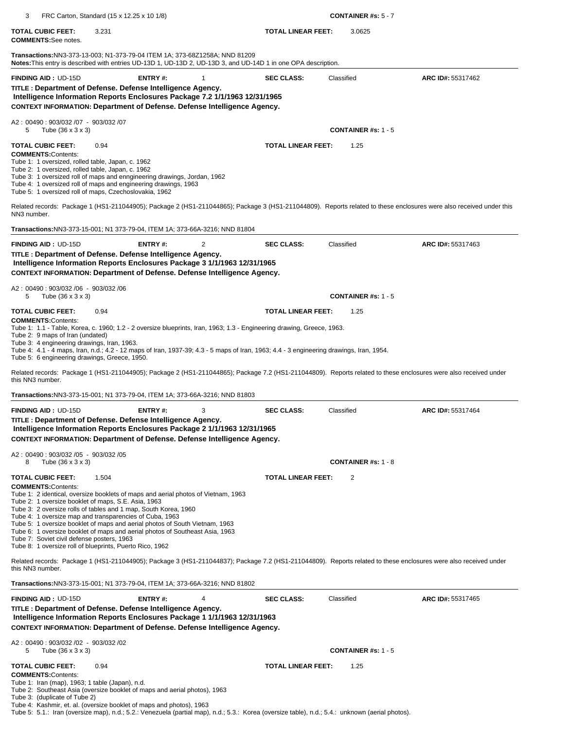| 3<br>FRC Carton, Standard (15 x 12.25 x 10 1/8)                                                                                                                                                                                                                                                                                                                                                                                                                                                                                                                                                                                                          |         |              |                           | <b>CONTAINER #s: 5 - 7</b> |                   |
|----------------------------------------------------------------------------------------------------------------------------------------------------------------------------------------------------------------------------------------------------------------------------------------------------------------------------------------------------------------------------------------------------------------------------------------------------------------------------------------------------------------------------------------------------------------------------------------------------------------------------------------------------------|---------|--------------|---------------------------|----------------------------|-------------------|
| <b>TOTAL CUBIC FEET:</b><br>3.231<br><b>COMMENTS:</b> See notes.                                                                                                                                                                                                                                                                                                                                                                                                                                                                                                                                                                                         |         |              | <b>TOTAL LINEAR FEET:</b> | 3.0625                     |                   |
| <b>Transactions:</b> NN3-373-13-003; N1-373-79-04 ITEM 1A; 373-68Z1258A; NND 81209<br>Notes: This entry is described with entries UD-13D 1, UD-13D 2, UD-13D 3, and UD-14D 1 in one OPA description.                                                                                                                                                                                                                                                                                                                                                                                                                                                     |         |              |                           |                            |                   |
| <b>FINDING AID: UD-15D</b><br>TITLE: Department of Defense. Defense Intelligence Agency.<br>Intelligence Information Reports Enclosures Package 7.2 1/1/1963 12/31/1965<br><b>CONTEXT INFORMATION: Department of Defense. Defense Intelligence Agency.</b>                                                                                                                                                                                                                                                                                                                                                                                               | ENTRY#: | $\mathbf{1}$ | <b>SEC CLASS:</b>         | Classified                 | ARC ID#: 55317462 |
| A2: 00490: 903/032 /07 - 903/032 /07<br>5<br>Tube (36 x 3 x 3)                                                                                                                                                                                                                                                                                                                                                                                                                                                                                                                                                                                           |         |              |                           | <b>CONTAINER #s: 1 - 5</b> |                   |
| <b>TOTAL CUBIC FEET:</b><br>0.94<br><b>COMMENTS: Contents:</b><br>Tube 1: 1 oversized, rolled table, Japan, c. 1962<br>Tube 2: 1 oversized, rolled table, Japan, c. 1962<br>Tube 3: 1 oversized roll of maps and enngineering drawings, Jordan, 1962<br>Tube 4: 1 oversized roll of maps and engineering drawings, 1963<br>Tube 5: 1 oversized roll of maps, Czechoslovakia, 1962                                                                                                                                                                                                                                                                        |         |              | <b>TOTAL LINEAR FEET:</b> | 1.25                       |                   |
| Related records: Package 1 (HS1-211044905); Package 2 (HS1-211044865); Package 3 (HS1-211044809). Reports related to these enclosures were also received under this<br>NN3 number.                                                                                                                                                                                                                                                                                                                                                                                                                                                                       |         |              |                           |                            |                   |
| <b>Transactions:</b> NN3-373-15-001; N1 373-79-04, ITEM 1A; 373-66A-3216; NND 81804                                                                                                                                                                                                                                                                                                                                                                                                                                                                                                                                                                      |         |              |                           |                            |                   |
| <b>FINDING AID: UD-15D</b><br>TITLE: Department of Defense. Defense Intelligence Agency.<br>Intelligence Information Reports Enclosures Package 3 1/1/1963 12/31/1965<br><b>CONTEXT INFORMATION: Department of Defense. Defense Intelligence Agency.</b>                                                                                                                                                                                                                                                                                                                                                                                                 | ENTRY#: | 2            | <b>SEC CLASS:</b>         | Classified                 | ARC ID#: 55317463 |
| A2: 00490: 903/032 /06 - 903/032 /06<br>Tube (36 x 3 x 3)<br>5                                                                                                                                                                                                                                                                                                                                                                                                                                                                                                                                                                                           |         |              |                           | <b>CONTAINER #s: 1 - 5</b> |                   |
| TOTAL CUBIC FEET:<br>0.94<br><b>COMMENTS: Contents:</b><br>Tube 1: 1.1 - Table, Korea, c. 1960; 1.2 - 2 oversize blueprints, Iran, 1963; 1.3 - Engineering drawing, Greece, 1963.<br>Tube 2: 9 maps of Iran (undated)<br>Tube 3: 4 engineering drawings, Iran, 1963.<br>Tube 4: 4.1 - 4 maps, Iran, n.d.; 4.2 - 12 maps of Iran, 1937-39; 4.3 - 5 maps of Iran, 1963; 4.4 - 3 engineering drawings, Iran, 1954.<br>Tube 5: 6 engineering drawings, Greece, 1950.<br>Related records: Package 1 (HS1-211044905); Package 2 (HS1-211044865); Package 7.2 (HS1-211044809). Reports related to these enclosures were also received under<br>this NN3 number. |         |              | <b>TOTAL LINEAR FEET:</b> | 1.25                       |                   |
| <b>Transactions:</b> NN3-373-15-001; N1 373-79-04, ITEM 1A; 373-66A-3216; NND 81803                                                                                                                                                                                                                                                                                                                                                                                                                                                                                                                                                                      |         |              |                           |                            |                   |
| <b>FINDING AID: UD-15D</b><br>TITLE: Department of Defense. Defense Intelligence Agency.<br>Intelligence Information Reports Enclosures Package 2 1/1/1963 12/31/1965<br><b>CONTEXT INFORMATION: Department of Defense. Defense Intelligence Agency.</b>                                                                                                                                                                                                                                                                                                                                                                                                 | ENTRY#: | 3            | <b>SEC CLASS:</b>         | Classified                 | ARC ID#: 55317464 |
| A2: 00490: 903/032 /05 - 903/032 /05<br>Tube (36 x 3 x 3)<br>8                                                                                                                                                                                                                                                                                                                                                                                                                                                                                                                                                                                           |         |              |                           | <b>CONTAINER #s: 1 - 8</b> |                   |
| TOTAL CUBIC FEET:<br>1.504<br><b>COMMENTS: Contents:</b><br>Tube 1: 2 identical, oversize booklets of maps and aerial photos of Vietnam, 1963<br>Tube 2: 1 oversize booklet of maps, S.E. Asia, 1963<br>Tube 3: 2 oversize rolls of tables and 1 map, South Korea, 1960<br>Tube 4: 1 oversize map and transparencies of Cuba, 1963<br>Tube 5: 1 oversize booklet of maps and aerial photos of South Vietnam, 1963<br>Tube 6: 1 oversize booklet of maps and aerial photos of Southeast Asia, 1963<br>Tube 7: Soviet civil defense posters, 1963<br>Tube 8: 1 oversize roll of blueprints, Puerto Rico, 1962                                              |         |              | <b>TOTAL LINEAR FEET:</b> | 2                          |                   |
| Related records: Package 1 (HS1-211044905); Package 3 (HS1-211044837); Package 7.2 (HS1-211044809). Reports related to these enclosures were also received under<br>this NN3 number.                                                                                                                                                                                                                                                                                                                                                                                                                                                                     |         |              |                           |                            |                   |
| Transactions:NN3-373-15-001; N1 373-79-04, ITEM 1A; 373-66A-3216; NND 81802                                                                                                                                                                                                                                                                                                                                                                                                                                                                                                                                                                              |         |              |                           |                            |                   |
| <b>FINDING AID: UD-15D</b><br>TITLE: Department of Defense. Defense Intelligence Agency.<br>Intelligence Information Reports Enclosures Package 1 1/1/1963 12/31/1963<br><b>CONTEXT INFORMATION: Department of Defense. Defense Intelligence Agency.</b>                                                                                                                                                                                                                                                                                                                                                                                                 | ENTRY#: | 4            | <b>SEC CLASS:</b>         | Classified                 | ARC ID#: 55317465 |
| A2: 00490: 903/032 /02 - 903/032 /02<br>Tube (36 x 3 x 3)<br>5                                                                                                                                                                                                                                                                                                                                                                                                                                                                                                                                                                                           |         |              |                           | <b>CONTAINER #s: 1 - 5</b> |                   |
| TOTAL CUBIC FEET:<br>0.94<br><b>COMMENTS: Contents:</b><br>Tube 1: Iran (map), 1963; 1 table (Japan), n.d.<br>Tube 2: Southeast Asia (oversize booklet of maps and aerial photos), 1963<br>Tube 3: (duplicate of Tube 2)                                                                                                                                                                                                                                                                                                                                                                                                                                 |         |              | <b>TOTAL LINEAR FEET:</b> | 1.25                       |                   |

Tube 4: Kashmir, et. al. (oversize booklet of maps and photos), 1963

Tube 5: 5.1.: Iran (oversize map), n.d.; 5.2.: Venezuela (partial map), n.d.; 5.3.: Korea (oversize table), n.d.; 5.4.: unknown (aerial photos).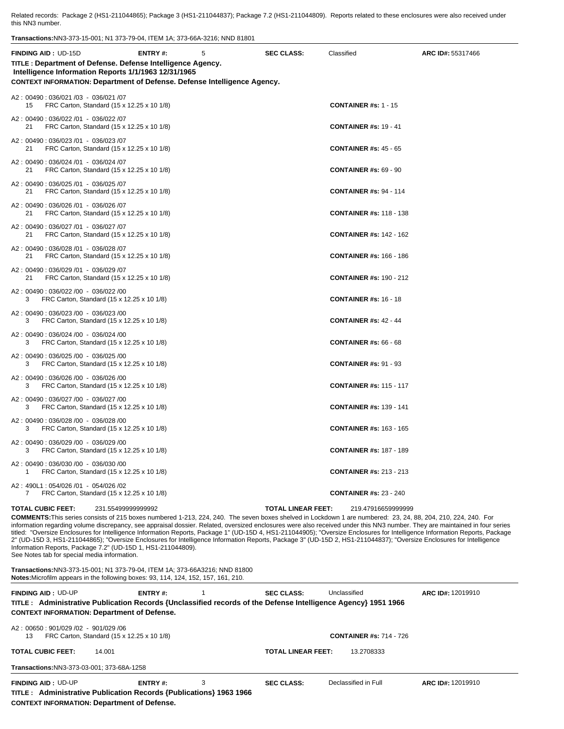Related records: Package 2 (HS1-211044865); Package 3 (HS1-211044837); Package 7.2 (HS1-211044809). Reports related to these enclosures were also received under this NN3 number.

**Transactions:**NN3-373-15-001; N1 373-79-04, ITEM 1A; 373-66A-3216; NND 81801

|                                                                                                                                                                                                                                                                                                                                                                                                                                                                                                                                                                                                                                                                                                                                                                                                                                                                                 | Transactions:NN3-373-15-001; NT373-79-04; ITEM TA; 373-66A-3216; NND 61601                                                                                                                                                   |                |   |                   |                                |                   |
|---------------------------------------------------------------------------------------------------------------------------------------------------------------------------------------------------------------------------------------------------------------------------------------------------------------------------------------------------------------------------------------------------------------------------------------------------------------------------------------------------------------------------------------------------------------------------------------------------------------------------------------------------------------------------------------------------------------------------------------------------------------------------------------------------------------------------------------------------------------------------------|------------------------------------------------------------------------------------------------------------------------------------------------------------------------------------------------------------------------------|----------------|---|-------------------|--------------------------------|-------------------|
|                                                                                                                                                                                                                                                                                                                                                                                                                                                                                                                                                                                                                                                                                                                                                                                                                                                                                 | <b>FINDING AID: UD-15D</b><br>TITLE: Department of Defense. Defense Intelligence Agency.<br>Intelligence Information Reports 1/1/1963 12/31/1965<br>CONTEXT INFORMATION: Department of Defense. Defense Intelligence Agency. | <b>ENTRY#:</b> | 5 | <b>SEC CLASS:</b> | Classified                     | ARC ID#: 55317466 |
| 15                                                                                                                                                                                                                                                                                                                                                                                                                                                                                                                                                                                                                                                                                                                                                                                                                                                                              | A2: 00490: 036/021 /03 - 036/021 /07<br>FRC Carton, Standard (15 x 12.25 x 10 1/8)                                                                                                                                           |                |   |                   | <b>CONTAINER #s: 1 - 15</b>    |                   |
| 21                                                                                                                                                                                                                                                                                                                                                                                                                                                                                                                                                                                                                                                                                                                                                                                                                                                                              | A2: 00490: 036/022 /01 - 036/022 /07<br>FRC Carton, Standard (15 x 12.25 x 10 1/8)                                                                                                                                           |                |   |                   | <b>CONTAINER #s: 19 - 41</b>   |                   |
| 21                                                                                                                                                                                                                                                                                                                                                                                                                                                                                                                                                                                                                                                                                                                                                                                                                                                                              | A2: 00490: 036/023 /01 - 036/023 /07<br>FRC Carton, Standard (15 x 12.25 x 10 1/8)                                                                                                                                           |                |   |                   | <b>CONTAINER #s: 45 - 65</b>   |                   |
| 21                                                                                                                                                                                                                                                                                                                                                                                                                                                                                                                                                                                                                                                                                                                                                                                                                                                                              | A2: 00490: 036/024 /01 - 036/024 /07<br>FRC Carton, Standard (15 x 12.25 x 10 1/8)                                                                                                                                           |                |   |                   | <b>CONTAINER #s: 69 - 90</b>   |                   |
| 21                                                                                                                                                                                                                                                                                                                                                                                                                                                                                                                                                                                                                                                                                                                                                                                                                                                                              | A2: 00490: 036/025 /01 - 036/025 /07<br>FRC Carton, Standard (15 x 12.25 x 10 1/8)                                                                                                                                           |                |   |                   | <b>CONTAINER #s: 94 - 114</b>  |                   |
| 21                                                                                                                                                                                                                                                                                                                                                                                                                                                                                                                                                                                                                                                                                                                                                                                                                                                                              | A2: 00490: 036/026 /01 - 036/026 /07<br>FRC Carton, Standard (15 x 12.25 x 10 1/8)                                                                                                                                           |                |   |                   | <b>CONTAINER #s: 118 - 138</b> |                   |
| 21                                                                                                                                                                                                                                                                                                                                                                                                                                                                                                                                                                                                                                                                                                                                                                                                                                                                              | A2: 00490: 036/027 /01 - 036/027 /07<br>FRC Carton, Standard (15 x 12.25 x 10 1/8)                                                                                                                                           |                |   |                   | <b>CONTAINER #s: 142 - 162</b> |                   |
| 21                                                                                                                                                                                                                                                                                                                                                                                                                                                                                                                                                                                                                                                                                                                                                                                                                                                                              | A2: 00490: 036/028 /01 - 036/028 /07<br>FRC Carton, Standard (15 x 12.25 x 10 1/8)                                                                                                                                           |                |   |                   | <b>CONTAINER #s: 166 - 186</b> |                   |
| 21                                                                                                                                                                                                                                                                                                                                                                                                                                                                                                                                                                                                                                                                                                                                                                                                                                                                              | A2: 00490: 036/029 /01 - 036/029 /07<br>FRC Carton, Standard (15 x 12.25 x 10 1/8)                                                                                                                                           |                |   |                   | <b>CONTAINER #s: 190 - 212</b> |                   |
| 3                                                                                                                                                                                                                                                                                                                                                                                                                                                                                                                                                                                                                                                                                                                                                                                                                                                                               | A2: 00490: 036/022 /00 - 036/022 /00<br>FRC Carton, Standard (15 x 12.25 x 10 1/8)                                                                                                                                           |                |   |                   | <b>CONTAINER #s: 16 - 18</b>   |                   |
| 3                                                                                                                                                                                                                                                                                                                                                                                                                                                                                                                                                                                                                                                                                                                                                                                                                                                                               | A2: 00490: 036/023 /00 - 036/023 /00<br>FRC Carton, Standard (15 x 12.25 x 10 1/8)                                                                                                                                           |                |   |                   | <b>CONTAINER #s: 42 - 44</b>   |                   |
| 3                                                                                                                                                                                                                                                                                                                                                                                                                                                                                                                                                                                                                                                                                                                                                                                                                                                                               | A2: 00490: 036/024 /00 - 036/024 /00<br>FRC Carton, Standard (15 x 12.25 x 10 1/8)                                                                                                                                           |                |   |                   | <b>CONTAINER #s: 66 - 68</b>   |                   |
| 3                                                                                                                                                                                                                                                                                                                                                                                                                                                                                                                                                                                                                                                                                                                                                                                                                                                                               | A2: 00490: 036/025 /00 - 036/025 /00<br>FRC Carton, Standard (15 x 12.25 x 10 1/8)                                                                                                                                           |                |   |                   | <b>CONTAINER #s: 91 - 93</b>   |                   |
| 3                                                                                                                                                                                                                                                                                                                                                                                                                                                                                                                                                                                                                                                                                                                                                                                                                                                                               | A2: 00490: 036/026 /00 - 036/026 /00<br>FRC Carton, Standard (15 x 12.25 x 10 1/8)                                                                                                                                           |                |   |                   | <b>CONTAINER #s: 115 - 117</b> |                   |
| З                                                                                                                                                                                                                                                                                                                                                                                                                                                                                                                                                                                                                                                                                                                                                                                                                                                                               | A2: 00490: 036/027 /00 - 036/027 /00<br>FRC Carton, Standard (15 x 12.25 x 10 1/8)                                                                                                                                           |                |   |                   | <b>CONTAINER #s: 139 - 141</b> |                   |
| 3                                                                                                                                                                                                                                                                                                                                                                                                                                                                                                                                                                                                                                                                                                                                                                                                                                                                               | A2: 00490: 036/028 /00 - 036/028 /00<br>FRC Carton, Standard (15 x 12.25 x 10 1/8)                                                                                                                                           |                |   |                   | <b>CONTAINER #s: 163 - 165</b> |                   |
|                                                                                                                                                                                                                                                                                                                                                                                                                                                                                                                                                                                                                                                                                                                                                                                                                                                                                 | A2: 00490: 036/029 /00 - 036/029 /00<br>FRC Carton, Standard (15 x 12.25 x 10 1/8)                                                                                                                                           |                |   |                   | <b>CONTAINER #s: 187 - 189</b> |                   |
|                                                                                                                                                                                                                                                                                                                                                                                                                                                                                                                                                                                                                                                                                                                                                                                                                                                                                 | A2: 00490: 036/030 /00 - 036/030 /00<br>FRC Carton, Standard (15 x 12.25 x 10 1/8)                                                                                                                                           |                |   |                   | <b>CONTAINER #s: 213 - 213</b> |                   |
| 7                                                                                                                                                                                                                                                                                                                                                                                                                                                                                                                                                                                                                                                                                                                                                                                                                                                                               | A2: 490L1: 054/026 /01 - 054/026 /02<br>FRC Carton, Standard (15 x 12.25 x 10 1/8)                                                                                                                                           |                |   |                   | <b>CONTAINER #s: 23 - 240</b>  |                   |
| <b>TOTAL CUBIC FEET:</b><br>231.55499999999992<br><b>TOTAL LINEAR FEET:</b><br>219.47916659999999<br><b>COMMENTS:</b> This series consists of 215 boxes numbered 1-213, 224, 240. The seven boxes shelved in Lockdown 1 are numbered: 23, 24, 88, 204, 210, 224, 240. For<br>information regarding volume discrepancy, see appraisal dossier. Related, oversized enclosures were also received under this NN3 number. They are maintained in four series<br>titled: "Oversize Enclosures for Intelligence Information Reports, Package 1" (UD-15D 4, HS1-211044905); "Oversize Enclosures for Intelligence Information Reports, Package<br>2" (UD-15D 3, HS1-211044865); "Oversize Enclosures for Intelligence Information Reports, Package 3" (UD-15D 2, HS1-211044837); "Oversize Enclosures for Intelligence<br>Information Reports, Package 7.2" (UD-15D 1, HS1-211044809). |                                                                                                                                                                                                                              |                |   |                   |                                |                   |

See Notes tab for special media information.

**Transactions:**NN3-373-15-001; N1 373-79-04, ITEM 1A; 373-66A3216; NND 81800 **Notes:**Microfilm appears in the following boxes: 93, 114, 124, 152, 157, 161, 210. 

| <b>FINDING AID: UD-UP</b>                                                                                     | ENTRY #: |   | <b>SEC CLASS:</b>         | Unclassified                   | ARC ID#: 12019910 |  |  |  |
|---------------------------------------------------------------------------------------------------------------|----------|---|---------------------------|--------------------------------|-------------------|--|--|--|
| TITLE: Administrative Publication Records {Unclassified records of the Defense Intelligence Agency} 1951 1966 |          |   |                           |                                |                   |  |  |  |
| <b>CONTEXT INFORMATION: Department of Defense.</b>                                                            |          |   |                           |                                |                   |  |  |  |
| A2: 00650: 901/029 /02 - 901/029 /06<br>FRC Carton, Standard (15 x 12.25 x 10 1/8)<br>13                      |          |   |                           | <b>CONTAINER #s: 714 - 726</b> |                   |  |  |  |
| <b>TOTAL CUBIC FEET:</b><br>14.001                                                                            |          |   | <b>TOTAL LINEAR FEET:</b> | 13.2708333                     |                   |  |  |  |
| Transactions: NN3-373-03-001: 373-68A-1258                                                                    |          |   |                           |                                |                   |  |  |  |
| <b>FINDING AID: UD-UP</b>                                                                                     | ENTRY#:  | 3 | <b>SEC CLASS:</b>         | Declassified in Full           | ARC ID#: 12019910 |  |  |  |
| TITLE: Administrative Publication Records {Publications} 1963 1966                                            |          |   |                           |                                |                   |  |  |  |
| <b>CONTEXT INFORMATION: Department of Defense.</b>                                                            |          |   |                           |                                |                   |  |  |  |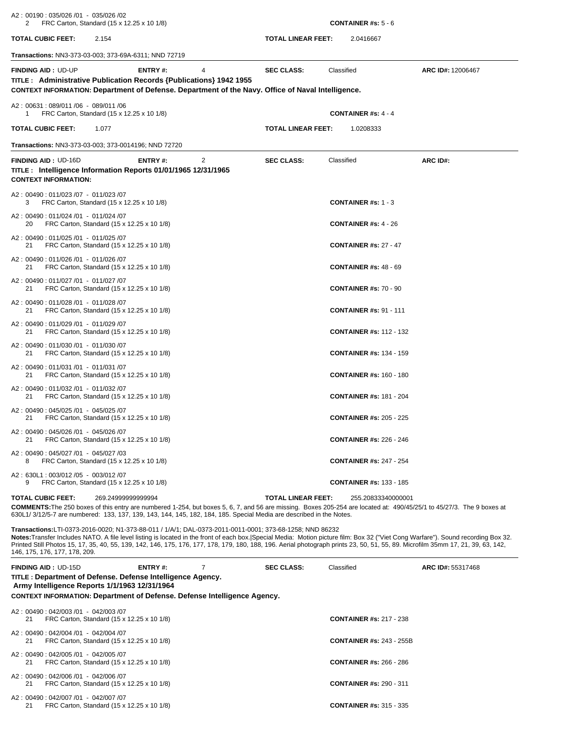| A2: 00190: 035/026 /01 - 035/026 /02<br>FRC Carton, Standard (15 x 12.25 x 10 1/8)<br>2                                                                                                                                                                                                                                         |                    |   |                           | <b>CONTAINER #s: <math>5 - 6</math></b>  |                   |
|---------------------------------------------------------------------------------------------------------------------------------------------------------------------------------------------------------------------------------------------------------------------------------------------------------------------------------|--------------------|---|---------------------------|------------------------------------------|-------------------|
| <b>TOTAL CUBIC FEET:</b><br>2.154                                                                                                                                                                                                                                                                                               |                    |   | <b>TOTAL LINEAR FEET:</b> | 2.0416667                                |                   |
| <b>Transactions:</b> NN3-373-03-003; 373-69A-6311; NND 72719                                                                                                                                                                                                                                                                    |                    |   |                           |                                          |                   |
| <b>FINDING AID: UD-UP</b><br>TITLE : Administrative Publication Records {Publications} 1942 1955<br>CONTEXT INFORMATION: Department of Defense. Department of the Navy. Office of Naval Intelligence.                                                                                                                           | ENTRY#:            | 4 | <b>SEC CLASS:</b>         | Classified                               | ARC ID#: 12006467 |
| A2: 00631: 089/011 /06 - 089/011 /06<br>FRC Carton, Standard (15 x 12.25 x 10 1/8)<br>1                                                                                                                                                                                                                                         |                    |   |                           | CONTAINER #s: $4 - 4$                    |                   |
| TOTAL CUBIC FEET:<br>1.077                                                                                                                                                                                                                                                                                                      |                    |   | <b>TOTAL LINEAR FEET:</b> | 1.0208333                                |                   |
| <b>Transactions: NN3-373-03-003; 373-0014196; NND 72720</b>                                                                                                                                                                                                                                                                     |                    |   |                           |                                          |                   |
| FINDING AID: UD-16D<br>TITLE : Intelligence Information Reports 01/01/1965 12/31/1965<br><b>CONTEXT INFORMATION:</b>                                                                                                                                                                                                            | ENTRY#:            | 2 | <b>SEC CLASS:</b>         | Classified                               | ARC ID#:          |
| A2: 00490: 011/023 /07 - 011/023 /07<br>FRC Carton, Standard (15 x 12.25 x 10 1/8)<br>З                                                                                                                                                                                                                                         |                    |   |                           | <b>CONTAINER #s: 1 - 3</b>               |                   |
| A2: 00490: 011/024 /01 - 011/024 /07<br>FRC Carton, Standard (15 x 12.25 x 10 1/8)<br>20                                                                                                                                                                                                                                        |                    |   |                           | <b>CONTAINER #s: <math>4 - 26</math></b> |                   |
| A2: 00490: 011/025 /01 - 011/025 /07<br>FRC Carton, Standard (15 x 12.25 x 10 1/8)<br>21                                                                                                                                                                                                                                        |                    |   |                           | <b>CONTAINER #s: 27 - 47</b>             |                   |
| A2: 00490: 011/026 /01 - 011/026 /07<br>FRC Carton, Standard (15 x 12.25 x 10 1/8)<br>21                                                                                                                                                                                                                                        |                    |   |                           | <b>CONTAINER #s: 48 - 69</b>             |                   |
| A2: 00490: 011/027 /01 - 011/027 /07<br>FRC Carton, Standard (15 x 12.25 x 10 1/8)<br>21                                                                                                                                                                                                                                        |                    |   |                           | <b>CONTAINER #s: 70 - 90</b>             |                   |
| A2: 00490: 011/028 /01 - 011/028 /07<br>FRC Carton, Standard (15 x 12.25 x 10 1/8)<br>21                                                                                                                                                                                                                                        |                    |   |                           | <b>CONTAINER #s: 91 - 111</b>            |                   |
| A2: 00490: 011/029 /01 - 011/029 /07<br>FRC Carton, Standard (15 x 12.25 x 10 1/8)<br>21                                                                                                                                                                                                                                        |                    |   |                           | <b>CONTAINER #s: 112 - 132</b>           |                   |
| A2: 00490: 011/030 /01 - 011/030 /07<br>FRC Carton, Standard (15 x 12.25 x 10 1/8)<br>21                                                                                                                                                                                                                                        |                    |   |                           | <b>CONTAINER #s: 134 - 159</b>           |                   |
| A2: 00490: 011/031 /01 - 011/031 /07<br>FRC Carton, Standard (15 x 12.25 x 10 1/8)<br>21                                                                                                                                                                                                                                        |                    |   |                           | <b>CONTAINER #s: 160 - 180</b>           |                   |
| A2: 00490: 011/032 /01 - 011/032 /07<br>FRC Carton, Standard (15 x 12.25 x 10 1/8)<br>21                                                                                                                                                                                                                                        |                    |   |                           | <b>CONTAINER #s: 181 - 204</b>           |                   |
| A2: 00490: 045/025 /01 - 045/025 /07<br>21<br>FRC Carton, Standard (15 x 12.25 x 10 1/8)                                                                                                                                                                                                                                        |                    |   |                           | <b>CONTAINER #s: 205 - 225</b>           |                   |
| A2: 00490: 045/026 /01 - 045/026 /07<br>FRC Carton, Standard (15 x 12.25 x 10 1/8)<br>21                                                                                                                                                                                                                                        |                    |   |                           | <b>CONTAINER #s: 226 - 246</b>           |                   |
| A2: 00490: 045/027 /01 - 045/027 /03<br>FRC Carton, Standard (15 x 12.25 x 10 1/8)<br>8                                                                                                                                                                                                                                         |                    |   |                           | <b>CONTAINER #s: 247 - 254</b>           |                   |
| A2: 630L1: 003/012 /05 - 003/012 /07<br>FRC Carton, Standard (15 x 12.25 x 10 1/8)<br>9                                                                                                                                                                                                                                         |                    |   |                           | <b>CONTAINER #s: 133 - 185</b>           |                   |
| <b>TOTAL CUBIC FEET:</b><br><b>COMMENTS:</b> The 250 boxes of this entry are numbered 1-254, but boxes 5, 6, 7, and 56 are missing. Boxes 205-254 are located at: 490/45/25/1 to 45/27/3. The 9 boxes at<br>630L1/3/12/5-7 are numbered: 133, 137, 139, 143, 144, 145, 182, 184, 185. Special Media are described in the Notes. | 269.24999999999994 |   | <b>TOTAL LINEAR FEET:</b> | 255.20833340000001                       |                   |
| Transactions:LTI-0373-2016-0020; N1-373-88-011 / 1/A/1; DAL-0373-2011-0011-0001; 373-68-1258; NND 86232                                                                                                                                                                                                                         |                    |   |                           |                                          |                   |

**Notes:**Transfer Includes NATO. A file level listing is located in the front of each box.|Special Media: Motion picture film: Box 32 ("Viet Cong Warfare"). Sound recording Box 32. Printed Still Photos 15, 17, 35, 40, 55, 139, 142, 146, 175, 176, 177, 178, 179, 180, 188, 196. Aerial photograph prints 23, 50, 51, 55, 89. Microfilm 35mm 17, 21, 39, 63, 142, 146, 175, 176, 177, 178, 209. 

|    | <b>FINDING AID: UD-15D</b><br>TITLE: Department of Defense. Defense Intelligence Agency.                                         | ENTRY#: |  | <b>SEC CLASS:</b> | Classified                      | ARC ID#: 55317468 |  |  |  |
|----|----------------------------------------------------------------------------------------------------------------------------------|---------|--|-------------------|---------------------------------|-------------------|--|--|--|
|    | Army Intelligence Reports 1/1/1963 12/31/1964<br><b>CONTEXT INFORMATION: Department of Defense. Defense Intelligence Agency.</b> |         |  |                   |                                 |                   |  |  |  |
|    |                                                                                                                                  |         |  |                   |                                 |                   |  |  |  |
| 21 | A2: 00490: 042/003 /01 - 042/003 /07<br>FRC Carton, Standard (15 x 12.25 x 10 1/8)                                               |         |  |                   | <b>CONTAINER #s: 217 - 238</b>  |                   |  |  |  |
| 21 | A2: 00490: 042/004 /01 - 042/004 /07<br>FRC Carton, Standard (15 x 12.25 x 10 1/8)                                               |         |  |                   | <b>CONTAINER #s: 243 - 255B</b> |                   |  |  |  |
| 21 | A2: 00490: 042/005 /01 - 042/005 /07<br>FRC Carton, Standard (15 x 12.25 x 10 1/8)                                               |         |  |                   | <b>CONTAINER #s: 266 - 286</b>  |                   |  |  |  |
| 21 | A2: 00490: 042/006 /01 - 042/006 /07<br>FRC Carton, Standard (15 x 12.25 x 10 1/8)                                               |         |  |                   | <b>CONTAINER #s: 290 - 311</b>  |                   |  |  |  |
| 21 | A2: 00490: 042/007 /01 - 042/007 /07<br>FRC Carton, Standard (15 x 12.25 x 10 1/8)                                               |         |  |                   | <b>CONTAINER #s: 315 - 335</b>  |                   |  |  |  |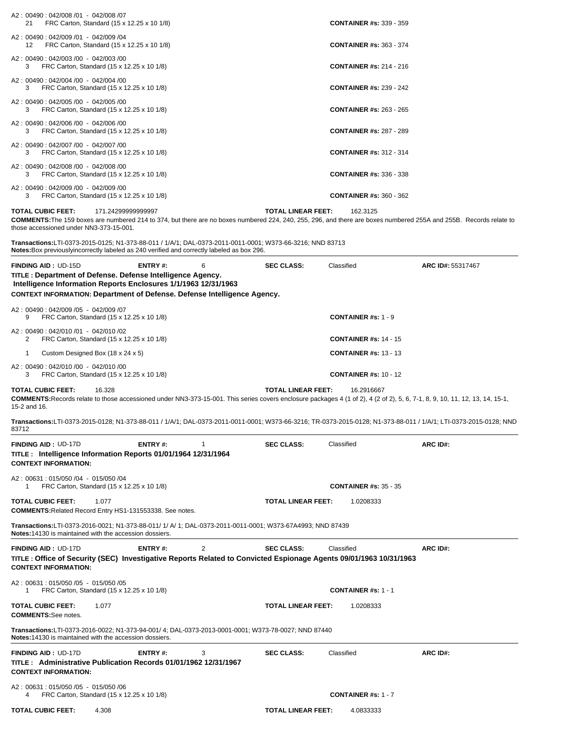| A2: 00490: 042/008 /01 - 042/008 /07<br>FRC Carton, Standard (15 x 12.25 x 10 1/8)<br>21                                                                                                                                                                               |                           | <b>CONTAINER #s: 339 - 359</b> |                   |
|------------------------------------------------------------------------------------------------------------------------------------------------------------------------------------------------------------------------------------------------------------------------|---------------------------|--------------------------------|-------------------|
| A2: 00490: 042/009 /01 - 042/009 /04<br>FRC Carton, Standard (15 x 12.25 x 10 1/8)<br>12                                                                                                                                                                               |                           | <b>CONTAINER #s: 363 - 374</b> |                   |
| A2: 00490: 042/003 /00 - 042/003 /00<br>FRC Carton, Standard (15 x 12.25 x 10 1/8)<br>3                                                                                                                                                                                |                           | <b>CONTAINER #s: 214 - 216</b> |                   |
| A2: 00490: 042/004 /00 - 042/004 /00<br>FRC Carton, Standard (15 x 12.25 x 10 1/8)<br>3                                                                                                                                                                                |                           | <b>CONTAINER #s: 239 - 242</b> |                   |
| A2: 00490: 042/005/00 - 042/005/00<br>FRC Carton, Standard (15 x 12.25 x 10 1/8)<br>3                                                                                                                                                                                  |                           | <b>CONTAINER #s: 263 - 265</b> |                   |
| A2: 00490: 042/006 /00 - 042/006 /00<br>FRC Carton, Standard (15 x 12.25 x 10 1/8)<br>3                                                                                                                                                                                |                           | <b>CONTAINER #s: 287 - 289</b> |                   |
| A2: 00490: 042/007 /00 - 042/007 /00<br>3<br>FRC Carton, Standard (15 x 12.25 x 10 1/8)                                                                                                                                                                                |                           | <b>CONTAINER #s: 312 - 314</b> |                   |
| A2: 00490: 042/008 /00 - 042/008 /00<br>FRC Carton, Standard (15 x 12.25 x 10 1/8)<br>3                                                                                                                                                                                |                           | <b>CONTAINER #s: 336 - 338</b> |                   |
| A2: 00490: 042/009 /00 - 042/009 /00<br>FRC Carton, Standard (15 x 12.25 x 10 1/8)<br>3                                                                                                                                                                                |                           | <b>CONTAINER #s: 360 - 362</b> |                   |
| <b>TOTAL CUBIC FEET:</b><br>171.24299999999997<br><b>COMMENTS:</b> The 159 boxes are numbered 214 to 374, but there are no boxes numbered 224, 240, 255, 296, and there are boxes numbered 255A and 255B. Records relate to<br>those accessioned under NN3-373-15-001. | <b>TOTAL LINEAR FEET:</b> | 162.3125                       |                   |
| Transactions:LTI-0373-2015-0125; N1-373-88-011 / 1/A/1; DAL-0373-2011-0011-0001; W373-66-3216; NND 83713<br>Notes: Box previouslyincorrectly labeled as 240 verified and correctly labeled as box 296.                                                                 |                           |                                |                   |
| <b>FINDING AID: UD-15D</b><br>ENTRY#:<br>6<br>TITLE: Department of Defense. Defense Intelligence Agency.<br>Intelligence Information Reports Enclosures 1/1/1963 12/31/1963<br><b>CONTEXT INFORMATION: Department of Defense. Defense Intelligence Agency.</b>         | <b>SEC CLASS:</b>         | Classified                     | ARC ID#: 55317467 |
| A2: 00490: 042/009 /05 - 042/009 /07<br>FRC Carton, Standard (15 x 12.25 x 10 1/8)<br>9                                                                                                                                                                                |                           | <b>CONTAINER #s: 1 - 9</b>     |                   |
| A2: 00490: 042/010 /01 - 042/010 /02<br>FRC Carton, Standard (15 x 12.25 x 10 1/8)<br>2                                                                                                                                                                                |                           | <b>CONTAINER #s: 14 - 15</b>   |                   |
| Custom Designed Box (18 x 24 x 5)<br>1                                                                                                                                                                                                                                 |                           | <b>CONTAINER #s: 13 - 13</b>   |                   |
| A2: 00490: 042/010 /00 - 042/010 /00<br>FRC Carton, Standard (15 x 12.25 x 10 1/8)<br>3                                                                                                                                                                                |                           | <b>CONTAINER #s: 10 - 12</b>   |                   |
| <b>TOTAL CUBIC FEET:</b><br>16.328<br>COMMENTS: Records relate to those accessioned under NN3-373-15-001. This series covers enclosure packages 4 (1 of 2), 4 (2 of 2), 5, 6, 7-1, 8, 9, 10, 11, 12, 13, 14, 15-1,<br>15-2 and 16.                                     | <b>TOTAL LINEAR FEET:</b> | 16.2916667                     |                   |
| Transactions:LTI-0373-2015-0128; N1-373-88-011 / 1/A/1; DAL-0373-2011-0011-0001; W373-66-3216; TR-0373-2015-0128; N1-373-88-011 / 1/A/1; LTI-0373-2015-0128; NND<br>83712                                                                                              |                           |                                |                   |
| <b>FINDING AID: UD-17D</b><br>ENTRY#:<br>1<br>TITLE : Intelligence Information Reports 01/01/1964 12/31/1964<br><b>CONTEXT INFORMATION:</b>                                                                                                                            | <b>SEC CLASS:</b>         | Classified                     | ARC ID#:          |
| A2: 00631: 015/050 /04 - 015/050 /04                                                                                                                                                                                                                                   |                           |                                |                   |
| FRC Carton, Standard (15 x 12.25 x 10 1/8)<br>1                                                                                                                                                                                                                        |                           | <b>CONTAINER #s: 35 - 35</b>   |                   |
| <b>TOTAL CUBIC FEET:</b><br>1.077<br><b>COMMENTS: Related Record Entry HS1-131553338. See notes.</b>                                                                                                                                                                   | TOTAL LINEAR FEET:        | 1.0208333                      |                   |
| Transactions:LTI-0373-2016-0021; N1-373-88-011/ 1/ A/ 1; DAL-0373-2011-0011-0001; W373-67A4993; NND 87439<br>Notes: 14130 is maintained with the accession dossiers.                                                                                                   |                           |                                |                   |
| <b>FINDING AID: UD-17D</b><br>ENTRY#:<br>2<br>TITLE: Office of Security (SEC) Investigative Reports Related to Convicted Espionage Agents 09/01/1963 10/31/1963<br><b>CONTEXT INFORMATION:</b>                                                                         | <b>SEC CLASS:</b>         | Classified                     | ARC ID#:          |
| A2: 00631: 015/050 /05 - 015/050 /05<br>FRC Carton, Standard (15 x 12.25 x 10 1/8)<br>1                                                                                                                                                                                |                           | <b>CONTAINER #s: 1 - 1</b>     |                   |
| <b>TOTAL CUBIC FEET:</b><br>1.077<br><b>COMMENTS:</b> See notes.                                                                                                                                                                                                       | TOTAL LINEAR FEET:        | 1.0208333                      |                   |
| Transactions:LTI-0373-2016-0022; N1-373-94-001/ 4; DAL-0373-2013-0001-0001; W373-78-0027; NND 87440<br>Notes: 14130 is maintained with the accession dossiers.                                                                                                         |                           |                                |                   |
| FINDING AID: UD-17D<br>3<br>ENTRY#:<br>TITLE: Administrative Publication Records 01/01/1962 12/31/1967<br><b>CONTEXT INFORMATION:</b>                                                                                                                                  | <b>SEC CLASS:</b>         | Classified                     | ARC ID#:          |
| A2: 00631: 015/050 /05 - 015/050 /06<br>FRC Carton, Standard (15 x 12.25 x 10 1/8)<br>4                                                                                                                                                                                |                           | <b>CONTAINER #s: 1 - 7</b>     |                   |
| <b>TOTAL CUBIC FEET:</b><br>4.308                                                                                                                                                                                                                                      | <b>TOTAL LINEAR FEET:</b> | 4.0833333                      |                   |